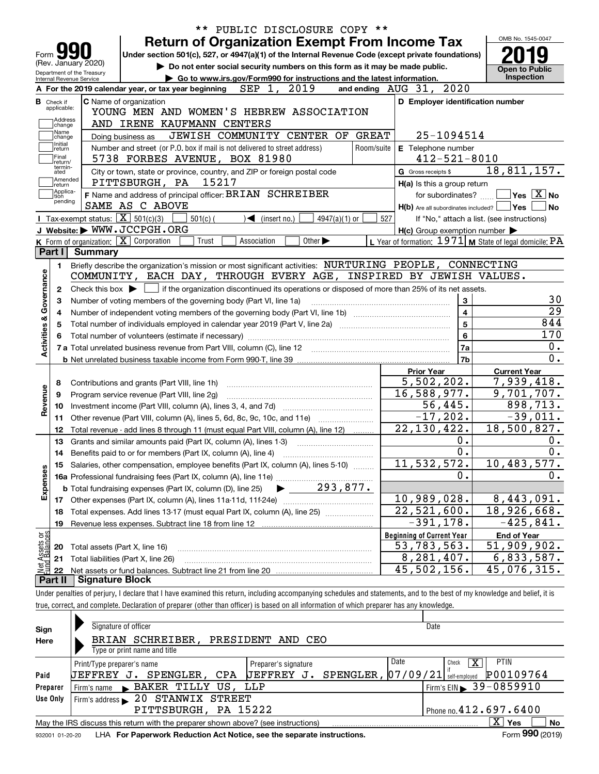|                                                        |                                                   |                                                                                                                                                     |            |                              |                                                                        |                 |              | <b>Return of Organization Exempt From Income Tax</b>                        |                         | OMB No. 1545-0047                                         |
|--------------------------------------------------------|---------------------------------------------------|-----------------------------------------------------------------------------------------------------------------------------------------------------|------------|------------------------------|------------------------------------------------------------------------|-----------------|--------------|-----------------------------------------------------------------------------|-------------------------|-----------------------------------------------------------|
| Form 9                                                 |                                                   | Under section 501(c), 527, or 4947(a)(1) of the Internal Revenue Code (except private foundations)                                                  |            |                              |                                                                        |                 |              |                                                                             |                         |                                                           |
| (Rev. January 2020)                                    |                                                   |                                                                                                                                                     |            |                              |                                                                        |                 |              | Do not enter social security numbers on this form as it may be made public. |                         | <b>Open to Public</b>                                     |
| Department of the Treasury<br>Internal Revenue Service |                                                   |                                                                                                                                                     |            |                              | Go to www.irs.gov/Form990 for instructions and the latest information. |                 |              |                                                                             |                         | <b>Inspection</b>                                         |
|                                                        |                                                   | A For the 2019 calendar year, or tax year beginning                                                                                                 |            | SEP 1,                       | 2019                                                                   |                 |              | and ending AUG 31, 2020                                                     |                         |                                                           |
| <b>B</b> Check if<br>applicable:                       | <b>C</b> Name of organization                     | YOUNG MEN AND WOMEN'S HEBREW ASSOCIATION                                                                                                            |            |                              |                                                                        |                 |              | D Employer identification number                                            |                         |                                                           |
| Address                                                |                                                   | AND IRENE KAUFMANN CENTERS                                                                                                                          |            |                              |                                                                        |                 |              |                                                                             |                         |                                                           |
| change<br>Name                                         |                                                   |                                                                                                                                                     |            |                              | JEWISH COMMUNITY CENTER OF                                             |                 | <b>GREAT</b> |                                                                             | 25-1094514              |                                                           |
| change<br>Initial                                      | Doing business as                                 | Number and street (or P.O. box if mail is not delivered to street address)                                                                          |            |                              |                                                                        |                 |              |                                                                             |                         |                                                           |
| return<br>Final                                        |                                                   | 5738 FORBES AVENUE, BOX 81980                                                                                                                       |            |                              |                                                                        |                 | Room/suite   | E Telephone number                                                          | $412 - 521 - 8010$      |                                                           |
| return/<br>termin-                                     |                                                   |                                                                                                                                                     |            |                              |                                                                        |                 |              |                                                                             |                         | 18,811,157.                                               |
| ated<br> Amended                                       |                                                   | City or town, state or province, country, and ZIP or foreign postal code<br>PITTSBURGH, PA                                                          | 15217      |                              |                                                                        |                 |              | G Gross receipts \$                                                         |                         |                                                           |
| ∣return<br> Applica-                                   |                                                   | F Name and address of principal officer: BRIAN SCHREIBER                                                                                            |            |                              |                                                                        |                 |              | H(a) Is this a group return                                                 | for subordinates?       | $\sqrt{}$ Yes $\sqrt{X}$ No                               |
| tion<br>pending                                        |                                                   | SAME AS C ABOVE                                                                                                                                     |            |                              |                                                                        |                 |              |                                                                             |                         | $H(b)$ Are all subordinates included? $\Box$ Yes  <br>No. |
|                                                        | Tax-exempt status: $\boxed{\mathbf{X}}$ 501(c)(3) |                                                                                                                                                     | $501(c)$ ( | $\triangleleft$ (insert no.) |                                                                        | $4947(a)(1)$ or | 527          |                                                                             |                         | If "No," attach a list. (see instructions)                |
|                                                        |                                                   | J Website: WWW.JCCPGH.ORG                                                                                                                           |            |                              |                                                                        |                 |              | $H(c)$ Group exemption number $\blacktriangleright$                         |                         |                                                           |
|                                                        |                                                   | K Form of organization: $X$ Corporation                                                                                                             | Trust      | Association                  | Other $\blacktriangleright$                                            |                 |              |                                                                             |                         | L Year of formation: $1971$ M State of legal domicile: PA |
| Part I                                                 | Summary                                           |                                                                                                                                                     |            |                              |                                                                        |                 |              |                                                                             |                         |                                                           |
| 1.                                                     |                                                   | Briefly describe the organization's mission or most significant activities: NURTURING PEOPLE, CONNECTING                                            |            |                              |                                                                        |                 |              |                                                                             |                         |                                                           |
|                                                        |                                                   | COMMUNITY, EACH DAY, THROUGH EVERY AGE, INSPIRED BY JEWISH VALUES.                                                                                  |            |                              |                                                                        |                 |              |                                                                             |                         |                                                           |
| 2                                                      |                                                   | Check this box $\blacktriangleright$ $\blacksquare$ if the organization discontinued its operations or disposed of more than 25% of its net assets. |            |                              |                                                                        |                 |              |                                                                             |                         |                                                           |
|                                                        |                                                   | Number of voting members of the governing body (Part VI, line 1a)                                                                                   |            |                              |                                                                        |                 |              |                                                                             | 3                       |                                                           |
| З                                                      |                                                   |                                                                                                                                                     |            |                              |                                                                        |                 |              |                                                                             | $\overline{\mathbf{4}}$ |                                                           |
| 4                                                      |                                                   |                                                                                                                                                     |            |                              |                                                                        |                 |              |                                                                             |                         |                                                           |
|                                                        | $5\phantom{a}$<br>5                               |                                                                                                                                                     |            |                              |                                                                        |                 |              |                                                                             |                         |                                                           |
|                                                        |                                                   |                                                                                                                                                     |            |                              |                                                                        |                 |              |                                                                             |                         | 844                                                       |
|                                                        |                                                   |                                                                                                                                                     |            |                              |                                                                        |                 |              |                                                                             | 6                       | 170                                                       |
|                                                        |                                                   |                                                                                                                                                     |            |                              |                                                                        |                 |              |                                                                             | 7a                      | 0.                                                        |
|                                                        |                                                   |                                                                                                                                                     |            |                              |                                                                        |                 |              |                                                                             | 7b                      |                                                           |
|                                                        |                                                   |                                                                                                                                                     |            |                              |                                                                        |                 |              | <b>Prior Year</b>                                                           |                         | <b>Current Year</b>                                       |
| 8                                                      |                                                   | Contributions and grants (Part VIII, line 1h)                                                                                                       |            |                              |                                                                        |                 |              | 5,502,202.                                                                  |                         | 7,939,418.                                                |
| 9                                                      |                                                   | Program service revenue (Part VIII, line 2g)                                                                                                        |            |                              |                                                                        |                 |              | 16,588,977.                                                                 |                         | 9,701,707.                                                |
| 10                                                     |                                                   |                                                                                                                                                     |            |                              |                                                                        |                 |              |                                                                             | 56,445.                 | 898,713.                                                  |
| 11                                                     |                                                   | Other revenue (Part VIII, column (A), lines 5, 6d, 8c, 9c, 10c, and 11e)                                                                            |            |                              |                                                                        |                 |              | $-17, 202.$                                                                 |                         | $-39,011.$                                                |
| 12                                                     |                                                   | Total revenue - add lines 8 through 11 (must equal Part VIII, column (A), line 12)                                                                  |            |                              |                                                                        |                 |              | 22, 130, 422.                                                               |                         | 18,500,827.                                               |
| 13                                                     |                                                   | Grants and similar amounts paid (Part IX, column (A), lines 1-3)                                                                                    |            |                              |                                                                        |                 |              |                                                                             | 0.                      |                                                           |
| 14                                                     |                                                   |                                                                                                                                                     |            |                              |                                                                        |                 |              |                                                                             | 0.                      |                                                           |
|                                                        |                                                   | 15 Salaries, other compensation, employee benefits (Part IX, column (A), lines 5-10)                                                                |            |                              |                                                                        |                 |              | 11, 532, 572.                                                               |                         | 10,483,577.                                               |
|                                                        |                                                   |                                                                                                                                                     |            |                              |                                                                        |                 |              |                                                                             | 0.                      |                                                           |
|                                                        |                                                   | <b>b</b> Total fundraising expenses (Part IX, column (D), line 25)                                                                                  |            |                              | 293,877.                                                               |                 |              |                                                                             |                         |                                                           |
| 17                                                     |                                                   |                                                                                                                                                     |            |                              |                                                                        |                 |              | 10,989,028.                                                                 |                         | 8,443,091.                                                |
| 18                                                     |                                                   | Total expenses. Add lines 13-17 (must equal Part IX, column (A), line 25)                                                                           |            |                              |                                                                        |                 |              | 22,521,600.                                                                 |                         | 18,926,668.                                               |
| Activities & Governance<br>Revenue<br>Expenses<br>19   |                                                   | Revenue less expenses. Subtract line 18 from line 12                                                                                                |            |                              |                                                                        |                 |              | $-391, 178.$                                                                |                         | $-425,841.$                                               |
|                                                        |                                                   |                                                                                                                                                     |            |                              |                                                                        |                 |              | <b>Beginning of Current Year</b>                                            |                         | <b>End of Year</b>                                        |
| 20                                                     |                                                   | Total assets (Part X, line 16)                                                                                                                      |            |                              |                                                                        |                 |              | 53,783,563.                                                                 |                         | 51,909,902.                                               |
| t Assets or<br>d Balances<br>21                        |                                                   | Total liabilities (Part X, line 26)                                                                                                                 |            |                              |                                                                        |                 |              | 8,281,407.                                                                  |                         | 6,833,587.                                                |
| $\frac{1}{2}$<br>22<br>Part II                         | <b>Signature Block</b>                            |                                                                                                                                                     |            |                              |                                                                        |                 |              | 45,502,156.                                                                 |                         | 45,076,315.                                               |

| Sign<br>Here     | Signature of officer<br>BRIAN SCHREIBER,<br>PRESIDENT AND CEO<br>Type or print name and title                                                                                          | Date                                                                                                    |
|------------------|----------------------------------------------------------------------------------------------------------------------------------------------------------------------------------------|---------------------------------------------------------------------------------------------------------|
| Paid<br>Preparer | Date<br>Print/Type preparer's name<br>Preparer's signature<br>[JEFFREV J. SPENDLER,  07/09/21]<br>UEFFREY J. SPENGLER, CPA<br>BAKER TILLY US, LLP<br>Firm's name $\blacktriangleright$ | <b>PTIN</b><br>x<br>Check<br>P00109764<br>self-emploved<br>$1$ Firm's EIN $\triangleright$ 39 - 0859910 |
| Use Only         | Firm's address > 20 STANWIX STREET<br>PITTSBURGH, PA 15222                                                                                                                             | Phone no. $412.697.6400$                                                                                |
|                  | May the IRS discuss this return with the preparer shown above? (see instructions)                                                                                                      | $\mathbf{X}$<br>Yes<br>No<br>$\mathbf{a}$                                                               |

932001 01-20-20 **For Paperwork Reduction Act Notice, see the separate instructions.** LHA Form (2019)

**990**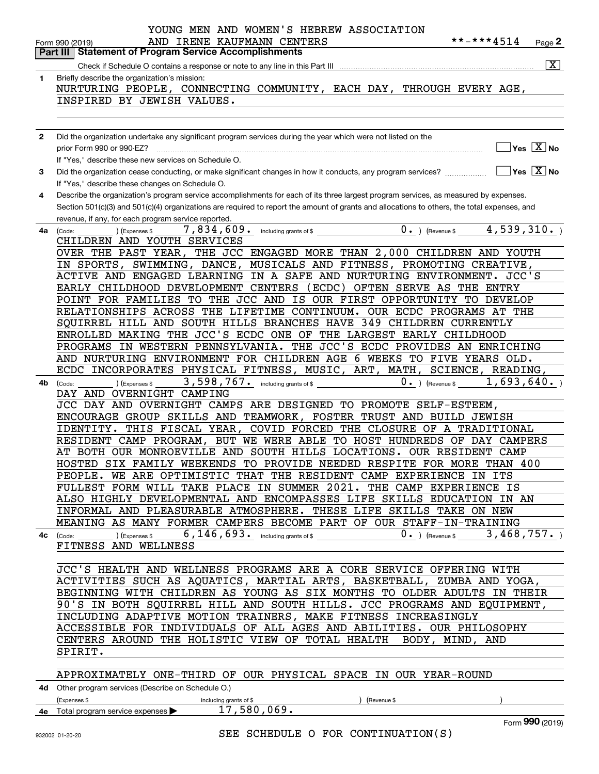|              | YOUNG MEN AND WOMEN'S HEBREW ASSOCIATION                                                                                                               |
|--------------|--------------------------------------------------------------------------------------------------------------------------------------------------------|
|              | **-***4514<br>AND IRENE KAUFMANN CENTERS<br>Page 2<br>Form 990 (2019)<br><b>Statement of Program Service Accomplishments</b>                           |
|              | Part III I<br>$\overline{\mathbf{x}}$                                                                                                                  |
|              | Check if Schedule O contains a response or note to any line in this Part III <i>manoronano contraine contraine contain</i>                             |
| 1            | Briefly describe the organization's mission:<br>NURTURING PEOPLE, CONNECTING COMMUNITY, EACH DAY, THROUGH EVERY AGE,                                   |
|              | INSPIRED BY JEWISH VALUES.                                                                                                                             |
|              |                                                                                                                                                        |
|              |                                                                                                                                                        |
| $\mathbf{2}$ | Did the organization undertake any significant program services during the year which were not listed on the                                           |
|              | $\sqrt{}$ Yes $\sqrt{X}$ No<br>prior Form 990 or 990-EZ?                                                                                               |
|              | If "Yes," describe these new services on Schedule O.                                                                                                   |
| 3            | $\sqrt{}$ Yes $\sqrt{}$ X $\sqrt{}$ No<br>Did the organization cease conducting, or make significant changes in how it conducts, any program services? |
|              | If "Yes," describe these changes on Schedule O.                                                                                                        |
| 4            | Describe the organization's program service accomplishments for each of its three largest program services, as measured by expenses.                   |
|              | Section 501(c)(3) and 501(c)(4) organizations are required to report the amount of grants and allocations to others, the total expenses, and           |
|              | revenue, if any, for each program service reported.<br>4,539,310.                                                                                      |
| 4a           | $0 \cdot$ ) (Revenue \$<br>7,834,609. including grants of \$<br>(Code:<br>(Expenses \$<br>CHILDREN AND YOUTH SERVICES                                  |
|              | OVER THE PAST YEAR, THE JCC ENGAGED MORE THAN 2,000 CHILDREN AND YOUTH                                                                                 |
|              | IN SPORTS, SWIMMING, DANCE, MUSICALS AND FITNESS, PROMOTING CREATIVE,                                                                                  |
|              | ACTIVE AND ENGAGED LEARNING IN A SAFE AND NURTURING ENVIRONMENT. JCC'S                                                                                 |
|              | (ECDC) OFTEN SERVE AS THE ENTRY<br>EARLY CHILDHOOD DEVELOPMENT CENTERS                                                                                 |
|              | POINT FOR FAMILIES TO THE JCC AND IS OUR FIRST OPPORTUNITY TO DEVELOP                                                                                  |
|              | RELATIONSHIPS ACROSS THE LIFETIME CONTINUUM. OUR ECDC PROGRAMS AT THE                                                                                  |
|              | SQUIRREL HILL AND SOUTH HILLS BRANCHES HAVE 349 CHILDREN CURRENTLY                                                                                     |
|              | ENROLLED MAKING THE JCC'S ECDC ONE OF THE LARGEST EARLY CHILDHOOD                                                                                      |
|              | PROGRAMS IN WESTERN PENNSYLVANIA. THE JCC'S ECDC PROVIDES AN ENRICHING                                                                                 |
|              | AND NURTURING ENVIRONMENT FOR CHILDREN AGE 6 WEEKS TO FIVE YEARS OLD.                                                                                  |
|              | ECDC INCORPORATES PHYSICAL FITNESS, MUSIC, ART, MATH,<br>SCIENCE, READING,                                                                             |
| 4b           | 3,598,767. including grants of \$<br>1,693,640.<br>$0.$ ) (Revenue \$<br>) (Expenses \$<br>(Code:                                                      |
|              | DAY AND OVERNIGHT CAMPING<br>JCC DAY AND OVERNIGHT CAMPS ARE DESIGNED TO PROMOTE SELF-ESTEEM,                                                          |
|              | ENCOURAGE GROUP SKILLS AND TEAMWORK, FOSTER TRUST AND BUILD JEWISH                                                                                     |
|              | IDENTITY. THIS FISCAL YEAR, COVID FORCED THE CLOSURE OF A TRADITIONAL                                                                                  |
|              | BUT WE WERE ABLE TO HOST HUNDREDS OF DAY CAMPERS<br>RESIDENT CAMP PROGRAM,                                                                             |
|              | AT BOTH OUR MONROEVILLE AND SOUTH HILLS LOCATIONS. OUR RESIDENT CAMP                                                                                   |
|              | HOSTED SIX FAMILY WEEKENDS TO PROVIDE NEEDED RESPITE FOR MORE THAN 400                                                                                 |
|              | PEOPLE. WE ARE OPTIMISTIC THAT THE RESIDENT CAMP EXPERIENCE IN ITS                                                                                     |
|              | FULLEST FORM WILL TAKE PLACE IN SUMMER 2021. THE CAMP EXPERIENCE IS                                                                                    |
|              | ALSO HIGHLY DEVELOPMENTAL AND ENCOMPASSES LIFE SKILLS EDUCATION IN AN                                                                                  |
|              | INFORMAL AND PLEASURABLE ATMOSPHERE. THESE LIFE SKILLS TAKE ON NEW                                                                                     |
|              | MEANING AS MANY FORMER CAMPERS BECOME PART OF OUR STAFF-IN-TRAINING                                                                                    |
|              | 6, 146, 693. including grants of \$<br>$0.$ ) (Revenue \$3,468,757.)<br>(Expenses \$<br>$4c$ (Code:                                                    |
|              | FITNESS AND WELLNESS                                                                                                                                   |
|              | JCC'S HEALTH AND WELLNESS PROGRAMS ARE A CORE SERVICE OFFERING WITH                                                                                    |
|              | ACTIVITIES SUCH AS AQUATICS, MARTIAL ARTS, BASKETBALL, ZUMBA AND YOGA,                                                                                 |
|              | BEGINNING WITH CHILDREN AS YOUNG AS SIX MONTHS TO OLDER ADULTS IN THEIR                                                                                |
|              | 90'S IN BOTH SQUIRREL HILL AND SOUTH HILLS. JCC PROGRAMS AND EQUIPMENT,                                                                                |
|              | INCLUDING ADAPTIVE MOTION TRAINERS, MAKE FITNESS INCREASINGLY                                                                                          |
|              | ACCESSIBLE FOR INDIVIDUALS OF ALL AGES AND ABILITIES. OUR PHILOSOPHY                                                                                   |
|              | CENTERS AROUND THE HOLISTIC VIEW OF TOTAL HEALTH BODY, MIND, AND                                                                                       |
|              | SPIRIT.                                                                                                                                                |
|              |                                                                                                                                                        |
|              | APPROXIMATELY ONE-THIRD OF OUR PHYSICAL SPACE IN OUR YEAR-ROUND                                                                                        |
|              | 4d Other program services (Describe on Schedule O.)                                                                                                    |
|              | (Expenses \$<br>(Revenue \$<br>including grants of \$                                                                                                  |
|              | 17,580,069.<br>4e Total program service expenses                                                                                                       |
|              | Form 990 (2019)                                                                                                                                        |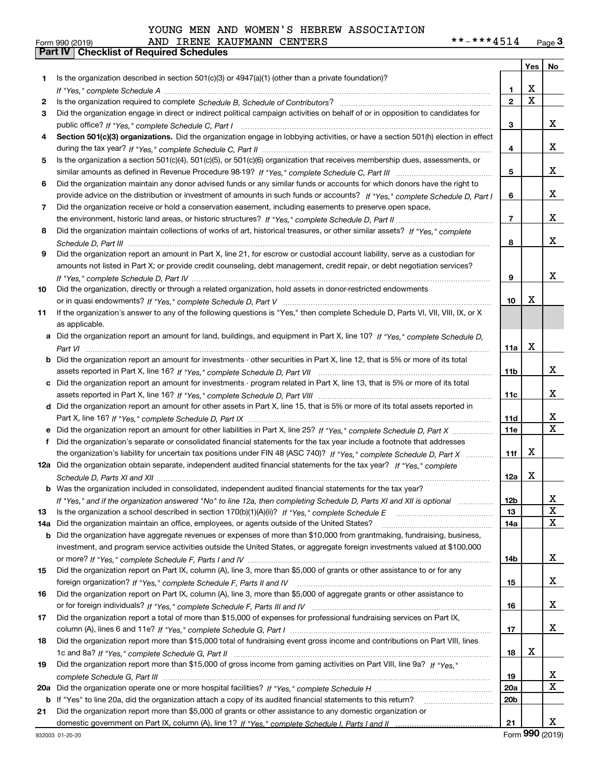|  |  |  |  |  | YOUNG MEN AND WOMEN'S HEBREW ASSOCIATION |
|--|--|--|--|--|------------------------------------------|
|--|--|--|--|--|------------------------------------------|

|     |                                                                                                                                  |                 |   | Yes $\vert$ No          |
|-----|----------------------------------------------------------------------------------------------------------------------------------|-----------------|---|-------------------------|
| 1   | Is the organization described in section $501(c)(3)$ or $4947(a)(1)$ (other than a private foundation)?                          |                 |   |                         |
|     |                                                                                                                                  | 1               | X |                         |
| 2   |                                                                                                                                  | $\overline{2}$  | X |                         |
| 3   | Did the organization engage in direct or indirect political campaign activities on behalf of or in opposition to candidates for  |                 |   |                         |
|     |                                                                                                                                  | 3               |   | x                       |
| 4   | Section 501(c)(3) organizations. Did the organization engage in lobbying activities, or have a section 501(h) election in effect |                 |   |                         |
|     |                                                                                                                                  | 4               |   | x                       |
| 5.  | Is the organization a section 501(c)(4), 501(c)(5), or 501(c)(6) organization that receives membership dues, assessments, or     |                 |   |                         |
|     |                                                                                                                                  | 5               |   | x                       |
| 6   | Did the organization maintain any donor advised funds or any similar funds or accounts for which donors have the right to        |                 |   |                         |
|     | provide advice on the distribution or investment of amounts in such funds or accounts? If "Yes," complete Schedule D, Part I     | 6               |   | x                       |
| 7   | Did the organization receive or hold a conservation easement, including easements to preserve open space,                        |                 |   |                         |
|     |                                                                                                                                  | $\overline{7}$  |   | x                       |
| 8   | Did the organization maintain collections of works of art, historical treasures, or other similar assets? If "Yes," complete     |                 |   |                         |
|     |                                                                                                                                  | 8               |   | x                       |
| 9   | Did the organization report an amount in Part X, line 21, for escrow or custodial account liability, serve as a custodian for    |                 |   |                         |
|     | amounts not listed in Part X; or provide credit counseling, debt management, credit repair, or debt negotiation services?        |                 |   |                         |
|     |                                                                                                                                  | 9               |   | x                       |
| 10  | Did the organization, directly or through a related organization, hold assets in donor-restricted endowments                     |                 |   |                         |
|     |                                                                                                                                  | 10              | X |                         |
| 11  | If the organization's answer to any of the following questions is "Yes," then complete Schedule D, Parts VI, VII, VIII, IX, or X |                 |   |                         |
|     | as applicable.                                                                                                                   |                 |   |                         |
| а   | Did the organization report an amount for land, buildings, and equipment in Part X, line 10? If "Yes," complete Schedule D.      |                 |   |                         |
|     |                                                                                                                                  | 11a             | X |                         |
| b   | Did the organization report an amount for investments - other securities in Part X, line 12, that is 5% or more of its total     |                 |   |                         |
|     |                                                                                                                                  | 11 <sub>b</sub> |   | x                       |
|     | c Did the organization report an amount for investments - program related in Part X, line 13, that is 5% or more of its total    |                 |   |                         |
|     |                                                                                                                                  | 11c             |   | x                       |
|     | d Did the organization report an amount for other assets in Part X, line 15, that is 5% or more of its total assets reported in  |                 |   |                         |
|     |                                                                                                                                  | 11d             |   | X                       |
|     | Did the organization report an amount for other liabilities in Part X, line 25? If "Yes," complete Schedule D, Part X            | 11e             |   | $\overline{\mathbf{x}}$ |
| f   | Did the organization's separate or consolidated financial statements for the tax year include a footnote that addresses          |                 |   |                         |
|     | the organization's liability for uncertain tax positions under FIN 48 (ASC 740)? If "Yes," complete Schedule D, Part X           | 11f             | X |                         |
|     | 12a Did the organization obtain separate, independent audited financial statements for the tax year? If "Yes," complete          |                 |   |                         |
|     |                                                                                                                                  | 12a             | x |                         |
|     | <b>b</b> Was the organization included in consolidated, independent audited financial statements for the tax year?               |                 |   |                         |
|     | If "Yes," and if the organization answered "No" to line 12a, then completing Schedule D, Parts XI and XII is optional            | 12 <sub>b</sub> |   | 47                      |
| 13  |                                                                                                                                  | 13              |   | X                       |
| 14a | Did the organization maintain an office, employees, or agents outside of the United States?                                      | 14a             |   | X                       |
| b   | Did the organization have aggregate revenues or expenses of more than \$10,000 from grantmaking, fundraising, business,          |                 |   |                         |
|     | investment, and program service activities outside the United States, or aggregate foreign investments valued at \$100,000       |                 |   |                         |
|     |                                                                                                                                  | 14b             |   | x                       |
| 15  | Did the organization report on Part IX, column (A), line 3, more than \$5,000 of grants or other assistance to or for any        |                 |   |                         |
|     |                                                                                                                                  | 15              |   | X                       |
| 16  | Did the organization report on Part IX, column (A), line 3, more than \$5,000 of aggregate grants or other assistance to         |                 |   |                         |
|     |                                                                                                                                  | 16              |   | X                       |
| 17  | Did the organization report a total of more than \$15,000 of expenses for professional fundraising services on Part IX,          |                 |   |                         |
|     |                                                                                                                                  | 17              |   | x                       |
| 18  | Did the organization report more than \$15,000 total of fundraising event gross income and contributions on Part VIII, lines     |                 |   |                         |
|     |                                                                                                                                  | 18              | х |                         |
| 19  | Did the organization report more than \$15,000 of gross income from gaming activities on Part VIII, line 9a? If "Yes."           |                 |   |                         |
|     |                                                                                                                                  | 19              |   | X<br>X                  |
| 20a |                                                                                                                                  | <b>20a</b>      |   |                         |
| b   | If "Yes" to line 20a, did the organization attach a copy of its audited financial statements to this return?                     | 20 <sub>b</sub> |   |                         |
| 21  | Did the organization report more than \$5,000 of grants or other assistance to any domestic organization or                      |                 |   |                         |
|     |                                                                                                                                  | 21              |   | x                       |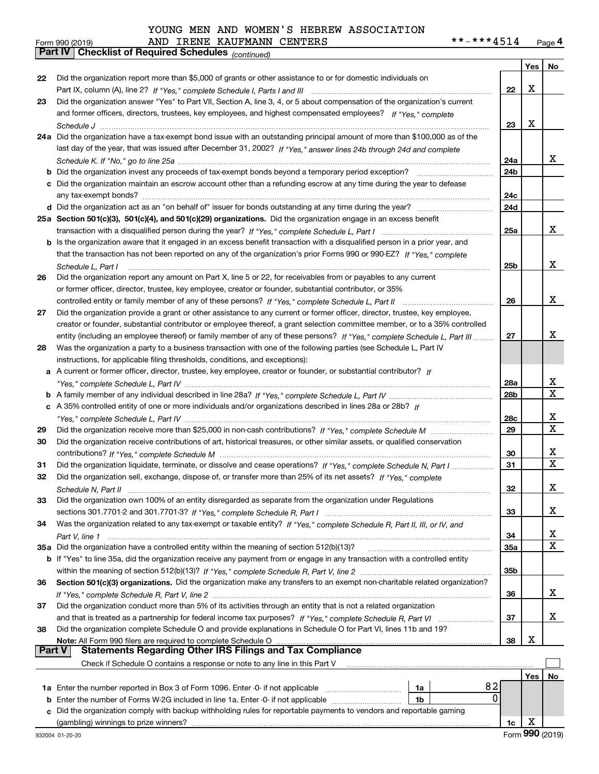|  |  |  |  |  |  |  | YOUNG MEN AND WOMEN'S HEBREW ASSOCIATION |
|--|--|--|--|--|--|--|------------------------------------------|
|--|--|--|--|--|--|--|------------------------------------------|

# Form 990 (2019) AND IRENE KAUFMANN CENTERS \*\*-\*\*\*4514 <sub>Page</sub> 4<br>**Part IV | Checklist of Required Schedules** <sub>(continued)</sub>

|               | Part IV   Grieckijst of Required Scriedules (continued)                                                                                                                                                                                               |                 |     |    |
|---------------|-------------------------------------------------------------------------------------------------------------------------------------------------------------------------------------------------------------------------------------------------------|-----------------|-----|----|
|               |                                                                                                                                                                                                                                                       |                 | Yes | No |
| 22            | Did the organization report more than \$5,000 of grants or other assistance to or for domestic individuals on                                                                                                                                         |                 |     |    |
|               |                                                                                                                                                                                                                                                       | 22              | X   |    |
| 23            | Did the organization answer "Yes" to Part VII, Section A, line 3, 4, or 5 about compensation of the organization's current                                                                                                                            |                 |     |    |
|               | and former officers, directors, trustees, key employees, and highest compensated employees? If "Yes," complete                                                                                                                                        |                 |     |    |
|               |                                                                                                                                                                                                                                                       | 23              | Х   |    |
|               | 24a Did the organization have a tax-exempt bond issue with an outstanding principal amount of more than \$100,000 as of the                                                                                                                           |                 |     |    |
|               | last day of the year, that was issued after December 31, 2002? If "Yes," answer lines 24b through 24d and complete                                                                                                                                    |                 |     |    |
|               |                                                                                                                                                                                                                                                       | 24a             |     | x  |
|               | <b>b</b> Did the organization invest any proceeds of tax-exempt bonds beyond a temporary period exception?                                                                                                                                            | 24b             |     |    |
|               | c Did the organization maintain an escrow account other than a refunding escrow at any time during the year to defease                                                                                                                                |                 |     |    |
|               |                                                                                                                                                                                                                                                       | 24c             |     |    |
|               |                                                                                                                                                                                                                                                       | 24d             |     |    |
|               | 25a Section 501(c)(3), 501(c)(4), and 501(c)(29) organizations. Did the organization engage in an excess benefit                                                                                                                                      | 25a             |     | X  |
|               |                                                                                                                                                                                                                                                       |                 |     |    |
|               | b Is the organization aware that it engaged in an excess benefit transaction with a disqualified person in a prior year, and<br>that the transaction has not been reported on any of the organization's prior Forms 990 or 990-EZ? If "Yes," complete |                 |     |    |
|               |                                                                                                                                                                                                                                                       | 25b             |     | x  |
| 26            | Schedule L. Part I<br>Did the organization report any amount on Part X, line 5 or 22, for receivables from or payables to any current                                                                                                                 |                 |     |    |
|               | or former officer, director, trustee, key employee, creator or founder, substantial contributor, or 35%                                                                                                                                               |                 |     |    |
|               |                                                                                                                                                                                                                                                       | 26              |     | x  |
| 27            | Did the organization provide a grant or other assistance to any current or former officer, director, trustee, key employee,                                                                                                                           |                 |     |    |
|               | creator or founder, substantial contributor or employee thereof, a grant selection committee member, or to a 35% controlled                                                                                                                           |                 |     |    |
|               | entity (including an employee thereof) or family member of any of these persons? If "Yes," complete Schedule L, Part III                                                                                                                              | 27              |     | x  |
| 28            | Was the organization a party to a business transaction with one of the following parties (see Schedule L, Part IV                                                                                                                                     |                 |     |    |
|               | instructions, for applicable filing thresholds, conditions, and exceptions):                                                                                                                                                                          |                 |     |    |
|               | a A current or former officer, director, trustee, key employee, creator or founder, or substantial contributor? If                                                                                                                                    |                 |     |    |
|               |                                                                                                                                                                                                                                                       | 28a             |     | x  |
|               |                                                                                                                                                                                                                                                       | 28 <sub>b</sub> |     | X  |
|               | c A 35% controlled entity of one or more individuals and/or organizations described in lines 28a or 28b? If                                                                                                                                           |                 |     |    |
|               |                                                                                                                                                                                                                                                       | 28c             |     | x  |
| 29            |                                                                                                                                                                                                                                                       | 29              |     | X  |
| 30            | Did the organization receive contributions of art, historical treasures, or other similar assets, or qualified conservation                                                                                                                           |                 |     |    |
|               |                                                                                                                                                                                                                                                       | 30              |     | x  |
| 31            | Did the organization liquidate, terminate, or dissolve and cease operations? If "Yes," complete Schedule N, Part I                                                                                                                                    | 31              |     | X  |
| 32            | Did the organization sell, exchange, dispose of, or transfer more than 25% of its net assets? If "Yes," complete                                                                                                                                      |                 |     |    |
|               | Schedule N. Part II                                                                                                                                                                                                                                   | 32              |     | х  |
| 33            | Did the organization own 100% of an entity disregarded as separate from the organization under Regulations                                                                                                                                            |                 |     |    |
|               |                                                                                                                                                                                                                                                       | 33              |     | x  |
| 34            | Was the organization related to any tax-exempt or taxable entity? If "Yes," complete Schedule R, Part II, III, or IV, and                                                                                                                             |                 |     |    |
|               |                                                                                                                                                                                                                                                       | 34              |     | x  |
|               | 35a Did the organization have a controlled entity within the meaning of section 512(b)(13)?                                                                                                                                                           | <b>35a</b>      |     | X  |
|               | b If "Yes" to line 35a, did the organization receive any payment from or engage in any transaction with a controlled entity                                                                                                                           |                 |     |    |
|               |                                                                                                                                                                                                                                                       | 35b             |     |    |
| 36            | Section 501(c)(3) organizations. Did the organization make any transfers to an exempt non-charitable related organization?                                                                                                                            |                 |     |    |
|               |                                                                                                                                                                                                                                                       | 36              |     | x  |
| 37            | Did the organization conduct more than 5% of its activities through an entity that is not a related organization                                                                                                                                      |                 |     |    |
|               | and that is treated as a partnership for federal income tax purposes? If "Yes," complete Schedule R, Part VI                                                                                                                                          | 37              |     | x  |
| 38            | Did the organization complete Schedule O and provide explanations in Schedule O for Part VI, lines 11b and 19?                                                                                                                                        |                 |     |    |
| <b>Part V</b> | Note: All Form 990 filers are required to complete Schedule O<br><b>Statements Regarding Other IRS Filings and Tax Compliance</b>                                                                                                                     | 38              | х   |    |
|               |                                                                                                                                                                                                                                                       |                 |     |    |
|               | Check if Schedule O contains a response or note to any line in this Part V                                                                                                                                                                            |                 |     |    |
|               |                                                                                                                                                                                                                                                       |                 | Yes | No |
|               | 82<br>1a<br>0                                                                                                                                                                                                                                         |                 |     |    |
|               | <b>b</b> Enter the number of Forms W-2G included in line 1a. Enter -0- if not applicable<br>1b                                                                                                                                                        |                 |     |    |
|               | c Did the organization comply with backup withholding rules for reportable payments to vendors and reportable gaming<br>(gambling) winnings to prize winners?                                                                                         | 1c              | х   |    |
|               |                                                                                                                                                                                                                                                       |                 |     |    |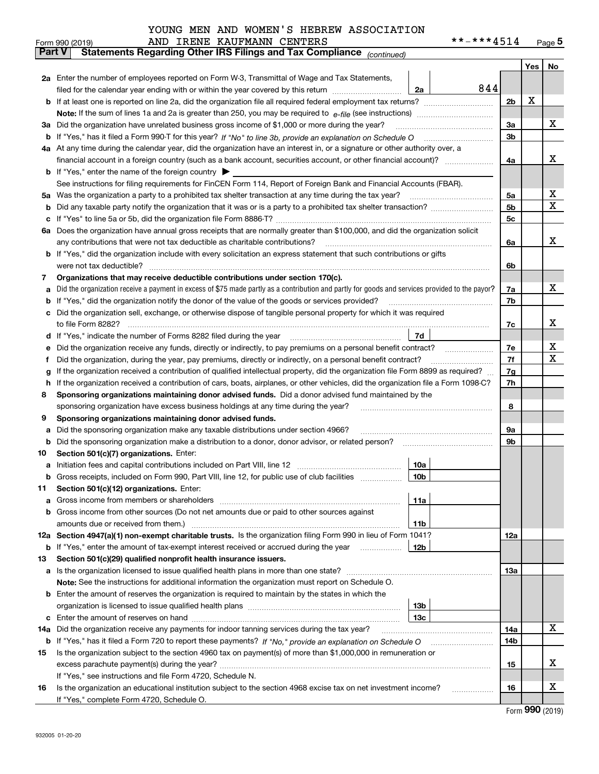| YOUNG MEN AND WOMEN'S HEBREW ASSOCIATION |
|------------------------------------------|
|------------------------------------------|

|               | AND IRENE KAUFMANN CENTERS<br>Form 990 (2019)                                                                                                                                                                                                    |                 | **-***4514 |                |     | Page $5$ |
|---------------|--------------------------------------------------------------------------------------------------------------------------------------------------------------------------------------------------------------------------------------------------|-----------------|------------|----------------|-----|----------|
| <b>Part V</b> | Statements Regarding Other IRS Filings and Tax Compliance (continued)                                                                                                                                                                            |                 |            |                |     |          |
|               |                                                                                                                                                                                                                                                  |                 |            |                | Yes | No       |
|               | 2a Enter the number of employees reported on Form W-3, Transmittal of Wage and Tax Statements,                                                                                                                                                   |                 |            |                |     |          |
|               | filed for the calendar year ending with or within the year covered by this return <i>manumumumum</i>                                                                                                                                             | 2a              | 844        |                |     |          |
|               |                                                                                                                                                                                                                                                  |                 |            | 2 <sub>b</sub> | х   |          |
|               |                                                                                                                                                                                                                                                  |                 |            |                |     |          |
|               | 3a Did the organization have unrelated business gross income of \$1,000 or more during the year?                                                                                                                                                 |                 |            | 3a             |     | х        |
|               |                                                                                                                                                                                                                                                  |                 |            | 3b             |     |          |
|               | 4a At any time during the calendar year, did the organization have an interest in, or a signature or other authority over, a                                                                                                                     |                 |            |                |     |          |
|               |                                                                                                                                                                                                                                                  |                 |            | 4a             |     | x        |
|               | <b>b</b> If "Yes," enter the name of the foreign country $\blacktriangleright$                                                                                                                                                                   |                 |            |                |     |          |
|               | See instructions for filing requirements for FinCEN Form 114, Report of Foreign Bank and Financial Accounts (FBAR).                                                                                                                              |                 |            |                |     |          |
| 5a            | Was the organization a party to a prohibited tax shelter transaction at any time during the tax year?                                                                                                                                            |                 |            | 5a             |     | х        |
| b             |                                                                                                                                                                                                                                                  |                 |            | 5 <sub>b</sub> |     | X        |
| с             |                                                                                                                                                                                                                                                  |                 |            | 5c             |     |          |
|               | 6a Does the organization have annual gross receipts that are normally greater than \$100,000, and did the organization solicit                                                                                                                   |                 |            |                |     |          |
|               | any contributions that were not tax deductible as charitable contributions?                                                                                                                                                                      |                 |            | 6a             |     | x        |
|               | <b>b</b> If "Yes," did the organization include with every solicitation an express statement that such contributions or gifts                                                                                                                    |                 |            |                |     |          |
|               | were not tax deductible?                                                                                                                                                                                                                         |                 |            | 6b             |     |          |
| 7             | Organizations that may receive deductible contributions under section 170(c).                                                                                                                                                                    |                 |            |                |     |          |
| a             | Did the organization receive a payment in excess of \$75 made partly as a contribution and partly for goods and services provided to the payor?                                                                                                  |                 |            | 7a             |     | x        |
| b             | If "Yes," did the organization notify the donor of the value of the goods or services provided?                                                                                                                                                  |                 |            | 7b             |     |          |
|               | Did the organization sell, exchange, or otherwise dispose of tangible personal property for which it was required                                                                                                                                |                 |            |                |     | x        |
|               |                                                                                                                                                                                                                                                  |                 |            | 7c             |     |          |
| d             |                                                                                                                                                                                                                                                  | 7d              |            |                |     | х        |
| е             | Did the organization receive any funds, directly or indirectly, to pay premiums on a personal benefit contract?                                                                                                                                  |                 |            | 7e<br>7f       |     | X        |
| f             | Did the organization, during the year, pay premiums, directly or indirectly, on a personal benefit contract?<br>If the organization received a contribution of qualified intellectual property, did the organization file Form 8899 as required? |                 |            |                |     |          |
| g<br>h.       | If the organization received a contribution of cars, boats, airplanes, or other vehicles, did the organization file a Form 1098-C?                                                                                                               |                 |            | 7g<br>7h       |     |          |
| 8             | Sponsoring organizations maintaining donor advised funds. Did a donor advised fund maintained by the                                                                                                                                             |                 |            |                |     |          |
|               | sponsoring organization have excess business holdings at any time during the year?                                                                                                                                                               |                 |            | 8              |     |          |
| 9             | Sponsoring organizations maintaining donor advised funds.                                                                                                                                                                                        |                 |            |                |     |          |
| a             | Did the sponsoring organization make any taxable distributions under section 4966?                                                                                                                                                               |                 |            | 9а             |     |          |
| b             | Did the sponsoring organization make a distribution to a donor, donor advisor, or related person?                                                                                                                                                |                 |            | 9b             |     |          |
| 10            | Section 501(c)(7) organizations. Enter:                                                                                                                                                                                                          |                 |            |                |     |          |
|               | a Initiation fees and capital contributions included on Part VIII, line 12 [11] [12] [11] [12] [11] [12] [11] [12] [11] [12] [11] [12] [11] [12] [11] [12] [11] [12] [11] [12] [11] [12] [11] [12] [11] [12] [11] [12] [11] [1                   | 10a             |            |                |     |          |
|               | Gross receipts, included on Form 990, Part VIII, line 12, for public use of club facilities                                                                                                                                                      | 10b             |            |                |     |          |
| 11            | Section 501(c)(12) organizations. Enter:                                                                                                                                                                                                         |                 |            |                |     |          |
| a             | Gross income from members or shareholders                                                                                                                                                                                                        | 11a             |            |                |     |          |
|               | b Gross income from other sources (Do not net amounts due or paid to other sources against                                                                                                                                                       |                 |            |                |     |          |
|               |                                                                                                                                                                                                                                                  | 11 <sub>b</sub> |            |                |     |          |
|               | 12a Section 4947(a)(1) non-exempt charitable trusts. Is the organization filing Form 990 in lieu of Form 1041?                                                                                                                                   |                 |            | <b>12a</b>     |     |          |
|               | <b>b</b> If "Yes," enter the amount of tax-exempt interest received or accrued during the year <b>contained</b>                                                                                                                                  | 12b             |            |                |     |          |
| 13            | Section 501(c)(29) qualified nonprofit health insurance issuers.                                                                                                                                                                                 |                 |            |                |     |          |
|               | <b>a</b> Is the organization licensed to issue qualified health plans in more than one state?                                                                                                                                                    |                 |            | <b>13a</b>     |     |          |
|               | Note: See the instructions for additional information the organization must report on Schedule O.                                                                                                                                                |                 |            |                |     |          |
|               | <b>b</b> Enter the amount of reserves the organization is required to maintain by the states in which the                                                                                                                                        |                 |            |                |     |          |
|               |                                                                                                                                                                                                                                                  | 13 <sub>b</sub> |            |                |     |          |
|               |                                                                                                                                                                                                                                                  | 13 <sub>c</sub> |            |                |     |          |
| 14a           | Did the organization receive any payments for indoor tanning services during the tax year?                                                                                                                                                       |                 |            | 14a            |     | x        |
|               |                                                                                                                                                                                                                                                  |                 |            | 14b            |     |          |
| 15            | Is the organization subject to the section 4960 tax on payment(s) of more than \$1,000,000 in remuneration or                                                                                                                                    |                 |            |                |     |          |
|               |                                                                                                                                                                                                                                                  |                 |            | 15             |     | х        |
|               | If "Yes," see instructions and file Form 4720, Schedule N.                                                                                                                                                                                       |                 |            |                |     |          |
| 16            | Is the organization an educational institution subject to the section 4968 excise tax on net investment income?                                                                                                                                  |                 |            | 16             |     | х        |
|               | If "Yes," complete Form 4720, Schedule O.                                                                                                                                                                                                        |                 |            |                |     |          |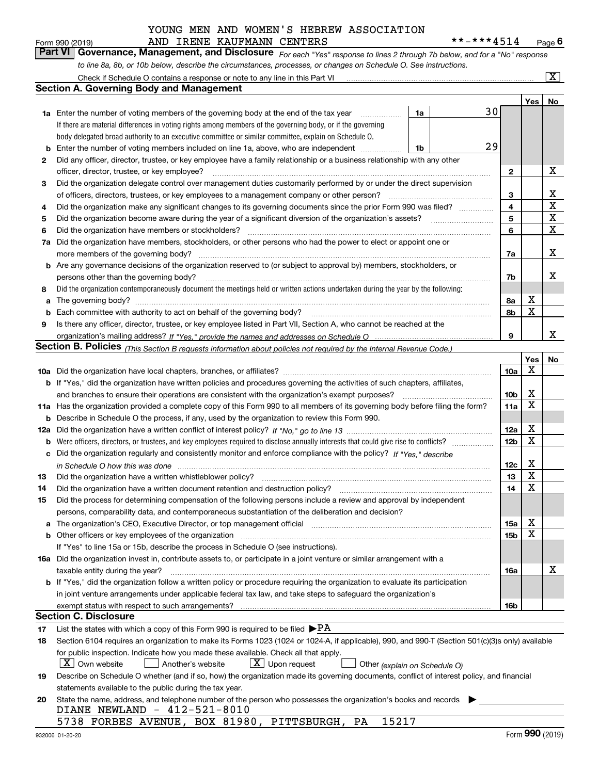| Form 990 (2019) |  | AND IRENE KAUFMANN CENTERS |                                                                                                                  | **-***4514                                                                                                                    | $P_{\text{aqe}}$ 6 |
|-----------------|--|----------------------------|------------------------------------------------------------------------------------------------------------------|-------------------------------------------------------------------------------------------------------------------------------|--------------------|
|                 |  |                            |                                                                                                                  | Part VI   Governance, Management, and Disclosure For each "Yes" response to lines 2 through 7b below, and for a "No" response |                    |
|                 |  |                            | to line 8a, 8b, or 10b below, describe the circumstances, processes, or changes on Schedule O. See instructions. |                                                                                                                               |                    |

|     | Check if Schedule O contains a response or note to any line in this Part VI                                                                                           |    |    |                     |     | $ {\bf X} $      |  |  |  |  |  |
|-----|-----------------------------------------------------------------------------------------------------------------------------------------------------------------------|----|----|---------------------|-----|------------------|--|--|--|--|--|
|     | <b>Section A. Governing Body and Management</b>                                                                                                                       |    |    |                     |     |                  |  |  |  |  |  |
|     |                                                                                                                                                                       |    |    |                     | Yes | No               |  |  |  |  |  |
|     | 1a Enter the number of voting members of the governing body at the end of the tax year                                                                                | 1a | 30 |                     |     |                  |  |  |  |  |  |
|     | If there are material differences in voting rights among members of the governing body, or if the governing                                                           |    |    |                     |     |                  |  |  |  |  |  |
|     | body delegated broad authority to an executive committee or similar committee, explain on Schedule O.                                                                 |    |    |                     |     |                  |  |  |  |  |  |
| b   | 29<br>Enter the number of voting members included on line 1a, above, who are independent<br>1b                                                                        |    |    |                     |     |                  |  |  |  |  |  |
| 2   | Did any officer, director, trustee, or key employee have a family relationship or a business relationship with any other                                              |    |    |                     |     |                  |  |  |  |  |  |
|     |                                                                                                                                                                       |    |    | 2                   |     | X                |  |  |  |  |  |
| 3   | officer, director, trustee, or key employee?                                                                                                                          |    |    |                     |     |                  |  |  |  |  |  |
|     | Did the organization delegate control over management duties customarily performed by or under the direct supervision                                                 |    |    |                     |     |                  |  |  |  |  |  |
|     | of officers, directors, trustees, or key employees to a management company or other person?                                                                           |    |    |                     |     |                  |  |  |  |  |  |
| 4   | Did the organization make any significant changes to its governing documents since the prior Form 990 was filed?                                                      |    |    | $\overline{4}$<br>5 |     | X<br>$\mathbf x$ |  |  |  |  |  |
| 5   |                                                                                                                                                                       |    |    |                     |     | X                |  |  |  |  |  |
| 6   | Did the organization have members or stockholders?                                                                                                                    |    |    | 6                   |     |                  |  |  |  |  |  |
| 7a  | Did the organization have members, stockholders, or other persons who had the power to elect or appoint one or                                                        |    |    |                     |     |                  |  |  |  |  |  |
|     | more members of the governing body?                                                                                                                                   |    |    | 7a                  |     | X                |  |  |  |  |  |
| b   | Are any governance decisions of the organization reserved to (or subject to approval by) members, stockholders, or                                                    |    |    |                     |     |                  |  |  |  |  |  |
|     | persons other than the governing body?                                                                                                                                |    |    | 7b                  |     | х                |  |  |  |  |  |
| 8   | Did the organization contemporaneously document the meetings held or written actions undertaken during the year by the following:                                     |    |    |                     |     |                  |  |  |  |  |  |
| a   |                                                                                                                                                                       |    |    | 8a                  | х   |                  |  |  |  |  |  |
| b   | Each committee with authority to act on behalf of the governing body?                                                                                                 |    |    | 8b                  | X   |                  |  |  |  |  |  |
| 9   | Is there any officer, director, trustee, or key employee listed in Part VII, Section A, who cannot be reached at the                                                  |    |    |                     |     |                  |  |  |  |  |  |
|     |                                                                                                                                                                       |    |    | 9                   |     | x                |  |  |  |  |  |
|     | <b>Section B. Policies</b> (This Section B requests information about policies not required by the Internal Revenue Code.)                                            |    |    |                     |     |                  |  |  |  |  |  |
|     |                                                                                                                                                                       |    |    |                     | Yes | No               |  |  |  |  |  |
|     |                                                                                                                                                                       |    |    | 10a                 | Х   |                  |  |  |  |  |  |
|     | <b>b</b> If "Yes," did the organization have written policies and procedures governing the activities of such chapters, affiliates,                                   |    |    |                     |     |                  |  |  |  |  |  |
|     | and branches to ensure their operations are consistent with the organization's exempt purposes?                                                                       |    |    |                     |     |                  |  |  |  |  |  |
|     | 11a Has the organization provided a complete copy of this Form 990 to all members of its governing body before filing the form?                                       |    |    | 11a                 | X   |                  |  |  |  |  |  |
| b   | Describe in Schedule O the process, if any, used by the organization to review this Form 990.                                                                         |    |    |                     |     |                  |  |  |  |  |  |
| 12a |                                                                                                                                                                       |    |    | 12a                 | X   |                  |  |  |  |  |  |
| b   | Were officers, directors, or trustees, and key employees required to disclose annually interests that could give rise to conflicts?                                   |    |    | 12 <sub>b</sub>     | X   |                  |  |  |  |  |  |
| с   | Did the organization regularly and consistently monitor and enforce compliance with the policy? If "Yes." describe                                                    |    |    |                     |     |                  |  |  |  |  |  |
|     | in Schedule O how this was done measured and continuum control to the distribution of the state of the state o                                                        |    |    | 12c                 | х   |                  |  |  |  |  |  |
| 13  | Did the organization have a written whistleblower policy?                                                                                                             |    |    | 13                  | X   |                  |  |  |  |  |  |
| 14  | Did the organization have a written document retention and destruction policy?                                                                                        |    |    | 14                  | X   |                  |  |  |  |  |  |
| 15  | Did the process for determining compensation of the following persons include a review and approval by independent                                                    |    |    |                     |     |                  |  |  |  |  |  |
|     | persons, comparability data, and contemporaneous substantiation of the deliberation and decision?                                                                     |    |    |                     |     |                  |  |  |  |  |  |
| а   | The organization's CEO, Executive Director, or top management official manufactured content of the organization's CEO, Executive Director, or top management official |    |    | 15a                 | Χ   |                  |  |  |  |  |  |
|     |                                                                                                                                                                       |    |    | 15b                 | x   |                  |  |  |  |  |  |
|     | If "Yes" to line 15a or 15b, describe the process in Schedule O (see instructions).                                                                                   |    |    |                     |     |                  |  |  |  |  |  |
|     | 16a Did the organization invest in, contribute assets to, or participate in a joint venture or similar arrangement with a                                             |    |    |                     |     |                  |  |  |  |  |  |
|     | taxable entity during the year?                                                                                                                                       |    |    | 16a                 |     | X                |  |  |  |  |  |
|     | b If "Yes," did the organization follow a written policy or procedure requiring the organization to evaluate its participation                                        |    |    |                     |     |                  |  |  |  |  |  |
|     | in joint venture arrangements under applicable federal tax law, and take steps to safeguard the organization's                                                        |    |    |                     |     |                  |  |  |  |  |  |
|     |                                                                                                                                                                       |    |    |                     |     |                  |  |  |  |  |  |
|     | exempt status with respect to such arrangements?<br><b>Section C. Disclosure</b>                                                                                      |    |    | 16b                 |     |                  |  |  |  |  |  |
|     |                                                                                                                                                                       |    |    |                     |     |                  |  |  |  |  |  |
| 17  | List the states with which a copy of this Form 990 is required to be filed $\blacktriangleright$ PA                                                                   |    |    |                     |     |                  |  |  |  |  |  |
| 18  | Section 6104 requires an organization to make its Forms 1023 (1024 or 1024-A, if applicable), 990, and 990-T (Section 501(c)(3)s only) available                      |    |    |                     |     |                  |  |  |  |  |  |
|     | for public inspection. Indicate how you made these available. Check all that apply.                                                                                   |    |    |                     |     |                  |  |  |  |  |  |
|     | $\lfloor X \rfloor$ Own website<br>$X$ Upon request<br>Another's website<br>Other (explain on Schedule O)                                                             |    |    |                     |     |                  |  |  |  |  |  |
| 19  | Describe on Schedule O whether (and if so, how) the organization made its governing documents, conflict of interest policy, and financial                             |    |    |                     |     |                  |  |  |  |  |  |
|     | statements available to the public during the tax year.                                                                                                               |    |    |                     |     |                  |  |  |  |  |  |
| 20  | State the name, address, and telephone number of the person who possesses the organization's books and records                                                        |    |    |                     |     |                  |  |  |  |  |  |
|     | DIANE NEWLAND - 412-521-8010                                                                                                                                          |    |    |                     |     |                  |  |  |  |  |  |
|     | 15217<br>5738 FORBES AVENUE, BOX 81980, PITTSBURGH,<br>PA                                                                                                             |    |    |                     |     |                  |  |  |  |  |  |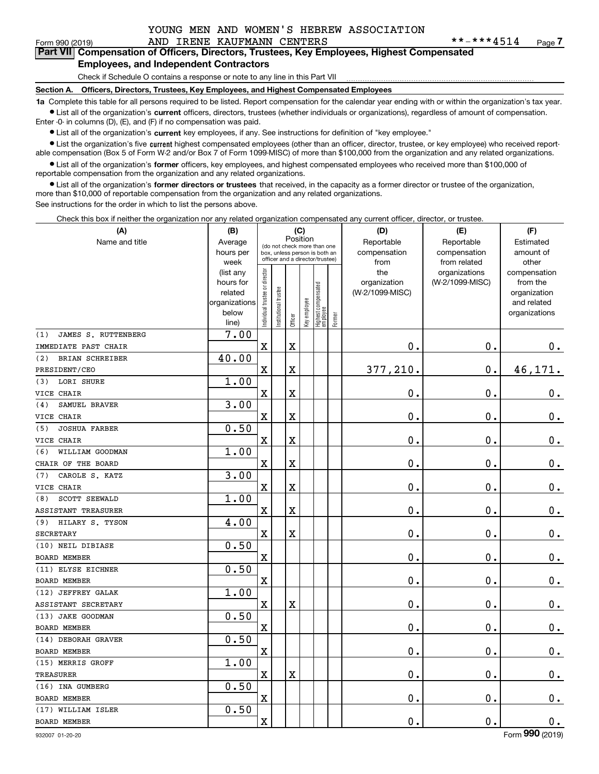## Form 990 (2019) AND IRENE KAUFMANN CENTERS \* \* - \* \* \* 4514 <sub>Page</sub> **Form 990 (2019) 1RENE KAUFMANN CENTERS** *\*\*-\*\*\*4514* **Page 7<br>Part VII** Compensation of Officers, Directors, Trustees, Key Employees, Highest Compensated **Employees, and Independent Contractors**

Check if Schedule O contains a response or note to any line in this Part VII

**Section A. Officers, Directors, Trustees, Key Employees, and Highest Compensated Employees**

**1a**  Complete this table for all persons required to be listed. Report compensation for the calendar year ending with or within the organization's tax year. **•** List all of the organization's current officers, directors, trustees (whether individuals or organizations), regardless of amount of compensation.

Enter -0- in columns (D), (E), and (F) if no compensation was paid.

 $\bullet$  List all of the organization's  $\,$ current key employees, if any. See instructions for definition of "key employee."

• List the organization's five current highest compensated employees (other than an officer, director, trustee, or key employee) who received report-■ List the organization's five current highest compensated employees (other than an officer, director, trustee, or key employee) who received report-<br>able compensation (Box 5 of Form W-2 and/or Box 7 of Form 1099-MISC) of

**•** List all of the organization's former officers, key employees, and highest compensated employees who received more than \$100,000 of reportable compensation from the organization and any related organizations.

**former directors or trustees**  ¥ List all of the organization's that received, in the capacity as a former director or trustee of the organization, more than \$10,000 of reportable compensation from the organization and any related organizations.

See instructions for the order in which to list the persons above.

Check this box if neither the organization nor any related organization compensated any current officer, director, or trustee.

| (A)                         | (B)                  |                                |                                                                  | (C)                     |              |                                   |        | (D)                        | (E)                        | (F)                    |
|-----------------------------|----------------------|--------------------------------|------------------------------------------------------------------|-------------------------|--------------|-----------------------------------|--------|----------------------------|----------------------------|------------------------|
| Name and title              | Average<br>hours per |                                | (do not check more than one                                      |                         | Position     |                                   |        | Reportable<br>compensation | Reportable<br>compensation | Estimated<br>amount of |
|                             | week                 |                                | box, unless person is both an<br>officer and a director/trustee) |                         |              |                                   |        | from                       | from related               | other                  |
|                             | (list any            |                                |                                                                  |                         |              |                                   |        | the                        | organizations              | compensation           |
|                             | hours for            |                                |                                                                  |                         |              |                                   |        | organization               | (W-2/1099-MISC)            | from the               |
|                             | related              |                                |                                                                  |                         |              |                                   |        | (W-2/1099-MISC)            |                            | organization           |
|                             | organizations        |                                |                                                                  |                         |              |                                   |        |                            |                            | and related            |
|                             | below<br>line)       | Individual trustee or director | In stitutional trustee                                           | Officer                 | Key employee | Highest compensated<br>  employee | Former |                            |                            | organizations          |
| JAMES S. RUTTENBERG<br>(1)  | 7.00                 |                                |                                                                  |                         |              |                                   |        |                            |                            |                        |
| IMMEDIATE PAST CHAIR        |                      | $\mathbf x$                    |                                                                  | $\rm X$                 |              |                                   |        | 0.                         | $\mathbf 0$ .              | 0.                     |
| BRIAN SCHREIBER<br>(2)      | 40.00                |                                |                                                                  |                         |              |                                   |        |                            |                            |                        |
| PRESIDENT/CEO               |                      | X                              |                                                                  | X                       |              |                                   |        | 377,210.                   | 0.                         | 46,171.                |
| LORI SHURE<br>(3)           | 1.00                 |                                |                                                                  |                         |              |                                   |        |                            |                            |                        |
| VICE CHAIR                  |                      | $\mathbf x$                    |                                                                  | $\overline{\textbf{X}}$ |              |                                   |        | $\mathbf 0$ .              | $\mathbf 0$ .              | $0_{.}$                |
| SAMUEL BRAVER<br>(4)        | 3.00                 |                                |                                                                  |                         |              |                                   |        |                            |                            |                        |
| VICE CHAIR                  |                      | X                              |                                                                  | $\overline{\textbf{X}}$ |              |                                   |        | 0.                         | 0.                         | $0_{.}$                |
| <b>JOSHUA FARBER</b><br>(5) | 0.50                 |                                |                                                                  |                         |              |                                   |        |                            |                            |                        |
| VICE CHAIR                  |                      | $\mathbf x$                    |                                                                  | $\overline{\textbf{X}}$ |              |                                   |        | 0.                         | $\mathbf 0$ .              | $\mathbf 0$ .          |
| WILLIAM GOODMAN<br>(6)      | 1.00                 |                                |                                                                  |                         |              |                                   |        |                            |                            |                        |
| CHAIR OF THE BOARD          |                      | X                              |                                                                  | $\overline{\textbf{X}}$ |              |                                   |        | 0.                         | $\mathbf 0$ .              | $\mathbf 0$ .          |
| CAROLE S. KATZ<br>(7)       | 3.00                 |                                |                                                                  |                         |              |                                   |        |                            |                            |                        |
| VICE CHAIR                  |                      | $\rm X$                        |                                                                  | $\overline{\textbf{X}}$ |              |                                   |        | $\mathbf 0$ .              | $\mathbf 0$ .              | $\mathbf 0$ .          |
| SCOTT SEEWALD<br>(8)        | 1.00                 |                                |                                                                  |                         |              |                                   |        |                            |                            |                        |
| ASSISTANT TREASURER         |                      | X                              |                                                                  | $\overline{\textbf{X}}$ |              |                                   |        | $\mathbf 0$ .              | 0.                         | $\mathbf 0$ .          |
| HILARY S. TYSON<br>(9)      | 4.00                 |                                |                                                                  |                         |              |                                   |        |                            |                            |                        |
| SECRETARY                   |                      | $\mathbf x$                    |                                                                  | $\rm X$                 |              |                                   |        | 0.                         | $\mathbf 0$ .              | $\mathbf 0$ .          |
| (10) NEIL DIBIASE           | 0.50                 |                                |                                                                  |                         |              |                                   |        |                            |                            |                        |
| <b>BOARD MEMBER</b>         |                      | X                              |                                                                  |                         |              |                                   |        | $\mathbf 0$ .              | $\mathbf 0$ .              | $\mathbf 0$ .          |
| (11) ELYSE EICHNER          | 0.50                 |                                |                                                                  |                         |              |                                   |        |                            |                            |                        |
| <b>BOARD MEMBER</b>         |                      | $\rm X$                        |                                                                  |                         |              |                                   |        | 0.                         | $\mathbf 0$ .              | $\mathbf 0$ .          |
| (12) JEFFREY GALAK          | 1.00                 |                                |                                                                  |                         |              |                                   |        |                            |                            |                        |
| ASSISTANT SECRETARY         |                      | X                              |                                                                  | $\overline{\mathbf{X}}$ |              |                                   |        | $\mathbf 0$ .              | $\mathbf 0$ .              | $\mathbf 0$ .          |
| (13) JAKE GOODMAN           | 0.50                 |                                |                                                                  |                         |              |                                   |        |                            |                            |                        |
| <b>BOARD MEMBER</b>         |                      | $\rm X$                        |                                                                  |                         |              |                                   |        | 0.                         | $\mathbf 0$ .              | $0$ .                  |
| (14) DEBORAH GRAVER         | 0.50                 |                                |                                                                  |                         |              |                                   |        |                            |                            |                        |
| BOARD MEMBER                |                      | X                              |                                                                  |                         |              |                                   |        | 0.                         | $\mathbf 0$ .              | $0$ .                  |
| (15) MERRIS GROFF           | 1.00                 |                                |                                                                  |                         |              |                                   |        |                            |                            |                        |
| <b>TREASURER</b>            |                      | $\mathbf x$                    |                                                                  | $\rm X$                 |              |                                   |        | $\mathbf 0$ .              | $\mathbf 0$ .              | $\mathbf 0$ .          |
| (16) INA GUMBERG            | 0.50                 |                                |                                                                  |                         |              |                                   |        |                            |                            |                        |
| BOARD MEMBER                |                      | $\overline{\textbf{X}}$        |                                                                  |                         |              |                                   |        | $\mathbf 0$ .              | $\mathbf 0$ .              | $\mathbf 0$ .          |
| (17) WILLIAM ISLER          | 0.50                 |                                |                                                                  |                         |              |                                   |        |                            |                            |                        |
| <b>BOARD MEMBER</b>         |                      | $\mathbf x$                    |                                                                  |                         |              |                                   |        | $\mathbf{0}$ .             | 0.                         | 0.                     |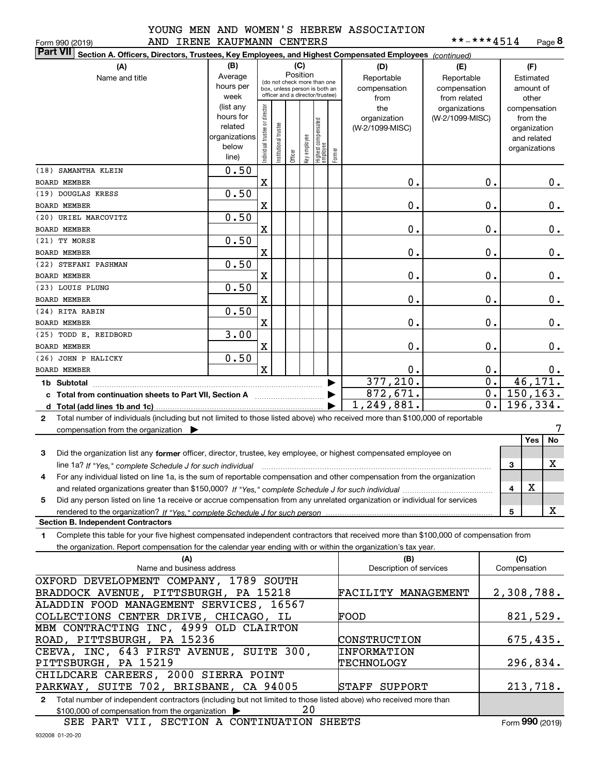|  |  |  | --         |
|--|--|--|------------|
|  |  |  | <b>A A</b> |

|  |  | **-***4514 | Page 8 |
|--|--|------------|--------|
|--|--|------------|--------|

| AND IRENE KAUFMANN CENTERS<br>Form 990 (2019)                                                                                                   |               |                               |                      |          |                         |                                                              |        |                         | **-***4514      |                  |               | Page 8     |
|-------------------------------------------------------------------------------------------------------------------------------------------------|---------------|-------------------------------|----------------------|----------|-------------------------|--------------------------------------------------------------|--------|-------------------------|-----------------|------------------|---------------|------------|
| <b>Part VII</b><br>Section A. Officers, Directors, Trustees, Key Employees, and Highest Compensated Employees (continued)                       |               |                               |                      |          |                         |                                                              |        |                         |                 |                  |               |            |
| (A)                                                                                                                                             | (B)           |                               |                      |          | (C)                     |                                                              |        | (D)                     | (E)             |                  | (F)           |            |
| Name and title                                                                                                                                  | Average       |                               |                      | Position |                         |                                                              |        | Reportable              | Reportable      |                  | Estimated     |            |
|                                                                                                                                                 | hours per     |                               |                      |          |                         | (do not check more than one<br>box, unless person is both an |        | compensation            | compensation    |                  | amount of     |            |
|                                                                                                                                                 | week          |                               |                      |          |                         | officer and a director/trustee)                              |        | from                    | from related    |                  | other         |            |
|                                                                                                                                                 | (list any     |                               |                      |          |                         |                                                              |        | the                     | organizations   |                  | compensation  |            |
|                                                                                                                                                 | hours for     |                               |                      |          |                         |                                                              |        | organization            | (W-2/1099-MISC) |                  | from the      |            |
|                                                                                                                                                 | related       |                               |                      |          |                         |                                                              |        | (W-2/1099-MISC)         |                 |                  | organization  |            |
|                                                                                                                                                 | organizations |                               |                      |          |                         |                                                              |        |                         |                 |                  | and related   |            |
|                                                                                                                                                 | below         | ndividual trustee or director | nstitutional trustee |          |                         |                                                              |        |                         |                 |                  | organizations |            |
|                                                                                                                                                 | line)         |                               |                      |          | Officer<br>Key employee | Highest compensated<br>employee                              | Former |                         |                 |                  |               |            |
| (18) SAMANTHA KLEIN                                                                                                                             | 0.50          |                               |                      |          |                         |                                                              |        |                         |                 |                  |               |            |
| <b>BOARD MEMBER</b>                                                                                                                             |               | $\mathbf X$                   |                      |          |                         |                                                              |        | 0.                      |                 | 0.               |               | 0.         |
| (19) DOUGLAS KRESS                                                                                                                              | 0.50          |                               |                      |          |                         |                                                              |        |                         |                 |                  |               |            |
| <b>BOARD MEMBER</b>                                                                                                                             |               | $\mathbf X$                   |                      |          |                         |                                                              |        | 0.                      |                 | 0.               |               | 0.         |
| (20) URIEL MARCOVITZ                                                                                                                            | 0.50          |                               |                      |          |                         |                                                              |        |                         |                 |                  |               |            |
| BOARD MEMBER                                                                                                                                    |               | $\mathbf X$                   |                      |          |                         |                                                              |        | 0.                      |                 | 0.               |               | 0.         |
| (21) TY MORSE                                                                                                                                   | 0.50          |                               |                      |          |                         |                                                              |        |                         |                 |                  |               |            |
| <b>BOARD MEMBER</b>                                                                                                                             |               | $\mathbf X$                   |                      |          |                         |                                                              |        | 0.                      |                 | 0.               |               | 0.         |
| (22) STEFANI PASHMAN                                                                                                                            | 0.50          |                               |                      |          |                         |                                                              |        |                         |                 |                  |               |            |
| <b>BOARD MEMBER</b>                                                                                                                             |               | $\mathbf X$                   |                      |          |                         |                                                              |        | 0.                      |                 | 0.               |               | 0.         |
| (23) LOUIS PLUNG                                                                                                                                | 0.50          |                               |                      |          |                         |                                                              |        |                         |                 |                  |               |            |
| <b>BOARD MEMBER</b>                                                                                                                             |               | $\mathbf X$                   |                      |          |                         |                                                              |        | 0.                      |                 | 0.               |               | 0.         |
| (24) RITA RABIN                                                                                                                                 | 0.50          |                               |                      |          |                         |                                                              |        |                         |                 |                  |               |            |
| <b>BOARD MEMBER</b>                                                                                                                             |               | $\mathbf X$                   |                      |          |                         |                                                              |        | 0.                      |                 | 0.               |               |            |
|                                                                                                                                                 |               |                               |                      |          |                         |                                                              |        |                         |                 |                  |               | 0.         |
| (25) TODD E. REIDBORD                                                                                                                           | 3.00          |                               |                      |          |                         |                                                              |        |                         |                 |                  |               |            |
| <b>BOARD MEMBER</b>                                                                                                                             |               | X                             |                      |          |                         |                                                              |        | 0.                      |                 | 0.               |               | 0.         |
| (26) JOHN P HALICKY                                                                                                                             | 0.50          |                               |                      |          |                         |                                                              |        |                         |                 |                  |               |            |
| <b>BOARD MEMBER</b>                                                                                                                             |               | $\mathbf x$                   |                      |          |                         |                                                              |        | 0.                      |                 | 0.               |               | 0.         |
| 1b Subtotal                                                                                                                                     |               |                               |                      |          |                         |                                                              |        | 377,210.                |                 | $\overline{0}$ . |               | 46,171.    |
| c Total from continuation sheets to Part VII, Section A <b>Constant Contact Part</b>                                                            |               |                               |                      |          |                         |                                                              |        | 872,671.                |                 | 0.               |               | 150, 163.  |
|                                                                                                                                                 |               |                               |                      |          |                         |                                                              |        | 1, 249, 881.            |                 | $\overline{0}$ . |               | 196,334.   |
| Total number of individuals (including but not limited to those listed above) who received more than \$100,000 of reportable<br>$\mathbf{2}$    |               |                               |                      |          |                         |                                                              |        |                         |                 |                  |               |            |
| compensation from the organization $\blacktriangleright$                                                                                        |               |                               |                      |          |                         |                                                              |        |                         |                 |                  |               |            |
|                                                                                                                                                 |               |                               |                      |          |                         |                                                              |        |                         |                 |                  | Yes           | No         |
| 3<br>Did the organization list any former officer, director, trustee, key employee, or highest compensated employee on                          |               |                               |                      |          |                         |                                                              |        |                         |                 |                  |               |            |
| line 1a? If "Yes," complete Schedule J for such individual manufactured contained and the 1a? If "Yes," complete Schedule J for such individual |               |                               |                      |          |                         |                                                              |        |                         |                 |                  | 3             | x          |
| For any individual listed on line 1a, is the sum of reportable compensation and other compensation from the organization                        |               |                               |                      |          |                         |                                                              |        |                         |                 |                  |               |            |
|                                                                                                                                                 |               |                               |                      |          |                         |                                                              |        |                         |                 |                  | х<br>4        |            |
| Did any person listed on line 1a receive or accrue compensation from any unrelated organization or individual for services<br>5                 |               |                               |                      |          |                         |                                                              |        |                         |                 |                  |               |            |
| rendered to the organization? If "Yes." complete Schedule J for such person                                                                     |               |                               |                      |          |                         |                                                              |        |                         |                 |                  | 5             | x          |
| <b>Section B. Independent Contractors</b>                                                                                                       |               |                               |                      |          |                         |                                                              |        |                         |                 |                  |               |            |
| Complete this table for your five highest compensated independent contractors that received more than \$100,000 of compensation from<br>1.      |               |                               |                      |          |                         |                                                              |        |                         |                 |                  |               |            |
| the organization. Report compensation for the calendar year ending with or within the organization's tax year.                                  |               |                               |                      |          |                         |                                                              |        |                         |                 |                  |               |            |
| (A)                                                                                                                                             |               |                               |                      |          |                         |                                                              |        | (B)                     |                 |                  | (C)           |            |
| Name and business address                                                                                                                       |               |                               |                      |          |                         |                                                              |        | Description of services |                 |                  | Compensation  |            |
| OXFORD DEVELOPMENT COMPANY, 1789 SOUTH                                                                                                          |               |                               |                      |          |                         |                                                              |        |                         |                 |                  |               |            |
| BRADDOCK AVENUE, PITTSBURGH, PA 15218                                                                                                           |               |                               |                      |          |                         |                                                              |        | FACILITY MANAGEMENT     |                 |                  |               | 2,308,788. |
| ALADDIN FOOD MANAGEMENT SERVICES, 16567                                                                                                         |               |                               |                      |          |                         |                                                              |        |                         |                 |                  |               |            |
|                                                                                                                                                 |               |                               |                      |          |                         |                                                              |        |                         |                 |                  |               |            |
| COLLECTIONS CENTER DRIVE, CHICAGO, IL                                                                                                           |               |                               |                      |          |                         |                                                              |        | FOOD                    |                 |                  |               | 821, 529.  |
| MBM CONTRACTING INC, 4999 OLD CLAIRTON                                                                                                          |               |                               |                      |          |                         |                                                              |        |                         |                 |                  |               |            |
| ROAD, PITTSBURGH, PA 15236                                                                                                                      |               |                               |                      |          |                         |                                                              |        | CONSTRUCTION            |                 |                  |               | 675,435.   |
| CEEVA, INC, 643 FIRST AVENUE, SUITE 300,                                                                                                        |               |                               |                      |          |                         |                                                              |        | INFORMATION             |                 |                  |               |            |
| PITTSBURGH, PA 15219                                                                                                                            |               |                               |                      |          |                         |                                                              |        | <b>TECHNOLOGY</b>       |                 |                  |               | 296,834.   |
| CHILDCARE CAREERS, 2000 SIERRA POINT                                                                                                            |               |                               |                      |          |                         |                                                              |        |                         |                 |                  |               |            |
| PARKWAY, SUITE 702, BRISBANE, CA 94005                                                                                                          |               |                               |                      |          |                         |                                                              |        | STAFF SUPPORT           |                 |                  |               | 213,718.   |

**2**Total number of independent contractors (including but not limited to those listed above) who received more than \$100,000 of compensation from the organization 20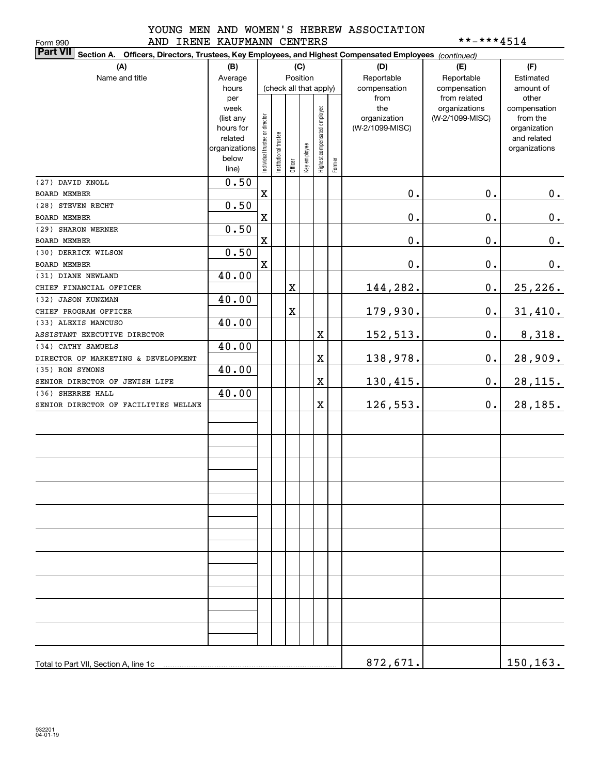## YOUNG MEN AND WOMEN'S HEBREW ASSOCIATION AND IRENE KAUFMANN CENTERS \*\*-\*\*\*4514

| **-***4514<br>AND IRENE KAUFMANN CENTERS<br>Form 990                                                                      |                          |                                |                       |             |              |                              |        |                 |                 |                              |  |  |
|---------------------------------------------------------------------------------------------------------------------------|--------------------------|--------------------------------|-----------------------|-------------|--------------|------------------------------|--------|-----------------|-----------------|------------------------------|--|--|
| <b>Part VII</b><br>Section A. Officers, Directors, Trustees, Key Employees, and Highest Compensated Employees (continued) |                          |                                |                       |             |              |                              |        |                 |                 |                              |  |  |
| (A)                                                                                                                       | (B)                      |                                |                       |             | (C)          |                              |        | (D)             | (E)             | (F)                          |  |  |
| Name and title                                                                                                            | Average                  |                                |                       |             | Position     |                              |        | Reportable      | Reportable      | Estimated                    |  |  |
|                                                                                                                           | hours                    |                                |                       |             |              | (check all that apply)       |        | compensation    | compensation    | amount of                    |  |  |
|                                                                                                                           | per                      |                                |                       |             |              |                              |        | from            | from related    | other                        |  |  |
|                                                                                                                           | week                     |                                |                       |             |              |                              |        | the             | organizations   | compensation                 |  |  |
|                                                                                                                           | (list any                |                                |                       |             |              |                              |        | organization    | (W-2/1099-MISC) | from the                     |  |  |
|                                                                                                                           | hours for                |                                |                       |             |              |                              |        | (W-2/1099-MISC) |                 | organization                 |  |  |
|                                                                                                                           | related<br>organizations |                                |                       |             |              |                              |        |                 |                 | and related<br>organizations |  |  |
|                                                                                                                           | below                    | Individual trustee or director | Institutional trustee |             | Key employee |                              |        |                 |                 |                              |  |  |
|                                                                                                                           | line)                    |                                |                       | Officer     |              | Highest compensated employee | Former |                 |                 |                              |  |  |
| (27) DAVID KNOLL                                                                                                          | 0.50                     |                                |                       |             |              |                              |        |                 |                 |                              |  |  |
| <b>BOARD MEMBER</b>                                                                                                       |                          | $\mathbf X$                    |                       |             |              |                              |        | 0.              | $\mathbf 0$ .   | 0.                           |  |  |
| (28) STEVEN RECHT                                                                                                         | 0.50                     |                                |                       |             |              |                              |        |                 |                 |                              |  |  |
| BOARD MEMBER                                                                                                              |                          | $\mathbf X$                    |                       |             |              |                              |        | 0.              | $\mathbf 0$ .   | $\mathbf 0$ .                |  |  |
| (29) SHARON WERNER                                                                                                        | 0.50                     |                                |                       |             |              |                              |        |                 |                 |                              |  |  |
| <b>BOARD MEMBER</b>                                                                                                       |                          | $\mathbf X$                    |                       |             |              |                              |        | 0.              | $\mathbf 0$ .   | $\mathbf 0$ .                |  |  |
| (30) DERRICK WILSON                                                                                                       | 0.50                     |                                |                       |             |              |                              |        |                 |                 |                              |  |  |
| BOARD MEMBER                                                                                                              |                          | $\mathbf X$                    |                       |             |              |                              |        | 0.              | $\mathbf 0$ .   | 0.                           |  |  |
| (31) DIANE NEWLAND                                                                                                        | 40.00                    |                                |                       |             |              |                              |        |                 |                 |                              |  |  |
| CHIEF FINANCIAL OFFICER                                                                                                   |                          |                                |                       | $\mathbf X$ |              |                              |        | 144,282.        | $\mathbf 0$ .   | 25, 226.                     |  |  |
| (32) JASON KUNZMAN                                                                                                        | 40.00                    |                                |                       |             |              |                              |        |                 |                 |                              |  |  |
| CHIEF PROGRAM OFFICER                                                                                                     |                          |                                |                       | $\mathbf X$ |              |                              |        | 179,930.        | $\mathbf 0$ .   | 31,410.                      |  |  |
| (33) ALEXIS MANCUSO                                                                                                       | 40.00                    |                                |                       |             |              |                              |        |                 |                 |                              |  |  |
| ASSISTANT EXECUTIVE DIRECTOR                                                                                              |                          |                                |                       |             |              | X                            |        | 152,513.        | $\mathbf 0$ .   | 8,318.                       |  |  |
| (34) CATHY SAMUELS                                                                                                        | 40.00                    |                                |                       |             |              |                              |        |                 |                 |                              |  |  |
| DIRECTOR OF MARKETING & DEVELOPMENT                                                                                       |                          |                                |                       |             |              | X                            |        | 138,978.        | $\mathbf 0$ .   | 28,909.                      |  |  |
| (35) RON SYMONS                                                                                                           | 40.00                    |                                |                       |             |              |                              |        |                 |                 |                              |  |  |
| SENIOR DIRECTOR OF JEWISH LIFE                                                                                            |                          |                                |                       |             |              | X                            |        | 130,415.        | $\mathbf 0$ .   | <u>28,115.</u>               |  |  |
| (36) SHERREE HALL                                                                                                         | 40.00                    |                                |                       |             |              |                              |        |                 |                 |                              |  |  |
| SENIOR DIRECTOR OF FACILITIES WELLNE                                                                                      |                          |                                |                       |             |              | X                            |        | 126,553.        | $0\cdot$        | 28,185.                      |  |  |
|                                                                                                                           |                          |                                |                       |             |              |                              |        |                 |                 |                              |  |  |
|                                                                                                                           |                          |                                |                       |             |              |                              |        |                 |                 |                              |  |  |
|                                                                                                                           |                          |                                |                       |             |              |                              |        |                 |                 |                              |  |  |
|                                                                                                                           |                          |                                |                       |             |              |                              |        |                 |                 |                              |  |  |
|                                                                                                                           |                          |                                |                       |             |              |                              |        |                 |                 |                              |  |  |
|                                                                                                                           |                          |                                |                       |             |              |                              |        |                 |                 |                              |  |  |
|                                                                                                                           |                          |                                |                       |             |              |                              |        |                 |                 |                              |  |  |
|                                                                                                                           |                          |                                |                       |             |              |                              |        |                 |                 |                              |  |  |
|                                                                                                                           |                          |                                |                       |             |              |                              |        |                 |                 |                              |  |  |
|                                                                                                                           |                          |                                |                       |             |              |                              |        |                 |                 |                              |  |  |
|                                                                                                                           |                          |                                |                       |             |              |                              |        |                 |                 |                              |  |  |
|                                                                                                                           |                          |                                |                       |             |              |                              |        |                 |                 |                              |  |  |
|                                                                                                                           |                          |                                |                       |             |              |                              |        |                 |                 |                              |  |  |
|                                                                                                                           |                          |                                |                       |             |              |                              |        |                 |                 |                              |  |  |
|                                                                                                                           |                          |                                |                       |             |              |                              |        |                 |                 |                              |  |  |
|                                                                                                                           |                          |                                |                       |             |              |                              |        |                 |                 |                              |  |  |
|                                                                                                                           |                          |                                |                       |             |              |                              |        |                 |                 |                              |  |  |
|                                                                                                                           |                          |                                |                       |             |              |                              |        |                 |                 |                              |  |  |
|                                                                                                                           |                          |                                |                       |             |              |                              |        |                 |                 |                              |  |  |
|                                                                                                                           |                          |                                |                       |             |              |                              |        |                 |                 |                              |  |  |
| Total to Part VII, Section A, line 1c                                                                                     |                          |                                |                       |             |              |                              |        | 872,671.        |                 | 150,163.                     |  |  |
|                                                                                                                           |                          |                                |                       |             |              |                              |        |                 |                 |                              |  |  |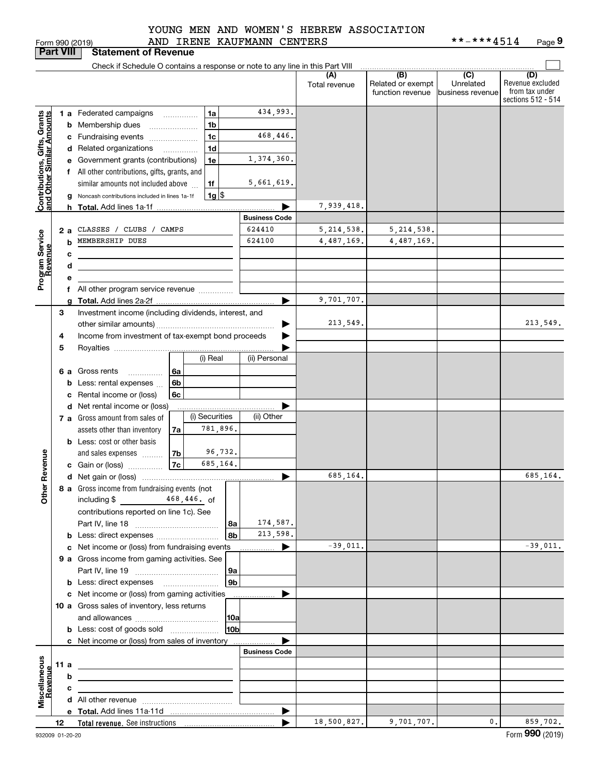| $\sim$ $(0.01)$ |  |  |
|-----------------|--|--|
|                 |  |  |
|                 |  |  |
|                 |  |  |
|                 |  |  |
|                 |  |  |

## AND IRENE KAUFMANN CENTERS YOUNG MEN AND WOMEN'S HEBREW ASSOCIATION

|                                               | <b>Part VIII</b> |   | <b>Statement of Revenue</b>                                                                                          |                      |                      |                                              |                                                 |                                                                 |
|-----------------------------------------------|------------------|---|----------------------------------------------------------------------------------------------------------------------|----------------------|----------------------|----------------------------------------------|-------------------------------------------------|-----------------------------------------------------------------|
|                                               |                  |   | Check if Schedule O contains a response or note to any line in this Part VIII                                        |                      |                      |                                              |                                                 |                                                                 |
|                                               |                  |   |                                                                                                                      |                      | (A)<br>Total revenue | (B)<br>Related or exempt<br>function revenue | $\overline{C}$<br>Unrelated<br>business revenue | (D)<br>Revenue excluded<br>from tax under<br>sections 512 - 514 |
|                                               |                  |   | 1 a Federated campaigns<br>1a                                                                                        | 434,993.             |                      |                                              |                                                 |                                                                 |
| , Grants<br>Imounts                           |                  |   | 1 <sub>b</sub><br><b>b</b> Membership dues<br>$\ldots \ldots \ldots \ldots \ldots$                                   |                      |                      |                                              |                                                 |                                                                 |
|                                               |                  |   | 1c<br>c Fundraising events                                                                                           | 468,446.             |                      |                                              |                                                 |                                                                 |
| Contributions, Gifts,<br>and Other Similar Ar |                  |   | 1 <sub>d</sub><br>d Related organizations<br>$\overline{\phantom{a}}$                                                |                      |                      |                                              |                                                 |                                                                 |
|                                               |                  |   | e Government grants (contributions)<br>1e                                                                            | 1,374,360.           |                      |                                              |                                                 |                                                                 |
|                                               |                  |   | f All other contributions, gifts, grants, and                                                                        |                      |                      |                                              |                                                 |                                                                 |
|                                               |                  |   | similar amounts not included above<br>1f                                                                             | 5,661,619.           |                      |                                              |                                                 |                                                                 |
|                                               |                  |   | $1g$ $\frac{1}{3}$<br>Noncash contributions included in lines 1a-1f                                                  |                      |                      |                                              |                                                 |                                                                 |
|                                               |                  |   |                                                                                                                      |                      | 7,939,418.           |                                              |                                                 |                                                                 |
|                                               |                  |   |                                                                                                                      | <b>Business Code</b> |                      |                                              |                                                 |                                                                 |
|                                               | 2а               |   | CLASSES / CLUBS / CAMPS                                                                                              | 624410               | 5, 214, 538.         | 5, 214, 538.                                 |                                                 |                                                                 |
|                                               |                  |   | <b>b</b> MEMBERSHIP DUES                                                                                             | 624100               | 4,487,169.           | 4,487,169.                                   |                                                 |                                                                 |
|                                               |                  | с |                                                                                                                      |                      |                      |                                              |                                                 |                                                                 |
|                                               |                  | d |                                                                                                                      |                      |                      |                                              |                                                 |                                                                 |
| Program Service<br>Revenue                    |                  | е |                                                                                                                      |                      |                      |                                              |                                                 |                                                                 |
|                                               |                  |   | f All other program service revenue                                                                                  |                      |                      |                                              |                                                 |                                                                 |
|                                               |                  | a |                                                                                                                      |                      | 9,701,707.           |                                              |                                                 |                                                                 |
|                                               | З                |   | Investment income (including dividends, interest, and                                                                |                      | 213,549.             |                                              |                                                 | 213,549.                                                        |
|                                               | 4                |   | Income from investment of tax-exempt bond proceeds                                                                   |                      |                      |                                              |                                                 |                                                                 |
|                                               | 5                |   |                                                                                                                      |                      |                      |                                              |                                                 |                                                                 |
|                                               |                  |   | (i) Real                                                                                                             | (ii) Personal        |                      |                                              |                                                 |                                                                 |
|                                               |                  |   | <b>6 a</b> Gross rents<br>6a<br>.                                                                                    |                      |                      |                                              |                                                 |                                                                 |
|                                               |                  |   | <b>b</b> Less: rental expenses<br>6b                                                                                 |                      |                      |                                              |                                                 |                                                                 |
|                                               |                  |   | c Rental income or (loss)<br>6c                                                                                      |                      |                      |                                              |                                                 |                                                                 |
|                                               |                  |   | d Net rental income or (loss)                                                                                        |                      |                      |                                              |                                                 |                                                                 |
|                                               |                  |   | (i) Securities<br>7 a Gross amount from sales of                                                                     | (ii) Other           |                      |                                              |                                                 |                                                                 |
|                                               |                  |   | 781,896.<br>assets other than inventory<br>7a                                                                        |                      |                      |                                              |                                                 |                                                                 |
|                                               |                  |   | <b>b</b> Less: cost or other basis                                                                                   |                      |                      |                                              |                                                 |                                                                 |
|                                               |                  |   | 96,732.<br>7b<br>and sales expenses                                                                                  |                      |                      |                                              |                                                 |                                                                 |
| Revenue                                       |                  |   | 685,164.<br>7c<br>c Gain or (loss)                                                                                   |                      |                      |                                              |                                                 |                                                                 |
|                                               |                  |   |                                                                                                                      | ▶                    | 685,164.             |                                              |                                                 | 685,164.                                                        |
| <b>Othe</b>                                   |                  |   | 8 a Gross income from fundraising events (not<br>$468, 446.$ of<br>including $$$                                     |                      |                      |                                              |                                                 |                                                                 |
|                                               |                  |   | contributions reported on line 1c). See                                                                              |                      |                      |                                              |                                                 |                                                                 |
|                                               |                  |   | 8a<br>8b                                                                                                             | 174,587.<br>213,598. |                      |                                              |                                                 |                                                                 |
|                                               |                  |   | c Net income or (loss) from fundraising events                                                                       | ▶                    | $-39,011.$           |                                              |                                                 | $-39,011.$                                                      |
|                                               |                  |   | 9 a Gross income from gaming activities. See                                                                         |                      |                      |                                              |                                                 |                                                                 |
|                                               |                  |   | 9a                                                                                                                   |                      |                      |                                              |                                                 |                                                                 |
|                                               |                  |   | 9 <sub>b</sub><br><b>b</b> Less: direct expenses <b>manually</b>                                                     |                      |                      |                                              |                                                 |                                                                 |
|                                               |                  |   | c Net income or (loss) from gaming activities                                                                        | .                    |                      |                                              |                                                 |                                                                 |
|                                               |                  |   | 10 a Gross sales of inventory, less returns                                                                          |                      |                      |                                              |                                                 |                                                                 |
|                                               |                  |   | 10a                                                                                                                  |                      |                      |                                              |                                                 |                                                                 |
|                                               |                  |   | 10b<br><b>b</b> Less: cost of goods sold                                                                             |                      |                      |                                              |                                                 |                                                                 |
|                                               |                  |   | c Net income or (loss) from sales of inventory                                                                       |                      |                      |                                              |                                                 |                                                                 |
|                                               |                  |   |                                                                                                                      | <b>Business Code</b> |                      |                                              |                                                 |                                                                 |
|                                               | 11 a             |   | <u> 1989 - Johann Harry Barn, mars ar breist fan de Amerikaansk kommunent fan de Amerikaanske kommunent fan de A</u> |                      |                      |                                              |                                                 |                                                                 |
| Miscellaneous<br>Revenue                      |                  | b |                                                                                                                      |                      |                      |                                              |                                                 |                                                                 |
|                                               |                  | c | the contract of the contract of the contract of the contract of the contract of                                      |                      |                      |                                              |                                                 |                                                                 |
|                                               |                  |   |                                                                                                                      |                      |                      |                                              |                                                 |                                                                 |
|                                               |                  |   |                                                                                                                      | ▶                    |                      |                                              |                                                 |                                                                 |
|                                               | 12               |   |                                                                                                                      |                      | 18,500,827.          | 9,701,707.                                   | 0.                                              | 859,702.                                                        |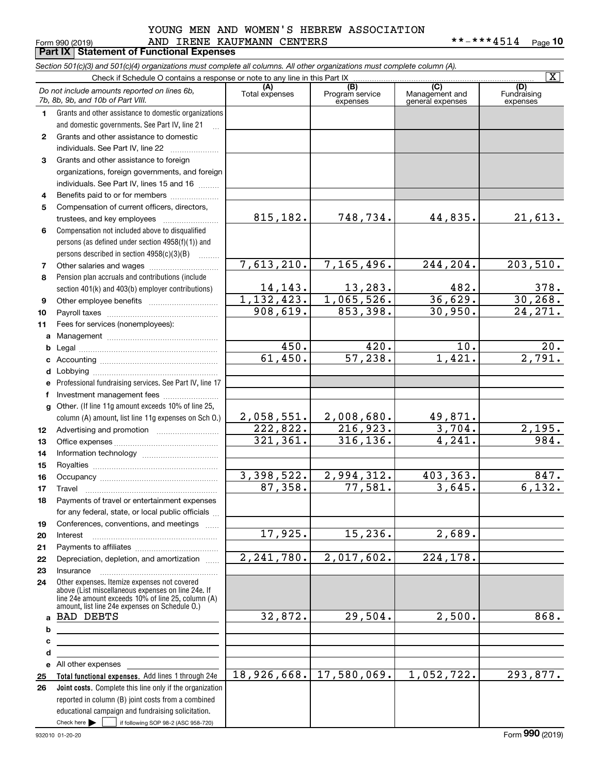## Form 990 (2019) Page **Part IX Statement of Functional Expenses** AND IRENE KAUFMANN CENTERS \*\*-\*\*\*4514 YOUNG MEN AND WOMEN'S HEBREW ASSOCIATION

**10**

|              | Section 501(c)(3) and 501(c)(4) organizations must complete all columns. All other organizations must complete column (A).                               |                       |                                    |                                           |                         |
|--------------|----------------------------------------------------------------------------------------------------------------------------------------------------------|-----------------------|------------------------------------|-------------------------------------------|-------------------------|
|              | Check if Schedule O contains a response or note to any line in this Part IX                                                                              |                       |                                    |                                           | $\overline{\mathbf{x}}$ |
|              | Do not include amounts reported on lines 6b,<br>7b, 8b, 9b, and 10b of Part VIII.                                                                        | (A)<br>Total expenses | (B)<br>Program service<br>expenses | (C)<br>Management and<br>general expenses | Fundraising<br>expenses |
| $\mathbf{1}$ | Grants and other assistance to domestic organizations                                                                                                    |                       |                                    |                                           |                         |
|              | and domestic governments. See Part IV, line 21                                                                                                           |                       |                                    |                                           |                         |
| $\mathbf{2}$ | Grants and other assistance to domestic                                                                                                                  |                       |                                    |                                           |                         |
|              | individuals. See Part IV, line 22                                                                                                                        |                       |                                    |                                           |                         |
| 3            | Grants and other assistance to foreign                                                                                                                   |                       |                                    |                                           |                         |
|              | organizations, foreign governments, and foreign                                                                                                          |                       |                                    |                                           |                         |
|              | individuals. See Part IV, lines 15 and 16                                                                                                                |                       |                                    |                                           |                         |
| 4            | Benefits paid to or for members                                                                                                                          |                       |                                    |                                           |                         |
| 5            | Compensation of current officers, directors,                                                                                                             |                       |                                    |                                           |                         |
|              | trustees, and key employees                                                                                                                              | 815,182.              | 748,734.                           | 44,835.                                   | 21,613.                 |
| 6            | Compensation not included above to disqualified                                                                                                          |                       |                                    |                                           |                         |
|              | persons (as defined under section 4958(f)(1)) and                                                                                                        |                       |                                    |                                           |                         |
|              | persons described in section 4958(c)(3)(B)                                                                                                               |                       |                                    |                                           |                         |
| 7            |                                                                                                                                                          | 7,613,210.            | 7,165,496.                         | 244,204.                                  | 203,510.                |
| 8            | Pension plan accruals and contributions (include                                                                                                         |                       |                                    |                                           |                         |
|              | section 401(k) and 403(b) employer contributions)                                                                                                        | 14, 143.              | 13,283.                            | 482.                                      | $\frac{378}{30,268}$    |
| 9            |                                                                                                                                                          | 1, 132, 423.          | 1,065,526.                         | 36,629.                                   |                         |
| 10           |                                                                                                                                                          | 908,619.              | 853,398.                           | 30,950.                                   | 24, 271.                |
| 11           | Fees for services (nonemployees):                                                                                                                        |                       |                                    |                                           |                         |
|              |                                                                                                                                                          |                       |                                    |                                           |                         |
| b            |                                                                                                                                                          | 450.                  | 420.                               | 10.                                       | 20.                     |
|              |                                                                                                                                                          | 61,450.               | 57,238.                            | 1,421.                                    | $\overline{2,791.}$     |
| d            |                                                                                                                                                          |                       |                                    |                                           |                         |
| е            | Professional fundraising services. See Part IV, line 17                                                                                                  |                       |                                    |                                           |                         |
| f            | Investment management fees                                                                                                                               |                       |                                    |                                           |                         |
|              | g Other. (If line 11g amount exceeds 10% of line 25,                                                                                                     |                       |                                    |                                           |                         |
|              | column (A) amount, list line 11g expenses on Sch O.)                                                                                                     | 2,058,551.            | 2,008,680.                         | 49,871.                                   |                         |
| 12           |                                                                                                                                                          | 222,822.              | 216,923.                           | 3,704.                                    | 2,195.                  |
| 13           |                                                                                                                                                          | 321,361.              | 316, 136.                          | $\overline{4}$ , 241.                     | 984.                    |
| 14           |                                                                                                                                                          |                       |                                    |                                           |                         |
| 15           |                                                                                                                                                          |                       |                                    |                                           |                         |
| 16           |                                                                                                                                                          | 3,398,522.            | 2,994,312.                         | 403, 363.<br>3,645.                       | 847.<br>6,132.          |
| 17           |                                                                                                                                                          | 87,358.               | 77,581.                            |                                           |                         |
| 18           | Payments of travel or entertainment expenses                                                                                                             |                       |                                    |                                           |                         |
|              | for any federal, state, or local public officials                                                                                                        |                       |                                    |                                           |                         |
| 19           | Conferences, conventions, and meetings                                                                                                                   | 17,925.               | 15, 236.                           | 2,689.                                    |                         |
| 20           | Interest                                                                                                                                                 |                       |                                    |                                           |                         |
| 21<br>22     | Depreciation, depletion, and amortization                                                                                                                | 2, 241, 780.          | 2,017,602.                         | 224,178.                                  |                         |
| 23           | Insurance                                                                                                                                                |                       |                                    |                                           |                         |
| 24           | Other expenses. Itemize expenses not covered<br>above (List miscellaneous expenses on line 24e. If<br>line 24e amount exceeds 10% of line 25, column (A) |                       |                                    |                                           |                         |
| a            | amount, list line 24e expenses on Schedule O.)<br><b>BAD DEBTS</b>                                                                                       | 32,872.               | 29,504.                            | 2,500.                                    | 868.                    |
| b            | <u> 1989 - Johann Stein, mars an de Brazilian (b. 1989)</u>                                                                                              |                       |                                    |                                           |                         |
| с            |                                                                                                                                                          |                       |                                    |                                           |                         |
| d            |                                                                                                                                                          |                       |                                    |                                           |                         |
|              | e All other expenses                                                                                                                                     |                       |                                    |                                           |                         |
| 25           | Total functional expenses. Add lines 1 through 24e                                                                                                       | 18,926,668.           | 17,580,069.                        | 1,052,722.                                | 293,877.                |
| 26           | Joint costs. Complete this line only if the organization                                                                                                 |                       |                                    |                                           |                         |
|              | reported in column (B) joint costs from a combined                                                                                                       |                       |                                    |                                           |                         |
|              | educational campaign and fundraising solicitation.                                                                                                       |                       |                                    |                                           |                         |
|              | Check here $\blacktriangleright$<br>if following SOP 98-2 (ASC 958-720)                                                                                  |                       |                                    |                                           |                         |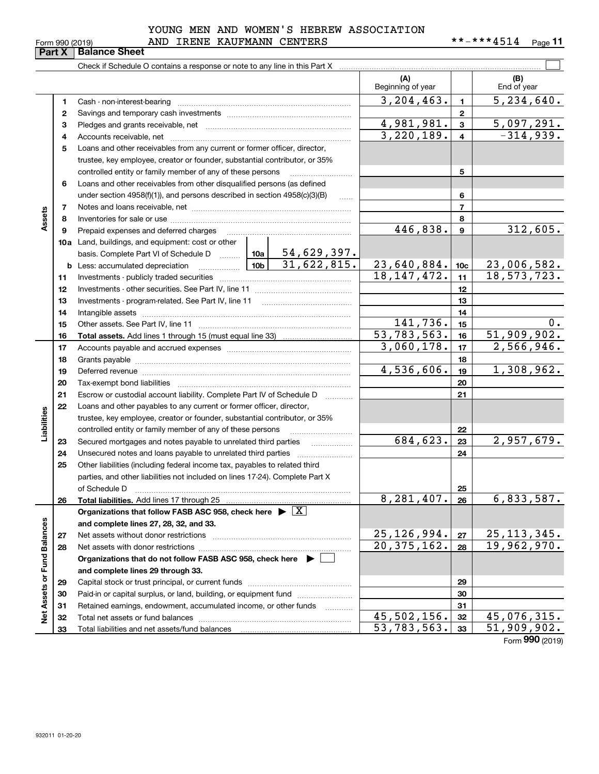|                            |  | YOUNG MEN AND WOMEN'S HEBREW ASSOCIATION |
|----------------------------|--|------------------------------------------|
| AND TDENE VAIIEMANN CENTEC |  |                                          |

|                                        |     |                        | 100110 MMD NOMMN D MONDRON MODOCTMITON |                     |      |
|----------------------------------------|-----|------------------------|----------------------------------------|---------------------|------|
| Form 990 (2019)                        | AND | IRENE KAUFMANN CENTERS |                                        | $***$ $***$ $4$ 514 | Page |
| $P_1: Y_2 \cup P_2: Z_3 \cup P_3: Z_4$ |     |                        |                                        |                     |      |

|                             |    | Check if Schedule O contains a response or note to any line in this Part X                                                                                                                                                    |                          |                          |                           |                         |                    |
|-----------------------------|----|-------------------------------------------------------------------------------------------------------------------------------------------------------------------------------------------------------------------------------|--------------------------|--------------------------|---------------------------|-------------------------|--------------------|
|                             |    |                                                                                                                                                                                                                               |                          |                          | (A)<br>Beginning of year  |                         | (B)<br>End of year |
|                             | 1  |                                                                                                                                                                                                                               |                          |                          | 3, 204, 463.              | $\mathbf{1}$            | 5,234,640.         |
|                             | 2  |                                                                                                                                                                                                                               |                          |                          |                           | $\mathbf{2}$            |                    |
|                             | 3  |                                                                                                                                                                                                                               |                          |                          | 4,981,981.                | $\overline{\mathbf{3}}$ | 5,097,291.         |
|                             | 4  |                                                                                                                                                                                                                               |                          |                          | 3,220,189.                | $\overline{\mathbf{4}}$ | $-314,939.$        |
|                             | 5  | Loans and other receivables from any current or former officer, director,                                                                                                                                                     |                          |                          |                           |                         |                    |
|                             |    | trustee, key employee, creator or founder, substantial contributor, or 35%                                                                                                                                                    |                          |                          |                           |                         |                    |
|                             |    | controlled entity or family member of any of these persons                                                                                                                                                                    |                          |                          |                           | 5                       |                    |
|                             | 6  | Loans and other receivables from other disqualified persons (as defined                                                                                                                                                       |                          |                          |                           |                         |                    |
|                             |    | under section $4958(f)(1)$ , and persons described in section $4958(c)(3)(B)$                                                                                                                                                 |                          | 1.1.1.1                  |                           | 6                       |                    |
|                             | 7  |                                                                                                                                                                                                                               |                          |                          |                           | $\overline{7}$          |                    |
| Assets                      | 8  |                                                                                                                                                                                                                               |                          |                          |                           | 8                       |                    |
|                             | 9  | Prepaid expenses and deferred charges                                                                                                                                                                                         | 446, 838.                | $\boldsymbol{9}$         | 312,605.                  |                         |                    |
|                             |    | 10a Land, buildings, and equipment: cost or other                                                                                                                                                                             |                          |                          |                           |                         |                    |
|                             |    | basis. Complete Part VI of Schedule D    10a   54,629,397.                                                                                                                                                                    |                          |                          |                           |                         |                    |
|                             |    | $\frac{10b}{10b}$<br><b>b</b> Less: accumulated depreciation                                                                                                                                                                  |                          | 31,622,815.              | 23,640,884.               | 10 <sub>c</sub>         | 23,006,582.        |
|                             | 11 |                                                                                                                                                                                                                               |                          | 18, 147, 472.            | 11                        | 18, 573, 723.           |                    |
|                             | 12 |                                                                                                                                                                                                                               |                          | 12                       |                           |                         |                    |
|                             | 13 |                                                                                                                                                                                                                               |                          | 13                       |                           |                         |                    |
|                             | 14 |                                                                                                                                                                                                                               |                          | 14                       |                           |                         |                    |
|                             | 15 |                                                                                                                                                                                                                               | 141,736.                 | 15                       | $0$ .                     |                         |                    |
|                             | 16 |                                                                                                                                                                                                                               | $\overline{53,783,563.}$ | 16                       | 51,909,902.               |                         |                    |
|                             | 17 |                                                                                                                                                                                                                               |                          |                          | 3,060,178.                | 17                      | 2,566,946.         |
|                             | 18 |                                                                                                                                                                                                                               |                          | 18                       |                           |                         |                    |
|                             | 19 | Deferred revenue manual contracts and contracts and contracts are contracted and contracts are contracted and contract are contracted and contract are contracted and contract are contracted and contract are contracted and |                          | 4,536,606.               | 19                        | 1,308,962.              |                    |
|                             | 20 |                                                                                                                                                                                                                               |                          |                          |                           | 20                      |                    |
|                             | 21 | Escrow or custodial account liability. Complete Part IV of Schedule D                                                                                                                                                         |                          | $\overline{\phantom{a}}$ |                           | 21                      |                    |
|                             | 22 | Loans and other payables to any current or former officer, director,                                                                                                                                                          |                          |                          |                           |                         |                    |
| Liabilities                 |    | trustee, key employee, creator or founder, substantial contributor, or 35%                                                                                                                                                    |                          |                          |                           |                         |                    |
|                             |    | controlled entity or family member of any of these persons                                                                                                                                                                    |                          |                          |                           | 22                      |                    |
|                             | 23 | Secured mortgages and notes payable to unrelated third parties                                                                                                                                                                |                          |                          | 684, 623.                 | 23                      | 2,957,679.         |
|                             | 24 | Unsecured notes and loans payable to unrelated third parties                                                                                                                                                                  |                          |                          |                           | 24                      |                    |
|                             | 25 | Other liabilities (including federal income tax, payables to related third                                                                                                                                                    |                          |                          |                           |                         |                    |
|                             |    | parties, and other liabilities not included on lines 17-24). Complete Part X                                                                                                                                                  |                          |                          |                           |                         |                    |
|                             |    | of Schedule D                                                                                                                                                                                                                 |                          |                          |                           | 25                      |                    |
|                             | 26 | Total liabilities. Add lines 17 through 25                                                                                                                                                                                    |                          |                          | $8,281,407.$ 26           |                         | 6,833,587.         |
|                             |    | Organizations that follow FASB ASC 958, check here $\blacktriangleright \boxed{X}$                                                                                                                                            |                          |                          |                           |                         |                    |
|                             |    | and complete lines 27, 28, 32, and 33.                                                                                                                                                                                        |                          |                          |                           |                         |                    |
|                             | 27 | Net assets without donor restrictions                                                                                                                                                                                         | 25, 126, 994.            | 27                       | 25, 113, 345.             |                         |                    |
|                             | 28 |                                                                                                                                                                                                                               |                          |                          | 20, 375, 162.             | 28                      | 19,962,970.        |
|                             |    | Organizations that do not follow FASB ASC 958, check here $\blacktriangleright$                                                                                                                                               |                          |                          |                           |                         |                    |
| Net Assets or Fund Balances |    | and complete lines 29 through 33.                                                                                                                                                                                             |                          |                          |                           |                         |                    |
|                             | 29 |                                                                                                                                                                                                                               |                          |                          |                           | 29                      |                    |
|                             | 30 | Paid-in or capital surplus, or land, building, or equipment fund                                                                                                                                                              |                          |                          |                           | 30                      |                    |
|                             | 31 | Retained earnings, endowment, accumulated income, or other funds                                                                                                                                                              |                          |                          |                           | 31                      |                    |
|                             | 32 |                                                                                                                                                                                                                               |                          |                          | $\overline{45,502,156}$ . | 32                      | 45,076,315.        |
|                             | 33 |                                                                                                                                                                                                                               |                          |                          | 53,783,563.               | 33                      | 51,909,902.        |

Form (2019) **990**

# **Part X Balance Sheet**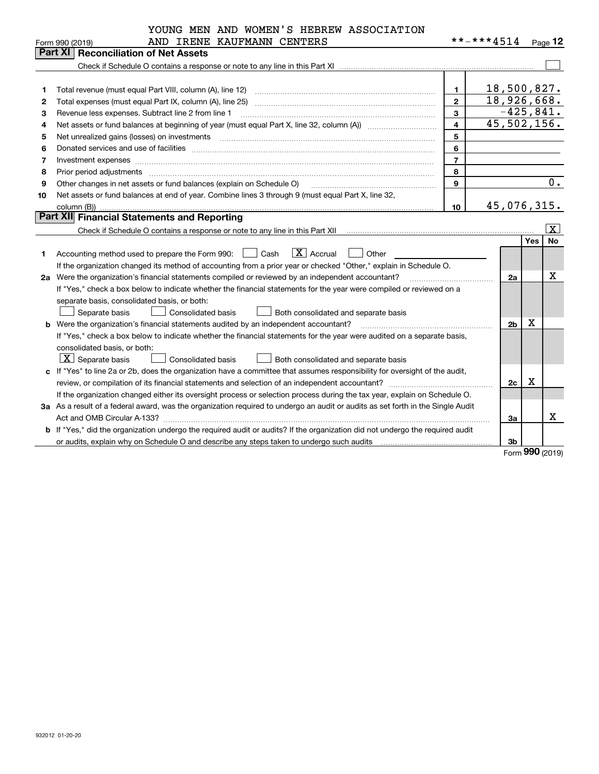| YOUNG MEN AND WOMEN'S HEBREW ASSOCIATION |                                                                                                                                                                                                                                                                                                                                                                                                                                                              |                |                |             |                         |  |  |  |  |  |
|------------------------------------------|--------------------------------------------------------------------------------------------------------------------------------------------------------------------------------------------------------------------------------------------------------------------------------------------------------------------------------------------------------------------------------------------------------------------------------------------------------------|----------------|----------------|-------------|-------------------------|--|--|--|--|--|
|                                          | AND IRENE KAUFMANN CENTERS<br>Form 990 (2019)                                                                                                                                                                                                                                                                                                                                                                                                                |                | **-***4514     |             | Page $12$               |  |  |  |  |  |
|                                          | <b>Part XI Reconciliation of Net Assets</b>                                                                                                                                                                                                                                                                                                                                                                                                                  |                |                |             |                         |  |  |  |  |  |
|                                          |                                                                                                                                                                                                                                                                                                                                                                                                                                                              |                |                |             |                         |  |  |  |  |  |
|                                          |                                                                                                                                                                                                                                                                                                                                                                                                                                                              |                |                |             |                         |  |  |  |  |  |
| 1                                        | Total revenue (must equal Part VIII, column (A), line 12)                                                                                                                                                                                                                                                                                                                                                                                                    | $\mathbf{1}$   | 18,500,827.    |             |                         |  |  |  |  |  |
| 2                                        |                                                                                                                                                                                                                                                                                                                                                                                                                                                              | $\overline{2}$ | 18,926,668.    |             |                         |  |  |  |  |  |
| З                                        | Revenue less expenses. Subtract line 2 from line 1                                                                                                                                                                                                                                                                                                                                                                                                           | $\mathbf{3}$   | $-425,841.$    |             |                         |  |  |  |  |  |
| 4                                        | 45,502,156.<br>$\overline{\mathbf{4}}$                                                                                                                                                                                                                                                                                                                                                                                                                       |                |                |             |                         |  |  |  |  |  |
| 5                                        |                                                                                                                                                                                                                                                                                                                                                                                                                                                              | 5              |                |             |                         |  |  |  |  |  |
| 6                                        |                                                                                                                                                                                                                                                                                                                                                                                                                                                              | 6              |                |             |                         |  |  |  |  |  |
| 7                                        | Investment expenses www.communication.com/www.communication.com/www.communication.com/www.communication.com/ww                                                                                                                                                                                                                                                                                                                                               | $\overline{7}$ |                |             |                         |  |  |  |  |  |
| 8                                        | Prior period adjustments                                                                                                                                                                                                                                                                                                                                                                                                                                     | 8              |                |             | 0.                      |  |  |  |  |  |
| 9                                        | 9<br>Other changes in net assets or fund balances (explain on Schedule O)                                                                                                                                                                                                                                                                                                                                                                                    |                |                |             |                         |  |  |  |  |  |
| 10                                       | Net assets or fund balances at end of year. Combine lines 3 through 9 (must equal Part X, line 32,                                                                                                                                                                                                                                                                                                                                                           |                |                |             |                         |  |  |  |  |  |
|                                          | column (B))                                                                                                                                                                                                                                                                                                                                                                                                                                                  | 10             | 45,076,315.    |             |                         |  |  |  |  |  |
|                                          | <b>Part XII</b> Financial Statements and Reporting                                                                                                                                                                                                                                                                                                                                                                                                           |                |                |             |                         |  |  |  |  |  |
|                                          |                                                                                                                                                                                                                                                                                                                                                                                                                                                              |                |                |             | $\overline{\mathbf{x}}$ |  |  |  |  |  |
|                                          |                                                                                                                                                                                                                                                                                                                                                                                                                                                              |                |                | Yes         | <b>No</b>               |  |  |  |  |  |
| 1                                        | $\boxed{\mathbf{X}}$ Accrual<br>Accounting method used to prepare the Form 990: <u>June</u> Cash<br>Other                                                                                                                                                                                                                                                                                                                                                    |                |                |             |                         |  |  |  |  |  |
|                                          | If the organization changed its method of accounting from a prior year or checked "Other," explain in Schedule O.                                                                                                                                                                                                                                                                                                                                            |                |                |             |                         |  |  |  |  |  |
| 2a                                       | Were the organization's financial statements compiled or reviewed by an independent accountant?                                                                                                                                                                                                                                                                                                                                                              |                | 2a             |             | x                       |  |  |  |  |  |
|                                          | If "Yes," check a box below to indicate whether the financial statements for the year were compiled or reviewed on a                                                                                                                                                                                                                                                                                                                                         |                |                |             |                         |  |  |  |  |  |
|                                          | separate basis, consolidated basis, or both:                                                                                                                                                                                                                                                                                                                                                                                                                 |                |                |             |                         |  |  |  |  |  |
|                                          | Separate basis<br>Consolidated basis<br>Both consolidated and separate basis                                                                                                                                                                                                                                                                                                                                                                                 |                |                |             |                         |  |  |  |  |  |
|                                          | <b>b</b> Were the organization's financial statements audited by an independent accountant?<br>$\mathcal{L} = \{1, 2, \ldots, 2, \ldots, 2, \ldots, 2, \ldots, 2, \ldots, 2, \ldots, 2, \ldots, 2, \ldots, 2, \ldots, 2, \ldots, 2, \ldots, 2, \ldots, 2, \ldots, 2, \ldots, 2, \ldots, 2, \ldots, 2, \ldots, 2, \ldots, 2, \ldots, 2, \ldots, 2, \ldots, 2, \ldots, 2, \ldots, 2, \ldots, 2, \ldots, 2, \ldots, 2, \ldots, 2, \ldots, 2, \ldots, 2, \ldots$ |                | 2 <sub>b</sub> | х           |                         |  |  |  |  |  |
|                                          | If "Yes," check a box below to indicate whether the financial statements for the year were audited on a separate basis,                                                                                                                                                                                                                                                                                                                                      |                |                |             |                         |  |  |  |  |  |
|                                          | consolidated basis, or both:                                                                                                                                                                                                                                                                                                                                                                                                                                 |                |                |             |                         |  |  |  |  |  |
|                                          | $X$ Separate basis<br><b>Consolidated basis</b><br>Both consolidated and separate basis                                                                                                                                                                                                                                                                                                                                                                      |                |                |             |                         |  |  |  |  |  |
| c                                        | If "Yes" to line 2a or 2b, does the organization have a committee that assumes responsibility for oversight of the audit,                                                                                                                                                                                                                                                                                                                                    |                |                |             |                         |  |  |  |  |  |
|                                          |                                                                                                                                                                                                                                                                                                                                                                                                                                                              |                | 2c             | $\mathbf X$ |                         |  |  |  |  |  |
|                                          | If the organization changed either its oversight process or selection process during the tax year, explain on Schedule O.                                                                                                                                                                                                                                                                                                                                    |                |                |             |                         |  |  |  |  |  |
|                                          | 3a As a result of a federal award, was the organization required to undergo an audit or audits as set forth in the Single Audit                                                                                                                                                                                                                                                                                                                              |                |                |             |                         |  |  |  |  |  |
|                                          |                                                                                                                                                                                                                                                                                                                                                                                                                                                              |                | 3a             |             | Χ                       |  |  |  |  |  |
|                                          | b If "Yes," did the organization undergo the required audit or audits? If the organization did not undergo the required audit                                                                                                                                                                                                                                                                                                                                |                |                |             |                         |  |  |  |  |  |
|                                          |                                                                                                                                                                                                                                                                                                                                                                                                                                                              |                | 3 <sub>b</sub> |             |                         |  |  |  |  |  |

Form (2019) **990**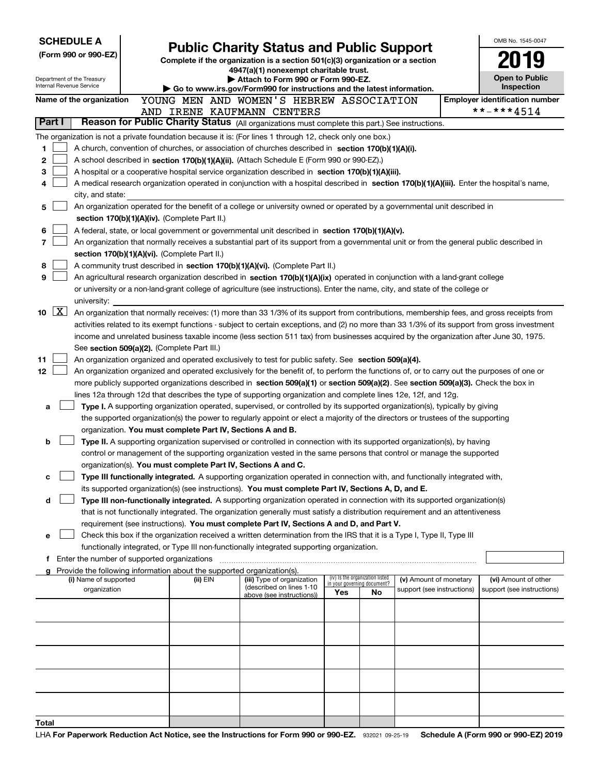|        |                     | <b>SCHEDULE A</b>                                      |                                                                               | <b>Public Charity Status and Public Support</b>                                                                                                                                                                                                                |                                 |                            |                            |  | OMB No. 1545-0047                     |
|--------|---------------------|--------------------------------------------------------|-------------------------------------------------------------------------------|----------------------------------------------------------------------------------------------------------------------------------------------------------------------------------------------------------------------------------------------------------------|---------------------------------|----------------------------|----------------------------|--|---------------------------------------|
|        |                     | (Form 990 or 990-EZ)                                   | Complete if the organization is a section 501(c)(3) organization or a section |                                                                                                                                                                                                                                                                |                                 |                            |                            |  |                                       |
|        |                     |                                                        |                                                                               | 4947(a)(1) nonexempt charitable trust.                                                                                                                                                                                                                         |                                 |                            |                            |  |                                       |
|        |                     | Department of the Treasury<br>Internal Revenue Service |                                                                               | Attach to Form 990 or Form 990-EZ.                                                                                                                                                                                                                             |                                 |                            |                            |  | <b>Open to Public</b><br>Inspection   |
|        |                     | Name of the organization                               |                                                                               | Go to www.irs.gov/Form990 for instructions and the latest information.<br>YOUNG MEN AND WOMEN'S HEBREW ASSOCIATION                                                                                                                                             |                                 |                            |                            |  | <b>Employer identification number</b> |
|        |                     |                                                        |                                                                               | AND IRENE KAUFMANN CENTERS                                                                                                                                                                                                                                     |                                 |                            |                            |  | **-***4514                            |
| Part I |                     |                                                        |                                                                               | Reason for Public Charity Status (All organizations must complete this part.) See instructions.                                                                                                                                                                |                                 |                            |                            |  |                                       |
|        |                     |                                                        |                                                                               | The organization is not a private foundation because it is: (For lines 1 through 12, check only one box.)                                                                                                                                                      |                                 |                            |                            |  |                                       |
| 1      |                     |                                                        |                                                                               | A church, convention of churches, or association of churches described in section 170(b)(1)(A)(i).                                                                                                                                                             |                                 |                            |                            |  |                                       |
| 2      |                     |                                                        |                                                                               | A school described in section 170(b)(1)(A)(ii). (Attach Schedule E (Form 990 or 990-EZ).)                                                                                                                                                                      |                                 |                            |                            |  |                                       |
| 3      |                     |                                                        |                                                                               | A hospital or a cooperative hospital service organization described in section 170(b)(1)(A)(iii).                                                                                                                                                              |                                 |                            |                            |  |                                       |
| 4      |                     |                                                        |                                                                               | A medical research organization operated in conjunction with a hospital described in section 170(b)(1)(A)(iii). Enter the hospital's name,                                                                                                                     |                                 |                            |                            |  |                                       |
|        |                     | city, and state:                                       |                                                                               |                                                                                                                                                                                                                                                                |                                 |                            |                            |  |                                       |
| 5      |                     |                                                        |                                                                               | An organization operated for the benefit of a college or university owned or operated by a governmental unit described in                                                                                                                                      |                                 |                            |                            |  |                                       |
|        |                     |                                                        | section 170(b)(1)(A)(iv). (Complete Part II.)                                 |                                                                                                                                                                                                                                                                |                                 |                            |                            |  |                                       |
| 6      |                     |                                                        |                                                                               | A federal, state, or local government or governmental unit described in section 170(b)(1)(A)(v).                                                                                                                                                               |                                 |                            |                            |  |                                       |
| 7      |                     |                                                        |                                                                               | An organization that normally receives a substantial part of its support from a governmental unit or from the general public described in                                                                                                                      |                                 |                            |                            |  |                                       |
| 8      |                     |                                                        | section 170(b)(1)(A)(vi). (Complete Part II.)                                 | A community trust described in section 170(b)(1)(A)(vi). (Complete Part II.)                                                                                                                                                                                   |                                 |                            |                            |  |                                       |
| 9      |                     |                                                        |                                                                               | An agricultural research organization described in section 170(b)(1)(A)(ix) operated in conjunction with a land-grant college                                                                                                                                  |                                 |                            |                            |  |                                       |
|        |                     |                                                        |                                                                               | or university or a non-land-grant college of agriculture (see instructions). Enter the name, city, and state of the college or                                                                                                                                 |                                 |                            |                            |  |                                       |
|        |                     | university:                                            |                                                                               |                                                                                                                                                                                                                                                                |                                 |                            |                            |  |                                       |
| 10     | $\lfloor x \rfloor$ |                                                        |                                                                               | An organization that normally receives: (1) more than 33 1/3% of its support from contributions, membership fees, and gross receipts from                                                                                                                      |                                 |                            |                            |  |                                       |
|        |                     |                                                        |                                                                               | activities related to its exempt functions - subject to certain exceptions, and (2) no more than 33 1/3% of its support from gross investment                                                                                                                  |                                 |                            |                            |  |                                       |
|        |                     |                                                        |                                                                               | income and unrelated business taxable income (less section 511 tax) from businesses acquired by the organization after June 30, 1975.                                                                                                                          |                                 |                            |                            |  |                                       |
|        |                     |                                                        | See section 509(a)(2). (Complete Part III.)                                   |                                                                                                                                                                                                                                                                |                                 |                            |                            |  |                                       |
| 11     |                     |                                                        |                                                                               | An organization organized and operated exclusively to test for public safety. See section 509(a)(4).                                                                                                                                                           |                                 |                            |                            |  |                                       |
| 12     |                     |                                                        |                                                                               | An organization organized and operated exclusively for the benefit of, to perform the functions of, or to carry out the purposes of one or                                                                                                                     |                                 |                            |                            |  |                                       |
|        |                     |                                                        |                                                                               | more publicly supported organizations described in section 509(a)(1) or section 509(a)(2). See section 509(a)(3). Check the box in                                                                                                                             |                                 |                            |                            |  |                                       |
|        |                     |                                                        |                                                                               | lines 12a through 12d that describes the type of supporting organization and complete lines 12e, 12f, and 12g.                                                                                                                                                 |                                 |                            |                            |  |                                       |
| a      |                     |                                                        |                                                                               | Type I. A supporting organization operated, supervised, or controlled by its supported organization(s), typically by giving<br>the supported organization(s) the power to regularly appoint or elect a majority of the directors or trustees of the supporting |                                 |                            |                            |  |                                       |
|        |                     |                                                        | organization. You must complete Part IV, Sections A and B.                    |                                                                                                                                                                                                                                                                |                                 |                            |                            |  |                                       |
| b      |                     |                                                        |                                                                               | Type II. A supporting organization supervised or controlled in connection with its supported organization(s), by having                                                                                                                                        |                                 |                            |                            |  |                                       |
|        |                     |                                                        |                                                                               | control or management of the supporting organization vested in the same persons that control or manage the supported                                                                                                                                           |                                 |                            |                            |  |                                       |
|        |                     |                                                        | organization(s). You must complete Part IV, Sections A and C.                 |                                                                                                                                                                                                                                                                |                                 |                            |                            |  |                                       |
| с      |                     |                                                        |                                                                               | Type III functionally integrated. A supporting organization operated in connection with, and functionally integrated with,                                                                                                                                     |                                 |                            |                            |  |                                       |
|        |                     |                                                        |                                                                               | its supported organization(s) (see instructions). You must complete Part IV, Sections A, D, and E.                                                                                                                                                             |                                 |                            |                            |  |                                       |
| d      |                     |                                                        |                                                                               | Type III non-functionally integrated. A supporting organization operated in connection with its supported organization(s)                                                                                                                                      |                                 |                            |                            |  |                                       |
|        |                     |                                                        |                                                                               | that is not functionally integrated. The organization generally must satisfy a distribution requirement and an attentiveness                                                                                                                                   |                                 |                            |                            |  |                                       |
|        |                     |                                                        |                                                                               | requirement (see instructions). You must complete Part IV, Sections A and D, and Part V.<br>Check this box if the organization received a written determination from the IRS that it is a Type I, Type II, Type III                                            |                                 |                            |                            |  |                                       |
| е      |                     |                                                        |                                                                               | functionally integrated, or Type III non-functionally integrated supporting organization.                                                                                                                                                                      |                                 |                            |                            |  |                                       |
|        |                     |                                                        |                                                                               | f Enter the number of supported organizations [11] manufactured materials and the number of supported organizations [11] manufactured materials and the number of supported organizations [11] manufactured materials and the                                  |                                 |                            |                            |  |                                       |
|        |                     |                                                        | Provide the following information about the supported organization(s).        |                                                                                                                                                                                                                                                                |                                 |                            |                            |  |                                       |
|        |                     | (i) Name of supported                                  | (ii) EIN                                                                      | (iii) Type of organization<br>(described on lines 1-10                                                                                                                                                                                                         | (iv) Is the organization listed | n your governing document? | (v) Amount of monetary     |  | (vi) Amount of other                  |
|        |                     | organization                                           |                                                                               | above (see instructions))                                                                                                                                                                                                                                      | Yes                             | No                         | support (see instructions) |  | support (see instructions)            |
|        |                     |                                                        |                                                                               |                                                                                                                                                                                                                                                                |                                 |                            |                            |  |                                       |
|        |                     |                                                        |                                                                               |                                                                                                                                                                                                                                                                |                                 |                            |                            |  |                                       |
|        |                     |                                                        |                                                                               |                                                                                                                                                                                                                                                                |                                 |                            |                            |  |                                       |
|        |                     |                                                        |                                                                               |                                                                                                                                                                                                                                                                |                                 |                            |                            |  |                                       |
|        |                     |                                                        |                                                                               |                                                                                                                                                                                                                                                                |                                 |                            |                            |  |                                       |
|        |                     |                                                        |                                                                               |                                                                                                                                                                                                                                                                |                                 |                            |                            |  |                                       |
|        |                     |                                                        |                                                                               |                                                                                                                                                                                                                                                                |                                 |                            |                            |  |                                       |
|        |                     |                                                        |                                                                               |                                                                                                                                                                                                                                                                |                                 |                            |                            |  |                                       |
|        |                     |                                                        |                                                                               |                                                                                                                                                                                                                                                                |                                 |                            |                            |  |                                       |
| Total  |                     |                                                        |                                                                               |                                                                                                                                                                                                                                                                |                                 |                            |                            |  |                                       |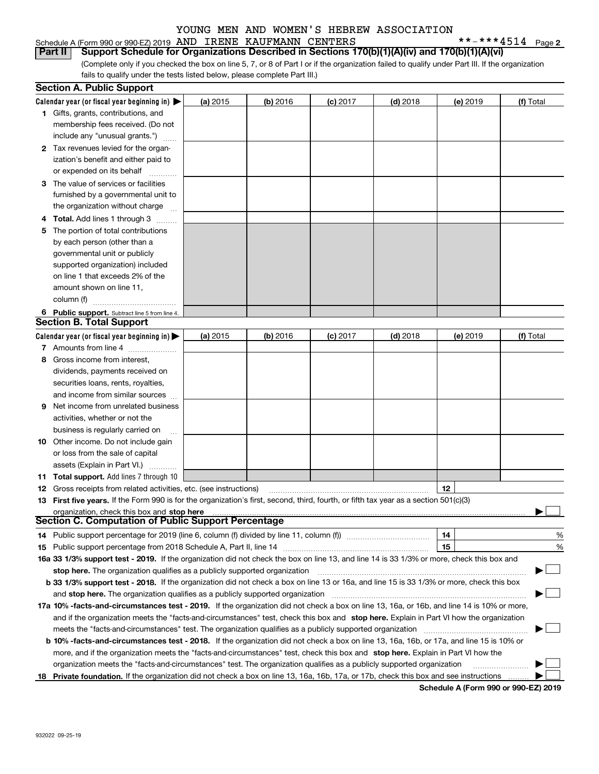## KAUFMANN CENTERS

**2**

| Schedule A (Form 990 or 990-EZ) 2019 AND IRENE KAUFMANN CENTERS |  |  | **-***4514 p                                                                                                                                    |  |
|-----------------------------------------------------------------|--|--|-------------------------------------------------------------------------------------------------------------------------------------------------|--|
|                                                                 |  |  | <b>Part II</b> Support Schedule for Organizations Described in Sections 170(b)(1)(A)(iv) and 170(b)(1)(A)(vi)                                   |  |
|                                                                 |  |  | (Complete only if you checked the box on line 5, 7, or 8 of Part I or if the organization failed to qualify under Part III. If the organization |  |

fails to qualify under the tests listed below, please complete Part III.)

|    | <b>Section A. Public Support</b>                                                                                                               |          |            |            |            |          |           |
|----|------------------------------------------------------------------------------------------------------------------------------------------------|----------|------------|------------|------------|----------|-----------|
|    | Calendar year (or fiscal year beginning in) $\blacktriangleright$                                                                              | (a) 2015 | (b) 2016   | $(c)$ 2017 | $(d)$ 2018 | (e) 2019 | (f) Total |
|    | <b>1</b> Gifts, grants, contributions, and                                                                                                     |          |            |            |            |          |           |
|    | membership fees received. (Do not                                                                                                              |          |            |            |            |          |           |
|    | include any "unusual grants.")                                                                                                                 |          |            |            |            |          |           |
|    | 2 Tax revenues levied for the organ-                                                                                                           |          |            |            |            |          |           |
|    | ization's benefit and either paid to                                                                                                           |          |            |            |            |          |           |
|    | or expended on its behalf                                                                                                                      |          |            |            |            |          |           |
|    | 3 The value of services or facilities                                                                                                          |          |            |            |            |          |           |
|    | furnished by a governmental unit to                                                                                                            |          |            |            |            |          |           |
|    | the organization without charge                                                                                                                |          |            |            |            |          |           |
|    | <b>Total.</b> Add lines 1 through 3                                                                                                            |          |            |            |            |          |           |
| 5  | The portion of total contributions                                                                                                             |          |            |            |            |          |           |
|    | by each person (other than a                                                                                                                   |          |            |            |            |          |           |
|    | governmental unit or publicly                                                                                                                  |          |            |            |            |          |           |
|    | supported organization) included                                                                                                               |          |            |            |            |          |           |
|    | on line 1 that exceeds 2% of the                                                                                                               |          |            |            |            |          |           |
|    | amount shown on line 11,                                                                                                                       |          |            |            |            |          |           |
|    | column (f)                                                                                                                                     |          |            |            |            |          |           |
|    | 6 Public support. Subtract line 5 from line 4.                                                                                                 |          |            |            |            |          |           |
|    | <b>Section B. Total Support</b>                                                                                                                |          |            |            |            |          |           |
|    | Calendar year (or fiscal year beginning in) $\blacktriangleright$                                                                              | (a) 2015 | $(b)$ 2016 | $(c)$ 2017 | $(d)$ 2018 | (e) 2019 | (f) Total |
|    | <b>7</b> Amounts from line 4                                                                                                                   |          |            |            |            |          |           |
|    | Gross income from interest,                                                                                                                    |          |            |            |            |          |           |
|    | dividends, payments received on                                                                                                                |          |            |            |            |          |           |
|    | securities loans, rents, royalties,                                                                                                            |          |            |            |            |          |           |
|    | and income from similar sources                                                                                                                |          |            |            |            |          |           |
| 9  | Net income from unrelated business                                                                                                             |          |            |            |            |          |           |
|    | activities, whether or not the                                                                                                                 |          |            |            |            |          |           |
|    | business is regularly carried on                                                                                                               |          |            |            |            |          |           |
|    | 10 Other income. Do not include gain                                                                                                           |          |            |            |            |          |           |
|    | or loss from the sale of capital                                                                                                               |          |            |            |            |          |           |
|    | assets (Explain in Part VI.)                                                                                                                   |          |            |            |            |          |           |
|    | <b>11 Total support.</b> Add lines 7 through 10                                                                                                |          |            |            |            |          |           |
|    | <b>12</b> Gross receipts from related activities, etc. (see instructions)                                                                      |          |            |            |            | 12       |           |
|    | 13 First five years. If the Form 990 is for the organization's first, second, third, fourth, or fifth tax year as a section 501(c)(3)          |          |            |            |            |          |           |
|    | organization, check this box and stop here                                                                                                     |          |            |            |            |          |           |
|    | Section C. Computation of Public Support Percentage                                                                                            |          |            |            |            |          |           |
|    | 14 Public support percentage for 2019 (line 6, column (f) divided by line 11, column (f) <i>manumeronominimi</i> ng                            |          |            |            |            | 14       | %         |
|    | 15 Public support percentage from 2018 Schedule A, Part II, line 14                                                                            |          |            |            |            | 15       | %         |
|    | 16a 33 1/3% support test - 2019. If the organization did not check the box on line 13, and line 14 is 33 1/3% or more, check this box and      |          |            |            |            |          |           |
|    | stop here. The organization qualifies as a publicly supported organization                                                                     |          |            |            |            |          |           |
|    | b 33 1/3% support test - 2018. If the organization did not check a box on line 13 or 16a, and line 15 is 33 1/3% or more, check this box       |          |            |            |            |          |           |
|    | and stop here. The organization qualifies as a publicly supported organization                                                                 |          |            |            |            |          |           |
|    | 17a 10% -facts-and-circumstances test - 2019. If the organization did not check a box on line 13, 16a, or 16b, and line 14 is 10% or more,     |          |            |            |            |          |           |
|    | and if the organization meets the "facts-and-circumstances" test, check this box and stop here. Explain in Part VI how the organization        |          |            |            |            |          |           |
|    | meets the "facts-and-circumstances" test. The organization qualifies as a publicly supported organization                                      |          |            |            |            |          |           |
|    | <b>b 10% -facts-and-circumstances test - 2018.</b> If the organization did not check a box on line 13, 16a, 16b, or 17a, and line 15 is 10% or |          |            |            |            |          |           |
|    | more, and if the organization meets the "facts-and-circumstances" test, check this box and stop here. Explain in Part VI how the               |          |            |            |            |          |           |
|    | organization meets the "facts-and-circumstances" test. The organization qualifies as a publicly supported organization                         |          |            |            |            |          |           |
| 18 | Private foundation. If the organization did not check a box on line 13, 16a, 16b, 17a, or 17b, check this box and see instructions             |          |            |            |            |          |           |
|    |                                                                                                                                                |          |            |            |            |          |           |

**Schedule A (Form 990 or 990-EZ) 2019**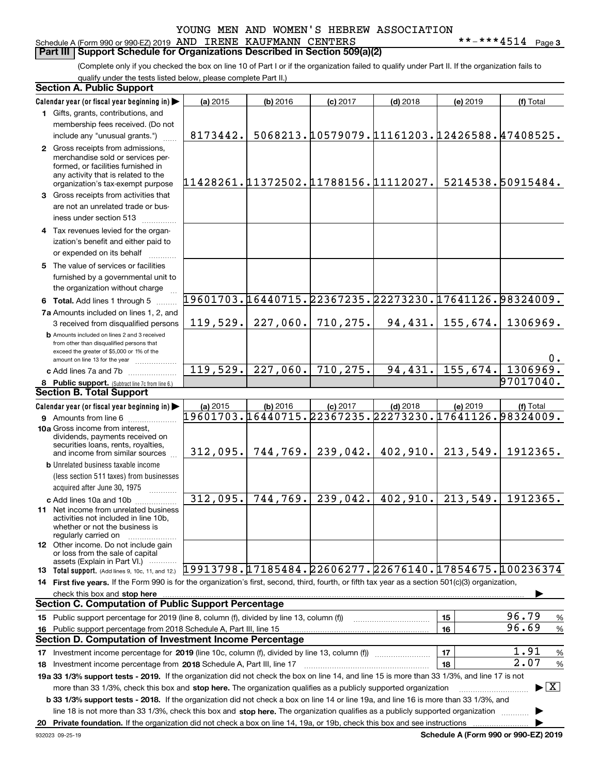## Schedule A (Form 990 or 990-EZ) 2019 Page AND IRENE KAUFMANN CENTERS \*\*-\*\*\*4514 **Part III** | Support Schedule for Organizations Described in Section 509(a)(2)

(Complete only if you checked the box on line 10 of Part I or if the organization failed to qualify under Part II. If the organization fails to qualify under the tests listed below, please complete Part II.)

| <b>Section A. Public Support</b>                                                                                                                                                         |                                                        |            |                                              |                      |          |                                             |
|------------------------------------------------------------------------------------------------------------------------------------------------------------------------------------------|--------------------------------------------------------|------------|----------------------------------------------|----------------------|----------|---------------------------------------------|
| Calendar year (or fiscal year beginning in)                                                                                                                                              | (a) 2015                                               | $(b)$ 2016 | $(c)$ 2017                                   | $(d)$ 2018           | (e) 2019 | (f) Total                                   |
| 1 Gifts, grants, contributions, and                                                                                                                                                      |                                                        |            |                                              |                      |          |                                             |
| membership fees received. (Do not                                                                                                                                                        |                                                        |            |                                              |                      |          |                                             |
| include any "unusual grants.")                                                                                                                                                           | 8173442.                                               |            | 5068213.10579079.11161203.12426588.47408525. |                      |          |                                             |
| 2 Gross receipts from admissions,<br>merchandise sold or services per-<br>formed, or facilities furnished in<br>any activity that is related to the<br>organization's tax-exempt purpose | 11428261.11372502.11788156.11112027.                   |            |                                              |                      |          | 5214538.50915484.                           |
| 3 Gross receipts from activities that                                                                                                                                                    |                                                        |            |                                              |                      |          |                                             |
| are not an unrelated trade or bus-<br>iness under section 513                                                                                                                            |                                                        |            |                                              |                      |          |                                             |
| 4 Tax revenues levied for the organ-                                                                                                                                                     |                                                        |            |                                              |                      |          |                                             |
| ization's benefit and either paid to                                                                                                                                                     |                                                        |            |                                              |                      |          |                                             |
| or expended on its behalf                                                                                                                                                                |                                                        |            |                                              |                      |          |                                             |
| 5 The value of services or facilities                                                                                                                                                    |                                                        |            |                                              |                      |          |                                             |
| furnished by a governmental unit to<br>the organization without charge                                                                                                                   |                                                        |            |                                              |                      |          |                                             |
| 6 Total. Add lines 1 through 5                                                                                                                                                           | 19601703.16440715.22367235.22273230.17641126.98324009. |            |                                              |                      |          |                                             |
| 7a Amounts included on lines 1, 2, and                                                                                                                                                   |                                                        |            |                                              |                      |          |                                             |
| 3 received from disqualified persons                                                                                                                                                     | 119,529.                                               | 227,060.   | 710,275.                                     | 94, 431.             | 155,674. | 1306969.                                    |
| <b>b</b> Amounts included on lines 2 and 3 received<br>from other than disqualified persons that<br>exceed the greater of \$5,000 or 1% of the<br>amount on line 13 for the year         |                                                        |            |                                              |                      |          | $0$ .                                       |
| c Add lines 7a and 7b                                                                                                                                                                    | 119,529.                                               | 227,060.   | 710, 275.                                    | 94,431.              | 155,674. | 1306969.                                    |
| 8 Public support. (Subtract line 7c from line 6.)                                                                                                                                        |                                                        |            |                                              |                      |          | 97017040.                                   |
| <b>Section B. Total Support</b>                                                                                                                                                          |                                                        |            |                                              |                      |          |                                             |
| Calendar year (or fiscal year beginning in)                                                                                                                                              | (a) 2015                                               | (b) 2016   | $(c)$ 2017                                   | $(d)$ 2018           | (e) 2019 | (f) Total                                   |
| <b>9</b> Amounts from line 6                                                                                                                                                             | 19601703.16440715.22367235.22273230.17641126.98324009. |            |                                              |                      |          |                                             |
| 10a Gross income from interest,<br>dividends, payments received on<br>securities loans, rents, royalties,<br>and income from similar sources                                             | 312,095.                                               | 744, 769.  |                                              | $239,042.$ 402, 910. | 213,549. | 1912365.                                    |
| <b>b</b> Unrelated business taxable income                                                                                                                                               |                                                        |            |                                              |                      |          |                                             |
| (less section 511 taxes) from businesses                                                                                                                                                 |                                                        |            |                                              |                      |          |                                             |
| acquired after June 30, 1975                                                                                                                                                             |                                                        |            |                                              |                      |          |                                             |
| c Add lines 10a and 10b                                                                                                                                                                  | 312,095.                                               | 744,769.   | 239,042.                                     | 402,910.             | 213,549. | 1912365.                                    |
| 11 Net income from unrelated business<br>activities not included in line 10b,<br>whether or not the business is<br>regularly carried on                                                  |                                                        |            |                                              |                      |          |                                             |
| <b>12</b> Other income. Do not include gain<br>or loss from the sale of capital                                                                                                          |                                                        |            |                                              |                      |          |                                             |
| assets (Explain in Part VI.)<br>13 Total support. (Add lines 9, 10c, 11, and 12.) [19913798. [17185484. 22606277. 22676140. [17854675. [100236374                                        |                                                        |            |                                              |                      |          |                                             |
| 14 First five years. If the Form 990 is for the organization's first, second, third, fourth, or fifth tax year as a section 501(c)(3) organization,                                      |                                                        |            |                                              |                      |          |                                             |
| check this box and stop here<br><b>Section C. Computation of Public Support Percentage</b>                                                                                               |                                                        |            |                                              |                      |          |                                             |
|                                                                                                                                                                                          |                                                        |            |                                              |                      |          | 96.79                                       |
| 15 Public support percentage for 2019 (line 8, column (f), divided by line 13, column (f))                                                                                               |                                                        |            |                                              |                      | 15       | %<br>96.69                                  |
| 16 Public support percentage from 2018 Schedule A, Part III, line 15<br><b>Section D. Computation of Investment Income Percentage</b>                                                    |                                                        |            |                                              |                      | 16       | $\%$                                        |
|                                                                                                                                                                                          |                                                        |            |                                              |                      |          | 1.91                                        |
| 17 Investment income percentage for 2019 (line 10c, column (f), divided by line 13, column (f))                                                                                          |                                                        |            |                                              |                      | 17       | $\%$<br>2.07                                |
| 18 Investment income percentage from 2018 Schedule A, Part III, line 17                                                                                                                  |                                                        |            |                                              |                      | 18       | %                                           |
| 19a 33 1/3% support tests - 2019. If the organization did not check the box on line 14, and line 15 is more than 33 1/3%, and line 17 is not                                             |                                                        |            |                                              |                      |          |                                             |
| more than 33 1/3%, check this box and stop here. The organization qualifies as a publicly supported organization                                                                         |                                                        |            |                                              |                      |          | $\blacktriangleright$ $\vert$ X             |
| <b>b 33 1/3% support tests - 2018.</b> If the organization did not check a box on line 14 or line 19a, and line 16 is more than 33 1/3%, and                                             |                                                        |            |                                              |                      |          |                                             |
| line 18 is not more than 33 1/3%, check this box and stop here. The organization qualifies as a publicly supported organization                                                          |                                                        |            |                                              |                      |          |                                             |
| 20 Private foundation. If the organization did not check a box on line 14, 19a, or 19b, check this box and see instructions                                                              |                                                        |            |                                              |                      |          | <b>Cohodulo A (Form 000 or 000 EZ) 2010</b> |

**Schedule A (Form 990 or 990-EZ) 2019**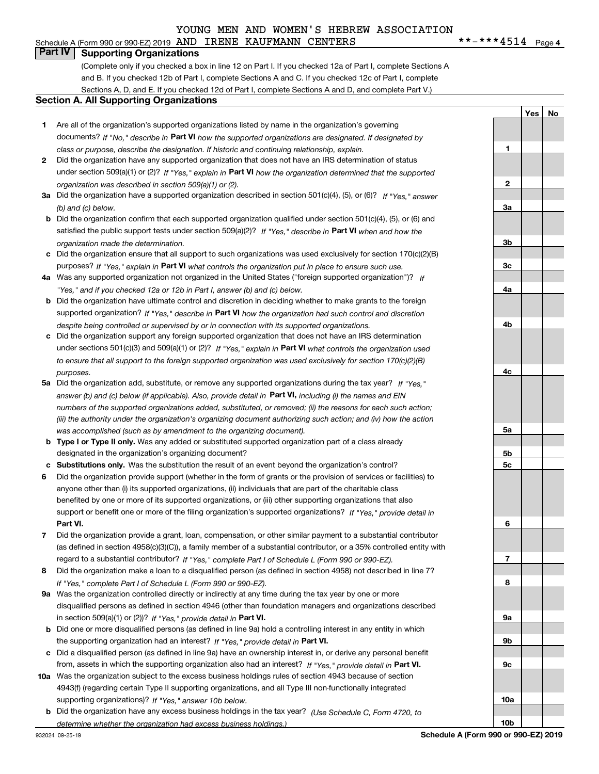## Schedule A (Form 990 or 990-EZ) 2019 Page AND IRENE KAUFMANN CENTERS \*\*-\*\*\*4514

 $***$   $***$  4514 Page 4

**1**

**2**

**3a**

**3b**

**3c**

**4a**

**4b**

**4c**

**5a**

**5b5c**

**6**

**7**

**8**

**9a**

**9b**

**9c**

**YesNo**

## **Part IV Supporting Organizations**

(Complete only if you checked a box in line 12 on Part I. If you checked 12a of Part I, complete Sections A and B. If you checked 12b of Part I, complete Sections A and C. If you checked 12c of Part I, complete Sections A, D, and E. If you checked 12d of Part I, complete Sections A and D, and complete Part V.)

## **Section A. All Supporting Organizations**

- **1** Are all of the organization's supported organizations listed by name in the organization's governing documents? If "No," describe in **Part VI** how the supported organizations are designated. If designated by *class or purpose, describe the designation. If historic and continuing relationship, explain.*
- **2** Did the organization have any supported organization that does not have an IRS determination of status under section 509(a)(1) or (2)? If "Yes," explain in Part VI how the organization determined that the supported *organization was described in section 509(a)(1) or (2).*
- **3a** Did the organization have a supported organization described in section 501(c)(4), (5), or (6)? If "Yes," answer *(b) and (c) below.*
- **b** Did the organization confirm that each supported organization qualified under section 501(c)(4), (5), or (6) and satisfied the public support tests under section 509(a)(2)? If "Yes," describe in **Part VI** when and how the *organization made the determination.*
- **c**Did the organization ensure that all support to such organizations was used exclusively for section 170(c)(2)(B) purposes? If "Yes," explain in **Part VI** what controls the organization put in place to ensure such use.
- **4a***If* Was any supported organization not organized in the United States ("foreign supported organization")? *"Yes," and if you checked 12a or 12b in Part I, answer (b) and (c) below.*
- **b** Did the organization have ultimate control and discretion in deciding whether to make grants to the foreign supported organization? If "Yes," describe in **Part VI** how the organization had such control and discretion *despite being controlled or supervised by or in connection with its supported organizations.*
- **c** Did the organization support any foreign supported organization that does not have an IRS determination under sections 501(c)(3) and 509(a)(1) or (2)? If "Yes," explain in **Part VI** what controls the organization used *to ensure that all support to the foreign supported organization was used exclusively for section 170(c)(2)(B) purposes.*
- **5a***If "Yes,"* Did the organization add, substitute, or remove any supported organizations during the tax year? answer (b) and (c) below (if applicable). Also, provide detail in **Part VI,** including (i) the names and EIN *numbers of the supported organizations added, substituted, or removed; (ii) the reasons for each such action; (iii) the authority under the organization's organizing document authorizing such action; and (iv) how the action was accomplished (such as by amendment to the organizing document).*
- **b** Type I or Type II only. Was any added or substituted supported organization part of a class already designated in the organization's organizing document?
- **cSubstitutions only.**  Was the substitution the result of an event beyond the organization's control?
- **6** Did the organization provide support (whether in the form of grants or the provision of services or facilities) to **Part VI.** *If "Yes," provide detail in* support or benefit one or more of the filing organization's supported organizations? anyone other than (i) its supported organizations, (ii) individuals that are part of the charitable class benefited by one or more of its supported organizations, or (iii) other supporting organizations that also
- **7**Did the organization provide a grant, loan, compensation, or other similar payment to a substantial contributor *If "Yes," complete Part I of Schedule L (Form 990 or 990-EZ).* regard to a substantial contributor? (as defined in section 4958(c)(3)(C)), a family member of a substantial contributor, or a 35% controlled entity with
- **8** Did the organization make a loan to a disqualified person (as defined in section 4958) not described in line 7? *If "Yes," complete Part I of Schedule L (Form 990 or 990-EZ).*
- **9a** Was the organization controlled directly or indirectly at any time during the tax year by one or more in section 509(a)(1) or (2))? If "Yes," *provide detail in* <code>Part VI.</code> disqualified persons as defined in section 4946 (other than foundation managers and organizations described
- **b** Did one or more disqualified persons (as defined in line 9a) hold a controlling interest in any entity in which the supporting organization had an interest? If "Yes," provide detail in P**art VI**.
- **c**Did a disqualified person (as defined in line 9a) have an ownership interest in, or derive any personal benefit from, assets in which the supporting organization also had an interest? If "Yes," provide detail in P**art VI.**
- **10a** Was the organization subject to the excess business holdings rules of section 4943 because of section supporting organizations)? If "Yes," answer 10b below. 4943(f) (regarding certain Type II supporting organizations, and all Type III non-functionally integrated
- **b** Did the organization have any excess business holdings in the tax year? (Use Schedule C, Form 4720, to *determine whether the organization had excess business holdings.)*

**10a**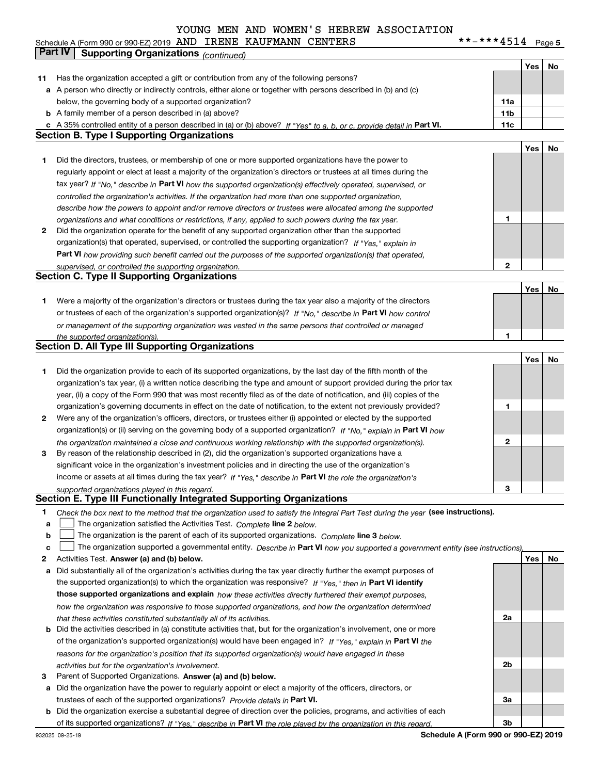#### $***$   $***$  4514 Page 5 **Yes No 11** Has the organization accepted a gift or contribution from any of the following persons? **a** A person who directly or indirectly controls, either alone or together with persons described in (b) and (c) **b** A family member of a person described in (a) above? **c** A 35% controlled entity of a person described in (a) or (b) above? If "Yes" to a, b, or c, provide detail in Part VI. **11c 11a11bYes No 1** Did the directors, trustees, or membership of one or more supported organizations have the power to **2** Did the organization operate for the benefit of any supported organization other than the supported tax year? If "No," describe in Part VI how the supported organization(s) effectively operated, supervised, or **12Part VI**  *how providing such benefit carried out the purposes of the supported organization(s) that operated,* **Yes No 1** Were a majority of the organization's directors or trustees during the tax year also a majority of the directors or trustees of each of the organization's supported organization(s)? If "No," describe in **Part VI** how control **1Yes No 12** Were any of the organization's officers, directors, or trustees either (i) appointed or elected by the supported **3123**organization(s) or (ii) serving on the governing body of a supported organization? If "No," explain in **Part VI** how income or assets at all times during the tax year? If "Yes," describe in **Part VI** the role the organization's **12Answer (a) and (b) below. Yes No** Activities Test. Check the box next to the method that the organization used to satisfy the Integral Part Test during the year (see instructions). **abclinupy** The organization satisfied the Activities Test. Complete line 2 below. The organization is the parent of each of its supported organizations. *Complete* line 3 *below.* The organization supported a governmental entity. *Describe in* Part **VI** how you supported a government entity (see instructions), **a** Did substantially all of the organization's activities during the tax year directly further the exempt purposes of the supported organization(s) to which the organization was responsive? If "Yes," then in **Part VI identify those supported organizations and explain**  *how these activities directly furthered their exempt purposes, controlled the organization's activities. If the organization had more than one supported organization, describe how the powers to appoint and/or remove directors or trustees were allocated among the supported organizations and what conditions or restrictions, if any, applied to such powers during the tax year. If "Yes," explain in* organization(s) that operated, supervised, or controlled the supporting organization? *supervised, or controlled the supporting organization. or management of the supporting organization was vested in the same persons that controlled or managed the supported organization(s). the organization maintained a close and continuous working relationship with the supported organization(s). supported organizations played in this regard.* Schedule A (Form 990 or 990-EZ) 2019 Page AND IRENE KAUFMANN CENTERS \*\*-\*\*\*4514 below, the governing body of a supported organization? regularly appoint or elect at least a majority of the organization's directors or trustees at all times during the Did the organization provide to each of its supported organizations, by the last day of the fifth month of the organization's tax year, (i) a written notice describing the type and amount of support provided during the prior tax year, (ii) a copy of the Form 990 that was most recently filed as of the date of notification, and (iii) copies of the organization's governing documents in effect on the date of notification, to the extent not previously provided? By reason of the relationship described in (2), did the organization's supported organizations have a significant voice in the organization's investment policies and in directing the use of the organization's **Part IV Supporting Organizations** *(continued)* **Section B. Type I Supporting Organizations Section C. Type II Supporting Organizations Section D. All Type III Supporting Organizations Section E. Type III Functionally Integrated Supporting Organizations**  $\mathcal{L}^{\text{max}}$  $\mathcal{L}^{\text{max}}$

|    | how the organization was responsive to those supported organizations, and how the organization determined                    |
|----|------------------------------------------------------------------------------------------------------------------------------|
|    | that these activities constituted substantially all of its activities.                                                       |
|    | <b>b</b> Did the activities described in (a) constitute activities that, but for the organization's involvement, one or more |
|    | of the organization's supported organization(s) would have been engaged in? If "Yes," explain in Part VI the                 |
|    | reasons for the organization's position that its supported organization(s) would have engaged in these                       |
|    | activities but for the organization's involvement.                                                                           |
| З. | Parent of Supported Organizations. Answer (a) and (b) below.                                                                 |

- **a** Did the organization have the power to regularly appoint or elect a majority of the officers, directors, or trustees of each of the supported organizations? *Provide details in* Part VI.
- **b** Did the organization exercise a substantial degree of direction over the policies, programs, and activities of each of its supported organizations? If "Yes," describe in Part VI the role played by the organization in this regard.

**2a**

**2b**

**3a**

**3b**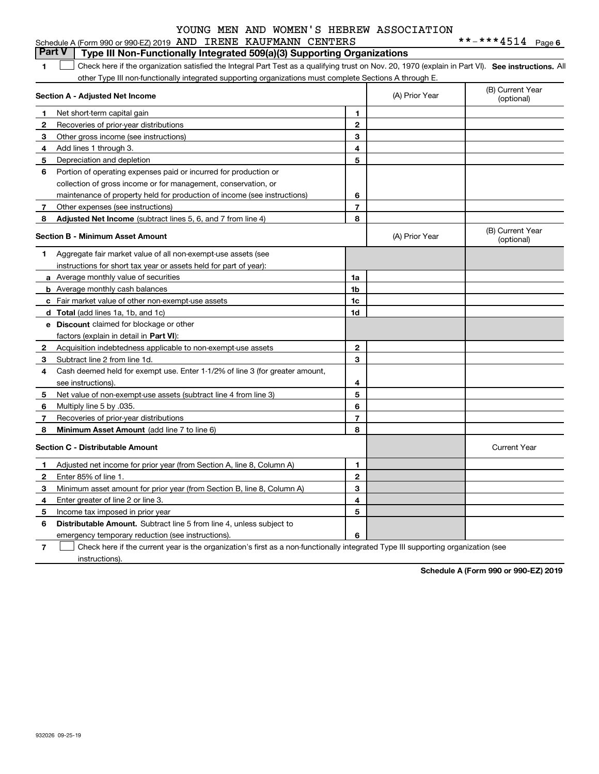|    | Schedule A (Form 990 or 990-EZ) 2019 AND IRENE KAUFMANN CENTERS                                                                                   |                |                | **-***4514 Page6               |
|----|---------------------------------------------------------------------------------------------------------------------------------------------------|----------------|----------------|--------------------------------|
|    | <b>Part V</b><br>Type III Non-Functionally Integrated 509(a)(3) Supporting Organizations                                                          |                |                |                                |
| 1  | Check here if the organization satisfied the Integral Part Test as a qualifying trust on Nov. 20, 1970 (explain in Part VI). See instructions. Al |                |                |                                |
|    | other Type III non-functionally integrated supporting organizations must complete Sections A through E.                                           |                |                |                                |
|    | Section A - Adjusted Net Income                                                                                                                   |                | (A) Prior Year | (B) Current Year<br>(optional) |
| 1  | Net short-term capital gain                                                                                                                       | 1              |                |                                |
| 2  | Recoveries of prior-year distributions                                                                                                            | 2              |                |                                |
| 3  | Other gross income (see instructions)                                                                                                             | 3              |                |                                |
| 4  | Add lines 1 through 3.                                                                                                                            | 4              |                |                                |
| 5  | Depreciation and depletion                                                                                                                        | 5              |                |                                |
| 6  | Portion of operating expenses paid or incurred for production or                                                                                  |                |                |                                |
|    | collection of gross income or for management, conservation, or                                                                                    |                |                |                                |
|    | maintenance of property held for production of income (see instructions)                                                                          | 6              |                |                                |
| 7  | Other expenses (see instructions)                                                                                                                 | $\overline{7}$ |                |                                |
| 8  | Adjusted Net Income (subtract lines 5, 6, and 7 from line 4)                                                                                      | 8              |                |                                |
|    | <b>Section B - Minimum Asset Amount</b>                                                                                                           |                | (A) Prior Year | (B) Current Year<br>(optional) |
| 1  | Aggregate fair market value of all non-exempt-use assets (see                                                                                     |                |                |                                |
|    | instructions for short tax year or assets held for part of year):                                                                                 |                |                |                                |
|    | a Average monthly value of securities                                                                                                             | 1a             |                |                                |
|    | <b>b</b> Average monthly cash balances                                                                                                            | 1b             |                |                                |
|    | c Fair market value of other non-exempt-use assets                                                                                                | 1c             |                |                                |
|    | d Total (add lines 1a, 1b, and 1c)                                                                                                                | 1d             |                |                                |
|    | <b>e</b> Discount claimed for blockage or other                                                                                                   |                |                |                                |
|    | factors (explain in detail in Part VI):                                                                                                           |                |                |                                |
| 2  | Acquisition indebtedness applicable to non-exempt-use assets                                                                                      | $\mathbf{2}$   |                |                                |
| 3  | Subtract line 2 from line 1d.                                                                                                                     | 3              |                |                                |
| 4  | Cash deemed held for exempt use. Enter 1-1/2% of line 3 (for greater amount,                                                                      |                |                |                                |
|    | see instructions).                                                                                                                                | 4              |                |                                |
| 5  | Net value of non-exempt-use assets (subtract line 4 from line 3)                                                                                  | 5              |                |                                |
| 6  | Multiply line 5 by .035.                                                                                                                          | 6              |                |                                |
| 7  | Recoveries of prior-year distributions                                                                                                            | $\overline{7}$ |                |                                |
| 8  | Minimum Asset Amount (add line 7 to line 6)                                                                                                       | 8              |                |                                |
|    | <b>Section C - Distributable Amount</b>                                                                                                           |                |                | <b>Current Year</b>            |
| 1. | Adjusted net income for prior year (from Section A, line 8, Column A)                                                                             | 1              |                |                                |
| 2  | Enter 85% of line 1.                                                                                                                              | $\overline{2}$ |                |                                |
| 3  | Minimum asset amount for prior year (from Section B, line 8, Column A)                                                                            | 3              |                |                                |
| 4  | Enter greater of line 2 or line 3.                                                                                                                | 4              |                |                                |
| 5  | Income tax imposed in prior year                                                                                                                  | 5              |                |                                |
| 6  | <b>Distributable Amount.</b> Subtract line 5 from line 4, unless subject to                                                                       |                |                |                                |
|    | emergency temporary reduction (see instructions).                                                                                                 | 6              |                |                                |

**7**Check here if the current year is the organization's first as a non-functionally integrated Type III supporting organization (see instructions).

**Schedule A (Form 990 or 990-EZ) 2019**

**6**

|  | ND IRENE KAUFMANN CENTERS |  |
|--|---------------------------|--|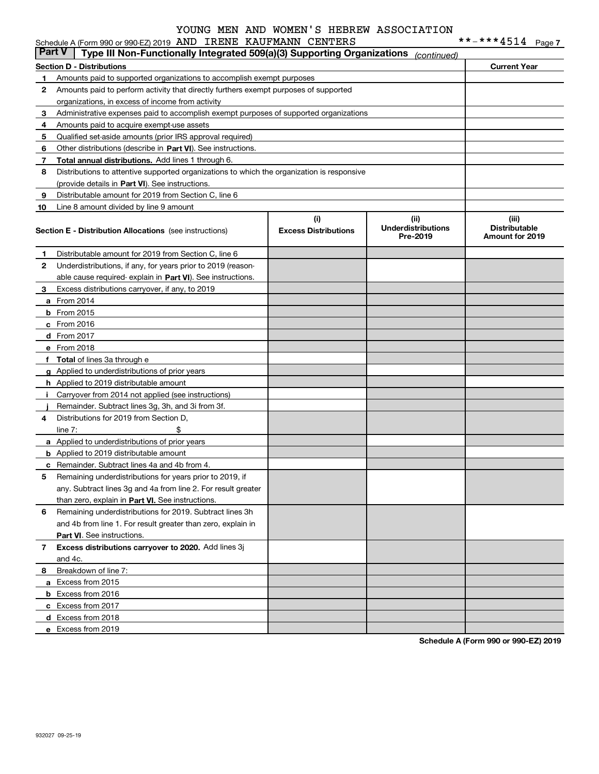|               | Schedule A (Form 990 or 990-EZ) 2019 AND IRENE KAUFMANN CENTERS                            |                             |                                       | **-***4514                                     | Page 7 |
|---------------|--------------------------------------------------------------------------------------------|-----------------------------|---------------------------------------|------------------------------------------------|--------|
| <b>Part V</b> | Type III Non-Functionally Integrated 509(a)(3) Supporting Organizations                    |                             | (continued)                           |                                                |        |
|               | <b>Section D - Distributions</b>                                                           |                             |                                       | <b>Current Year</b>                            |        |
| 1             | Amounts paid to supported organizations to accomplish exempt purposes                      |                             |                                       |                                                |        |
| 2             | Amounts paid to perform activity that directly furthers exempt purposes of supported       |                             |                                       |                                                |        |
|               | organizations, in excess of income from activity                                           |                             |                                       |                                                |        |
| 3             | Administrative expenses paid to accomplish exempt purposes of supported organizations      |                             |                                       |                                                |        |
| 4             | Amounts paid to acquire exempt-use assets                                                  |                             |                                       |                                                |        |
| 5             | Qualified set-aside amounts (prior IRS approval required)                                  |                             |                                       |                                                |        |
| 6             | Other distributions (describe in Part VI). See instructions.                               |                             |                                       |                                                |        |
| 7             | Total annual distributions. Add lines 1 through 6.                                         |                             |                                       |                                                |        |
| 8             | Distributions to attentive supported organizations to which the organization is responsive |                             |                                       |                                                |        |
|               | (provide details in Part VI). See instructions.                                            |                             |                                       |                                                |        |
| 9             | Distributable amount for 2019 from Section C, line 6                                       |                             |                                       |                                                |        |
| 10            | Line 8 amount divided by line 9 amount                                                     |                             |                                       |                                                |        |
|               |                                                                                            | (i)                         | (ii)                                  | (iii)                                          |        |
|               | <b>Section E - Distribution Allocations</b> (see instructions)                             | <b>Excess Distributions</b> | <b>Underdistributions</b><br>Pre-2019 | <b>Distributable</b><br><b>Amount for 2019</b> |        |
|               |                                                                                            |                             |                                       |                                                |        |
| 1             | Distributable amount for 2019 from Section C, line 6                                       |                             |                                       |                                                |        |
| 2             | Underdistributions, if any, for years prior to 2019 (reason-                               |                             |                                       |                                                |        |
|               | able cause required-explain in Part VI). See instructions.                                 |                             |                                       |                                                |        |
| 3             | Excess distributions carryover, if any, to 2019                                            |                             |                                       |                                                |        |
|               | <b>a</b> From 2014                                                                         |                             |                                       |                                                |        |
|               | <b>b</b> From 2015                                                                         |                             |                                       |                                                |        |
|               | c From 2016                                                                                |                             |                                       |                                                |        |
|               | d From 2017                                                                                |                             |                                       |                                                |        |
|               | e From 2018                                                                                |                             |                                       |                                                |        |
|               | f Total of lines 3a through e                                                              |                             |                                       |                                                |        |
|               | g Applied to underdistributions of prior years                                             |                             |                                       |                                                |        |
|               | <b>h</b> Applied to 2019 distributable amount                                              |                             |                                       |                                                |        |
|               | Carryover from 2014 not applied (see instructions)                                         |                             |                                       |                                                |        |
|               | Remainder. Subtract lines 3g, 3h, and 3i from 3f.                                          |                             |                                       |                                                |        |
| 4             | Distributions for 2019 from Section D,                                                     |                             |                                       |                                                |        |
|               | \$<br>line $7:$                                                                            |                             |                                       |                                                |        |
|               | a Applied to underdistributions of prior years                                             |                             |                                       |                                                |        |
|               | <b>b</b> Applied to 2019 distributable amount                                              |                             |                                       |                                                |        |
|               | <b>c</b> Remainder. Subtract lines 4a and 4b from 4.                                       |                             |                                       |                                                |        |
|               | Remaining underdistributions for years prior to 2019, if                                   |                             |                                       |                                                |        |
|               | any. Subtract lines 3g and 4a from line 2. For result greater                              |                             |                                       |                                                |        |
|               | than zero, explain in Part VI. See instructions.                                           |                             |                                       |                                                |        |
| 6             | Remaining underdistributions for 2019. Subtract lines 3h                                   |                             |                                       |                                                |        |
|               | and 4b from line 1. For result greater than zero, explain in                               |                             |                                       |                                                |        |
|               | Part VI. See instructions.                                                                 |                             |                                       |                                                |        |
| 7             | Excess distributions carryover to 2020. Add lines 3j                                       |                             |                                       |                                                |        |
|               | and 4c.                                                                                    |                             |                                       |                                                |        |
| 8             | Breakdown of line 7:                                                                       |                             |                                       |                                                |        |
|               | a Excess from 2015                                                                         |                             |                                       |                                                |        |
|               | <b>b</b> Excess from 2016                                                                  |                             |                                       |                                                |        |
|               | c Excess from 2017                                                                         |                             |                                       |                                                |        |
|               | d Excess from 2018                                                                         |                             |                                       |                                                |        |
|               | e Excess from 2019                                                                         |                             |                                       |                                                |        |

**Schedule A (Form 990 or 990-EZ) 2019**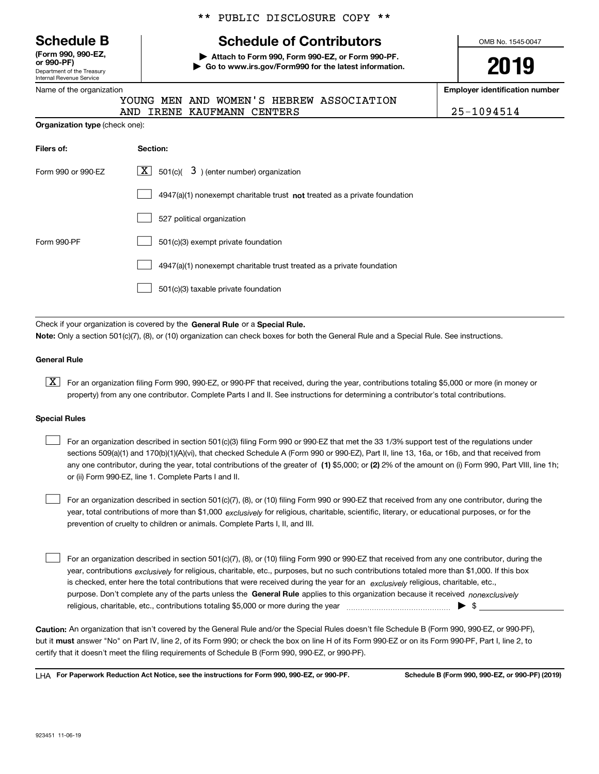| <b>Schedule B</b> |  |
|-------------------|--|
|-------------------|--|

Department of the Treasury Internal Revenue Service **(Form 990, 990-EZ, or 990-PF)**

#### Name of the organization

## \*\* PUBLIC DISCLOSURE COPY \*\*

## **Schedule of Contributors**

**| Attach to Form 990, Form 990-EZ, or Form 990-PF. | Go to www.irs.gov/Form990 for the latest information.** OMB No. 1545-0047

# **2019**

**Employer identification number**

AND INTERS 25-1094514

|  |  | YOUNG MEN AND WOMEN'S HEBREW ASSOCIATION |
|--|--|------------------------------------------|
|  |  |                                          |

|                                       |  | AND IRENE RAUFMANN CE |  |
|---------------------------------------|--|-----------------------|--|
| <b>Organization type</b> (check one): |  |                       |  |

| Filers of:         | Section:                                                                    |
|--------------------|-----------------------------------------------------------------------------|
| Form 990 or 990-EZ | $\lfloor x \rfloor$ 501(c)( 3) (enter number) organization                  |
|                    | $4947(a)(1)$ nonexempt charitable trust not treated as a private foundation |
|                    | 527 political organization                                                  |
| Form 990-PF        | 501(c)(3) exempt private foundation                                         |
|                    | 4947(a)(1) nonexempt charitable trust treated as a private foundation       |
|                    | 501(c)(3) taxable private foundation                                        |

Check if your organization is covered by the **General Rule** or a **Special Rule. Note:**  Only a section 501(c)(7), (8), or (10) organization can check boxes for both the General Rule and a Special Rule. See instructions.

## **General Rule**

 $\boxed{\textbf{X}}$  For an organization filing Form 990, 990-EZ, or 990-PF that received, during the year, contributions totaling \$5,000 or more (in money or property) from any one contributor. Complete Parts I and II. See instructions for determining a contributor's total contributions.

#### **Special Rules**

any one contributor, during the year, total contributions of the greater of  $\,$  (1) \$5,000; or **(2)** 2% of the amount on (i) Form 990, Part VIII, line 1h; For an organization described in section 501(c)(3) filing Form 990 or 990-EZ that met the 33 1/3% support test of the regulations under sections 509(a)(1) and 170(b)(1)(A)(vi), that checked Schedule A (Form 990 or 990-EZ), Part II, line 13, 16a, or 16b, and that received from or (ii) Form 990-EZ, line 1. Complete Parts I and II.  $\mathcal{L}^{\text{max}}$ 

year, total contributions of more than \$1,000 *exclusively* for religious, charitable, scientific, literary, or educational purposes, or for the For an organization described in section 501(c)(7), (8), or (10) filing Form 990 or 990-EZ that received from any one contributor, during the prevention of cruelty to children or animals. Complete Parts I, II, and III.  $\mathcal{L}^{\text{max}}$ 

purpose. Don't complete any of the parts unless the **General Rule** applies to this organization because it received *nonexclusively* year, contributions <sub>exclusively</sub> for religious, charitable, etc., purposes, but no such contributions totaled more than \$1,000. If this box is checked, enter here the total contributions that were received during the year for an  $\;$ exclusively religious, charitable, etc., For an organization described in section 501(c)(7), (8), or (10) filing Form 990 or 990-EZ that received from any one contributor, during the religious, charitable, etc., contributions totaling \$5,000 or more during the year  $\Box$ — $\Box$   $\Box$  $\mathcal{L}^{\text{max}}$ 

**Caution:**  An organization that isn't covered by the General Rule and/or the Special Rules doesn't file Schedule B (Form 990, 990-EZ, or 990-PF),  **must** but it answer "No" on Part IV, line 2, of its Form 990; or check the box on line H of its Form 990-EZ or on its Form 990-PF, Part I, line 2, to certify that it doesn't meet the filing requirements of Schedule B (Form 990, 990-EZ, or 990-PF).

**For Paperwork Reduction Act Notice, see the instructions for Form 990, 990-EZ, or 990-PF. Schedule B (Form 990, 990-EZ, or 990-PF) (2019)** LHA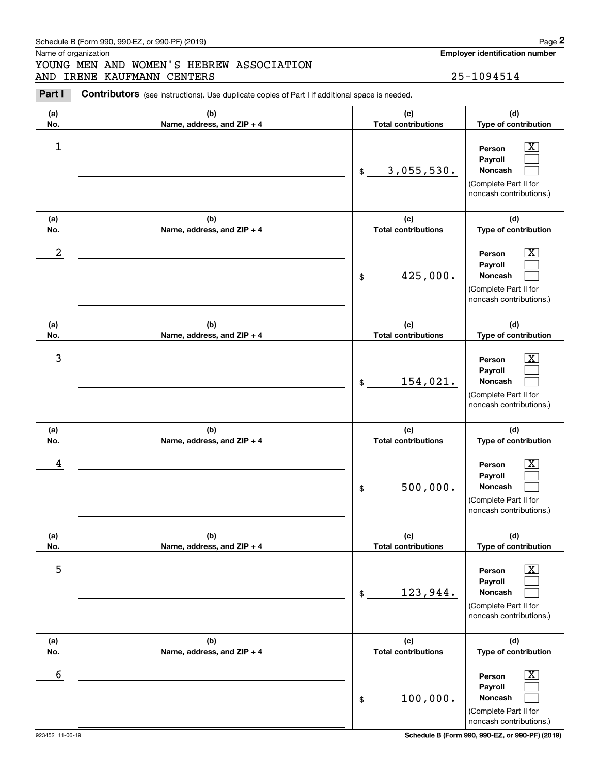## Schedule B (Form 990, 990-EZ, or 990-PF) (2019) Page 2

Name of organization

# Chedule B (Form 990, 990-EZ, or 990-PF) (2019)<br> **2Part I Contributors** (see instructions). Use duplicate copies of Part I if additional space is needed.<br> **2Part I Contributors** (see instructions). Use duplicate copies of P YOUNG MEN AND WOMEN'S HEBREW ASSOCIATION AND IRENE KAUFMANN CENTERS 25-1094514

**Employer identification number**

| Part I     | <b>Contributors</b> (see instructions). Use duplicate copies of Part I if additional space is needed. |                                   |                                                                                                             |
|------------|-------------------------------------------------------------------------------------------------------|-----------------------------------|-------------------------------------------------------------------------------------------------------------|
| (a)<br>No. | (b)<br>Name, address, and ZIP + 4                                                                     | (c)<br><b>Total contributions</b> | (d)<br>Type of contribution                                                                                 |
| 1          |                                                                                                       | 3,055,530.<br>\$                  | $\overline{\mathbf{X}}$<br>Person<br>Pavroll<br>Noncash<br>(Complete Part II for<br>noncash contributions.) |
| (a)<br>No. | (b)<br>Name, address, and ZIP + 4                                                                     | (c)<br><b>Total contributions</b> | (d)<br>Type of contribution                                                                                 |
| 2          |                                                                                                       | 425,000.<br>\$                    | $\overline{\mathbf{X}}$<br>Person<br>Payroll<br>Noncash<br>(Complete Part II for<br>noncash contributions.) |
| (a)<br>No. | (b)<br>Name, address, and ZIP + 4                                                                     | (c)<br><b>Total contributions</b> | (d)<br>Type of contribution                                                                                 |
| 3          |                                                                                                       | 154,021.<br>\$                    | $\overline{\mathbf{X}}$<br>Person<br>Payroll<br>Noncash<br>(Complete Part II for<br>noncash contributions.) |
| (a)<br>No. | (b)<br>Name, address, and ZIP + 4                                                                     | (c)<br><b>Total contributions</b> | (d)<br>Type of contribution                                                                                 |
| 4          |                                                                                                       | 500,000.<br>\$                    | $\mathbf{X}$<br>Person<br>Payroll<br><b>Noncash</b><br>(Complete Part II for<br>noncash contributions.)     |
| (a)<br>No. | (b)<br>Name, address, and ZIP + 4                                                                     | (c)<br><b>Total contributions</b> | (d)<br>Type of contribution                                                                                 |
| 5          |                                                                                                       | 123,944.<br>\$                    | $\boxed{\text{X}}$<br>Person<br>Payroll<br>Noncash<br>(Complete Part II for<br>noncash contributions.)      |
| (a)<br>No. | (b)<br>Name, address, and ZIP + 4                                                                     | (c)<br><b>Total contributions</b> | (d)<br>Type of contribution                                                                                 |
| 6          |                                                                                                       | 100,000.<br>\$                    | $\boxed{\text{X}}$<br>Person<br>Payroll<br>Noncash<br>(Complete Part II for<br>noncash contributions.)      |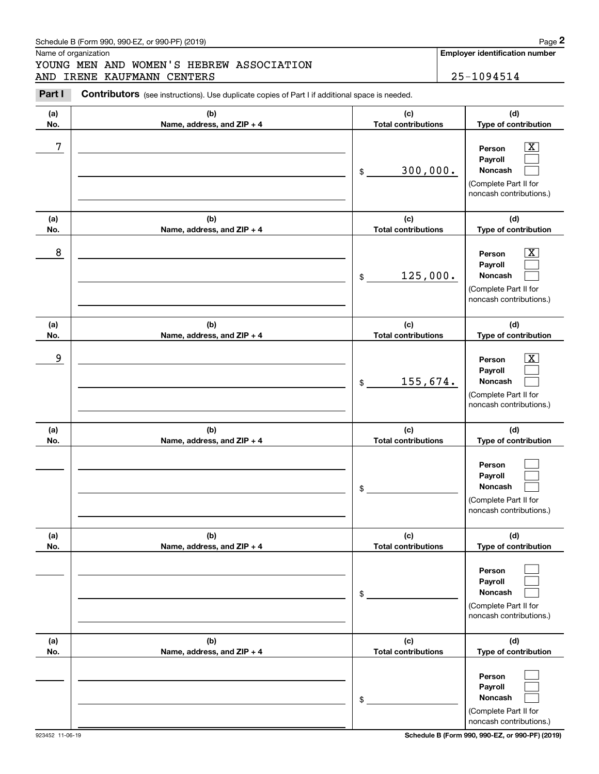## Schedule B (Form 990, 990-EZ, or 990-PF) (2019) **Page 2** Page 2

Name of organization

# YOUNG MEN AND WOMEN'S HEBREW ASSOCIATION

**(c)(d)**Contributors (see instructions). Use duplicate copies of Part I if additional space is needed. Chedule B (Form 990, 990-EZ, or 990-PF) (2019)<br> **2Part I Contributors** (see instructions). Use duplicate copies of Part I if additional space is needed.<br> **2Part I Contributors** (see instructions). Use duplicate copies of P AND IRENE KAUFMANN CENTERS 25-1094514

| (a)        | (b)                               | (c)                                          | (d)                                                                                                                               |
|------------|-----------------------------------|----------------------------------------------|-----------------------------------------------------------------------------------------------------------------------------------|
| No.        | Name, address, and ZIP + 4        | <b>Total contributions</b>                   | Type of contribution                                                                                                              |
| 7          |                                   | 300,000.<br>\$                               | $\overline{\text{X}}$<br>Person<br>Payroll<br>Noncash<br>(Complete Part II for<br>noncash contributions.)                         |
| (a)        | (b)                               | (c)                                          | (d)                                                                                                                               |
| No.<br>8   | Name, address, and ZIP + 4        | <b>Total contributions</b><br>125,000.<br>\$ | Type of contribution<br>$\overline{\text{X}}$<br>Person<br>Payroll<br>Noncash<br>(Complete Part II for<br>noncash contributions.) |
| (a)<br>No. | (b)<br>Name, address, and ZIP + 4 | (c)<br><b>Total contributions</b>            | (d)<br>Type of contribution                                                                                                       |
| 9          |                                   | 155,674.<br>\$                               | $\overline{\text{X}}$<br>Person<br>Payroll<br>Noncash<br>(Complete Part II for<br>noncash contributions.)                         |
| (a)<br>No. | (b)<br>Name, address, and ZIP + 4 | (c)<br><b>Total contributions</b>            | (d)<br>Type of contribution                                                                                                       |
|            |                                   | \$                                           | Person<br>Payroll<br>Noncash<br>(Complete Part II for<br>noncash contributions.)                                                  |
| (a)<br>No. | (b)<br>Name, address, and ZIP + 4 | (c)<br><b>Total contributions</b>            | (d)<br>Type of contribution                                                                                                       |
|            |                                   | \$                                           | Person<br>Payroll<br>Noncash<br>(Complete Part II for<br>noncash contributions.)                                                  |
| (a)<br>No. | (b)<br>Name, address, and ZIP + 4 | (c)<br><b>Total contributions</b>            | (d)<br>Type of contribution                                                                                                       |
|            |                                   | \$                                           | Person<br>Payroll<br>Noncash<br>(Complete Part II for<br>noncash contributions.)                                                  |

**Employer identification number**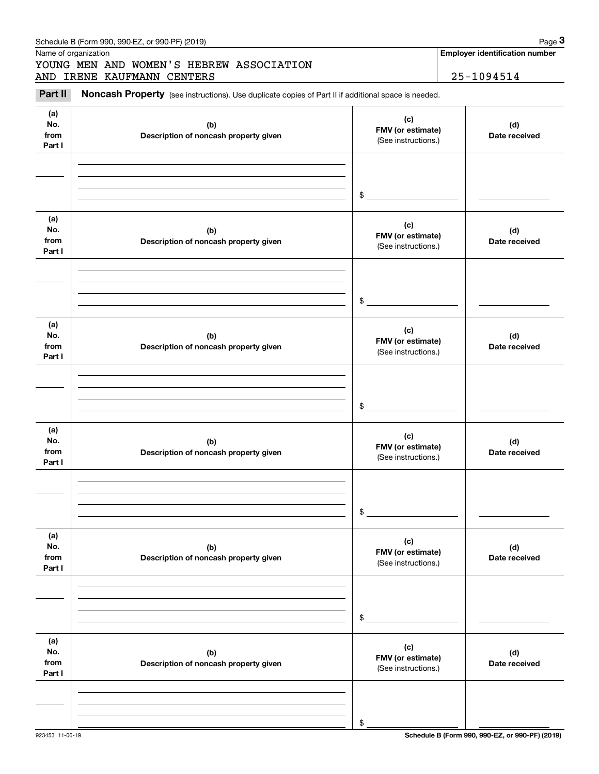|                              |                                              | \$                                              |                      |
|------------------------------|----------------------------------------------|-------------------------------------------------|----------------------|
| (a)<br>No.<br>from<br>Part I | (b)<br>Description of noncash property given | (c)<br>FMV (or estimate)<br>(See instructions.) | (d)<br>Date received |
|                              |                                              | \$                                              |                      |
| (a)<br>No.<br>from<br>Part I | (b)<br>Description of noncash property given | (c)<br>FMV (or estimate)<br>(See instructions.) | (d)<br>Date received |
|                              |                                              | \$                                              |                      |
| (a)<br>No.<br>from<br>Part I | (b)<br>Description of noncash property given | (c)<br>FMV (or estimate)<br>(See instructions.) | (d)<br>Date received |
|                              |                                              | \$                                              |                      |
| (a)<br>No.<br>from<br>Part I | (b)<br>Description of noncash property given | (c)<br>FMV (or estimate)<br>(See instructions.) | (d)<br>Date received |
|                              |                                              | \$                                              |                      |
| (a)<br>No.<br>from<br>Part I | (b)<br>Description of noncash property given | (c)<br>FMV (or estimate)<br>(See instructions.) | (d)<br>Date received |
|                              |                                              | \$                                              |                      |

## Schedule B (Form 990, 990-EZ, or 990-PF) (2019) **Page 3**

Name of organization

**(a) No.fromPart I**

# Chedule B (Form 990, 990-EZ, or 990-PF) (2019)<br>
Iame of organization<br> **3Part II is Noncash Property** (see instructions). Use duplicate copies of Part II if additional space is needed.<br> **3Part II is Noncash Property** (see i YOUNG MEN AND WOMEN'S HEBREW ASSOCIATION AND IRENE KAUFMANN CENTERS | 25-1094514

**(b)Description of noncash property given** **Employer identification number**

**(d) Date received**

**(c) FMV (or estimate)**

(See instructions.)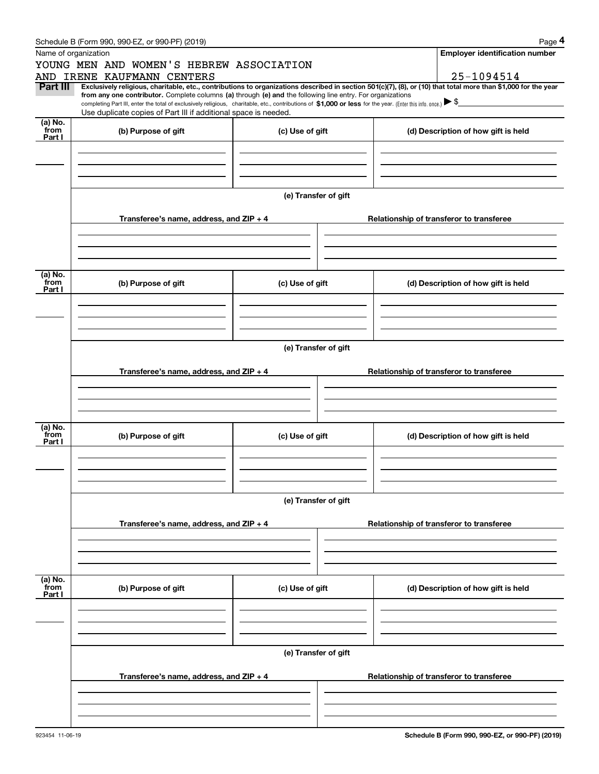| : B (Form 990.<br>990-EZ.<br>. or 990-PF)<br>(2019) (<br>Schedule | Page                                  |
|-------------------------------------------------------------------|---------------------------------------|
| Name of organization                                              | <b>Emplover identification number</b> |

|                      | Schedule B (Form 990, 990-EZ, or 990-PF) (2019)                                                                                                                                                                                 |                      | Page 4                                                                                                                                                                       |  |  |  |  |  |
|----------------------|---------------------------------------------------------------------------------------------------------------------------------------------------------------------------------------------------------------------------------|----------------------|------------------------------------------------------------------------------------------------------------------------------------------------------------------------------|--|--|--|--|--|
| Name of organization |                                                                                                                                                                                                                                 |                      | <b>Employer identification number</b>                                                                                                                                        |  |  |  |  |  |
|                      | YOUNG MEN AND WOMEN'S HEBREW ASSOCIATION                                                                                                                                                                                        |                      |                                                                                                                                                                              |  |  |  |  |  |
| Part III             | AND IRENE KAUFMANN CENTERS                                                                                                                                                                                                      |                      | 25-1094514<br>Exclusively religious, charitable, etc., contributions to organizations described in section 501(c)(7), (8), or (10) that total more than \$1,000 for the year |  |  |  |  |  |
|                      | from any one contributor. Complete columns (a) through (e) and the following line entry. For organizations                                                                                                                      |                      |                                                                                                                                                                              |  |  |  |  |  |
|                      | completing Part III, enter the total of exclusively religious, charitable, etc., contributions of \$1,000 or less for the year. (Enter this info. once.) \\$<br>Use duplicate copies of Part III if additional space is needed. |                      |                                                                                                                                                                              |  |  |  |  |  |
| (a) No.              |                                                                                                                                                                                                                                 |                      |                                                                                                                                                                              |  |  |  |  |  |
| from<br>Part I       | (b) Purpose of gift                                                                                                                                                                                                             | (c) Use of gift      | (d) Description of how gift is held                                                                                                                                          |  |  |  |  |  |
|                      |                                                                                                                                                                                                                                 |                      |                                                                                                                                                                              |  |  |  |  |  |
|                      |                                                                                                                                                                                                                                 |                      |                                                                                                                                                                              |  |  |  |  |  |
|                      |                                                                                                                                                                                                                                 |                      |                                                                                                                                                                              |  |  |  |  |  |
|                      |                                                                                                                                                                                                                                 | (e) Transfer of gift |                                                                                                                                                                              |  |  |  |  |  |
|                      |                                                                                                                                                                                                                                 |                      |                                                                                                                                                                              |  |  |  |  |  |
|                      | Transferee's name, address, and ZIP + 4                                                                                                                                                                                         |                      | Relationship of transferor to transferee                                                                                                                                     |  |  |  |  |  |
|                      |                                                                                                                                                                                                                                 |                      |                                                                                                                                                                              |  |  |  |  |  |
|                      |                                                                                                                                                                                                                                 |                      |                                                                                                                                                                              |  |  |  |  |  |
|                      |                                                                                                                                                                                                                                 |                      |                                                                                                                                                                              |  |  |  |  |  |
| (a) No.<br>from      |                                                                                                                                                                                                                                 |                      |                                                                                                                                                                              |  |  |  |  |  |
| Part I               | (b) Purpose of gift                                                                                                                                                                                                             | (c) Use of gift      | (d) Description of how gift is held                                                                                                                                          |  |  |  |  |  |
|                      |                                                                                                                                                                                                                                 |                      |                                                                                                                                                                              |  |  |  |  |  |
|                      |                                                                                                                                                                                                                                 |                      |                                                                                                                                                                              |  |  |  |  |  |
|                      |                                                                                                                                                                                                                                 |                      |                                                                                                                                                                              |  |  |  |  |  |
|                      |                                                                                                                                                                                                                                 | (e) Transfer of gift |                                                                                                                                                                              |  |  |  |  |  |
|                      |                                                                                                                                                                                                                                 |                      |                                                                                                                                                                              |  |  |  |  |  |
|                      | Transferee's name, address, and ZIP + 4                                                                                                                                                                                         |                      | Relationship of transferor to transferee                                                                                                                                     |  |  |  |  |  |
|                      |                                                                                                                                                                                                                                 |                      |                                                                                                                                                                              |  |  |  |  |  |
|                      |                                                                                                                                                                                                                                 |                      |                                                                                                                                                                              |  |  |  |  |  |
|                      |                                                                                                                                                                                                                                 |                      |                                                                                                                                                                              |  |  |  |  |  |
| (a) No.<br>from      | (b) Purpose of gift                                                                                                                                                                                                             | (c) Use of gift      | (d) Description of how gift is held                                                                                                                                          |  |  |  |  |  |
| Part I               |                                                                                                                                                                                                                                 |                      |                                                                                                                                                                              |  |  |  |  |  |
|                      |                                                                                                                                                                                                                                 |                      |                                                                                                                                                                              |  |  |  |  |  |
|                      |                                                                                                                                                                                                                                 |                      |                                                                                                                                                                              |  |  |  |  |  |
|                      |                                                                                                                                                                                                                                 |                      |                                                                                                                                                                              |  |  |  |  |  |
|                      |                                                                                                                                                                                                                                 | (e) Transfer of gift |                                                                                                                                                                              |  |  |  |  |  |
|                      | Transferee's name, address, and ZIP + 4                                                                                                                                                                                         |                      | Relationship of transferor to transferee                                                                                                                                     |  |  |  |  |  |
|                      |                                                                                                                                                                                                                                 |                      |                                                                                                                                                                              |  |  |  |  |  |
|                      |                                                                                                                                                                                                                                 |                      |                                                                                                                                                                              |  |  |  |  |  |
|                      |                                                                                                                                                                                                                                 |                      |                                                                                                                                                                              |  |  |  |  |  |
| (a) No.              |                                                                                                                                                                                                                                 |                      |                                                                                                                                                                              |  |  |  |  |  |
| from<br>Part I       | (b) Purpose of gift                                                                                                                                                                                                             | (c) Use of gift      | (d) Description of how gift is held                                                                                                                                          |  |  |  |  |  |
|                      |                                                                                                                                                                                                                                 |                      |                                                                                                                                                                              |  |  |  |  |  |
|                      |                                                                                                                                                                                                                                 |                      |                                                                                                                                                                              |  |  |  |  |  |
|                      |                                                                                                                                                                                                                                 |                      |                                                                                                                                                                              |  |  |  |  |  |
|                      | (e) Transfer of gift                                                                                                                                                                                                            |                      |                                                                                                                                                                              |  |  |  |  |  |
|                      |                                                                                                                                                                                                                                 |                      |                                                                                                                                                                              |  |  |  |  |  |
|                      | Transferee's name, address, and $ZIP + 4$                                                                                                                                                                                       |                      | Relationship of transferor to transferee                                                                                                                                     |  |  |  |  |  |
|                      |                                                                                                                                                                                                                                 |                      |                                                                                                                                                                              |  |  |  |  |  |
|                      |                                                                                                                                                                                                                                 |                      |                                                                                                                                                                              |  |  |  |  |  |
|                      |                                                                                                                                                                                                                                 |                      |                                                                                                                                                                              |  |  |  |  |  |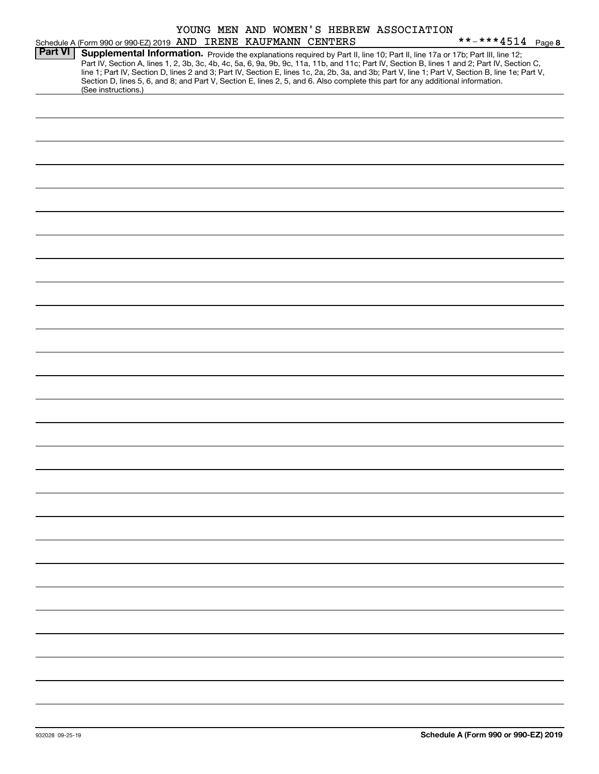|                |                                                                                                                                                                                                                                                                                                                                                                                                                                                                                                                                                                                             |  | YOUNG MEN AND WOMEN'S HEBREW ASSOCIATION |                   |
|----------------|---------------------------------------------------------------------------------------------------------------------------------------------------------------------------------------------------------------------------------------------------------------------------------------------------------------------------------------------------------------------------------------------------------------------------------------------------------------------------------------------------------------------------------------------------------------------------------------------|--|------------------------------------------|-------------------|
|                | Schedule A (Form 990 or 990-EZ) 2019 AND IRENE KAUFMANN CENTERS                                                                                                                                                                                                                                                                                                                                                                                                                                                                                                                             |  |                                          | **-***4514 Page 8 |
| <b>Part VI</b> | Supplemental Information. Provide the explanations required by Part II, line 10; Part II, line 17a or 17b; Part III, line 12;<br>Part IV, Section A, lines 1, 2, 3b, 3c, 4b, 4c, 5a, 6, 9a, 9b, 9c, 11a, 11b, and 11c; Part IV, Section B, lines 1 and 2; Part IV, Section C,<br>line 1; Part IV, Section D, lines 2 and 3; Part IV, Section E, lines 1c, 2a, 2b, 3a, and 3b; Part V, line 1; Part V, Section B, line 1e; Part V,<br>Section D, lines 5, 6, and 8; and Part V, Section E, lines 2, 5, and 6. Also complete this part for any additional information.<br>(See instructions.) |  |                                          |                   |
|                |                                                                                                                                                                                                                                                                                                                                                                                                                                                                                                                                                                                             |  |                                          |                   |
|                |                                                                                                                                                                                                                                                                                                                                                                                                                                                                                                                                                                                             |  |                                          |                   |
|                |                                                                                                                                                                                                                                                                                                                                                                                                                                                                                                                                                                                             |  |                                          |                   |
|                |                                                                                                                                                                                                                                                                                                                                                                                                                                                                                                                                                                                             |  |                                          |                   |
|                |                                                                                                                                                                                                                                                                                                                                                                                                                                                                                                                                                                                             |  |                                          |                   |
|                |                                                                                                                                                                                                                                                                                                                                                                                                                                                                                                                                                                                             |  |                                          |                   |
|                |                                                                                                                                                                                                                                                                                                                                                                                                                                                                                                                                                                                             |  |                                          |                   |
|                |                                                                                                                                                                                                                                                                                                                                                                                                                                                                                                                                                                                             |  |                                          |                   |
|                |                                                                                                                                                                                                                                                                                                                                                                                                                                                                                                                                                                                             |  |                                          |                   |
|                |                                                                                                                                                                                                                                                                                                                                                                                                                                                                                                                                                                                             |  |                                          |                   |
|                |                                                                                                                                                                                                                                                                                                                                                                                                                                                                                                                                                                                             |  |                                          |                   |
|                |                                                                                                                                                                                                                                                                                                                                                                                                                                                                                                                                                                                             |  |                                          |                   |
|                |                                                                                                                                                                                                                                                                                                                                                                                                                                                                                                                                                                                             |  |                                          |                   |
|                |                                                                                                                                                                                                                                                                                                                                                                                                                                                                                                                                                                                             |  |                                          |                   |
|                |                                                                                                                                                                                                                                                                                                                                                                                                                                                                                                                                                                                             |  |                                          |                   |
|                |                                                                                                                                                                                                                                                                                                                                                                                                                                                                                                                                                                                             |  |                                          |                   |
|                |                                                                                                                                                                                                                                                                                                                                                                                                                                                                                                                                                                                             |  |                                          |                   |
|                |                                                                                                                                                                                                                                                                                                                                                                                                                                                                                                                                                                                             |  |                                          |                   |
|                |                                                                                                                                                                                                                                                                                                                                                                                                                                                                                                                                                                                             |  |                                          |                   |
|                |                                                                                                                                                                                                                                                                                                                                                                                                                                                                                                                                                                                             |  |                                          |                   |
|                |                                                                                                                                                                                                                                                                                                                                                                                                                                                                                                                                                                                             |  |                                          |                   |
|                |                                                                                                                                                                                                                                                                                                                                                                                                                                                                                                                                                                                             |  |                                          |                   |
|                |                                                                                                                                                                                                                                                                                                                                                                                                                                                                                                                                                                                             |  |                                          |                   |
|                |                                                                                                                                                                                                                                                                                                                                                                                                                                                                                                                                                                                             |  |                                          |                   |
|                |                                                                                                                                                                                                                                                                                                                                                                                                                                                                                                                                                                                             |  |                                          |                   |
|                |                                                                                                                                                                                                                                                                                                                                                                                                                                                                                                                                                                                             |  |                                          |                   |
|                |                                                                                                                                                                                                                                                                                                                                                                                                                                                                                                                                                                                             |  |                                          |                   |
|                |                                                                                                                                                                                                                                                                                                                                                                                                                                                                                                                                                                                             |  |                                          |                   |
|                |                                                                                                                                                                                                                                                                                                                                                                                                                                                                                                                                                                                             |  |                                          |                   |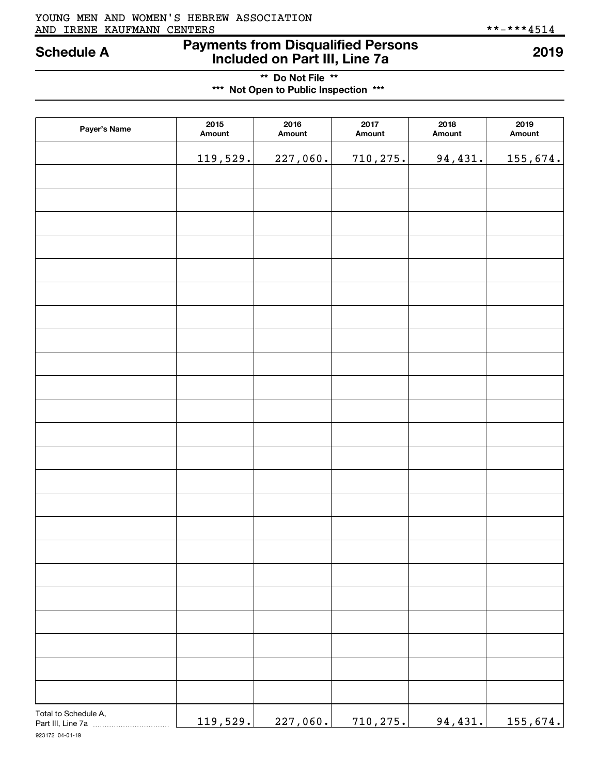## AND IRENE KAUFMANN CENTERS \*\*-\*\*\*4514 YOUNG MEN AND WOMEN'S HEBREW ASSOCIATION

## **Payments from Disqualified Persons Schedule A 2019 Included on Part III, Line 7a**

**\*\* Do Not File \*\* \*\*\* Not Open to Public Inspection \*\*\***

| Payer's Name         | 2015<br>Amount | 2016<br>Amount | 2017<br>Amount | 2018<br>Amount | 2019<br>Amount |
|----------------------|----------------|----------------|----------------|----------------|----------------|
|                      | 119,529.       | 227,060.       | 710, 275.      | 94,431.        | 155,674.       |
|                      |                |                |                |                |                |
|                      |                |                |                |                |                |
|                      |                |                |                |                |                |
|                      |                |                |                |                |                |
|                      |                |                |                |                |                |
|                      |                |                |                |                |                |
|                      |                |                |                |                |                |
|                      |                |                |                |                |                |
|                      |                |                |                |                |                |
|                      |                |                |                |                |                |
|                      |                |                |                |                |                |
|                      |                |                |                |                |                |
|                      |                |                |                |                |                |
|                      |                |                |                |                |                |
|                      |                |                |                |                |                |
|                      |                |                |                |                |                |
|                      |                |                |                |                |                |
|                      |                |                |                |                |                |
|                      |                |                |                |                |                |
|                      |                |                |                |                |                |
|                      |                |                |                |                |                |
|                      |                |                |                |                |                |
|                      |                |                |                |                |                |
| Total to Schedule A, | 119,529.       | 227,060.       | 710,275.       | 94,431.        | 155,674.       |

923172 04-01-19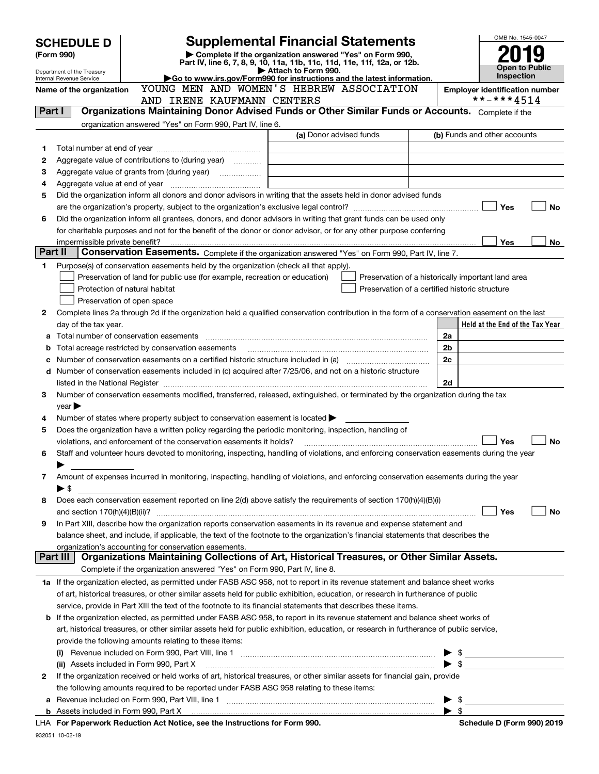|         | <b>SCHEDULE D</b>                                                                                                                                  |                                                                                                                                                |  |                     | <b>Supplemental Financial Statements</b>                               |  |                          | OMB No. 1545-0047                                   |
|---------|----------------------------------------------------------------------------------------------------------------------------------------------------|------------------------------------------------------------------------------------------------------------------------------------------------|--|---------------------|------------------------------------------------------------------------|--|--------------------------|-----------------------------------------------------|
|         | Complete if the organization answered "Yes" on Form 990,<br>(Form 990)<br>Part IV, line 6, 7, 8, 9, 10, 11a, 11b, 11c, 11d, 11e, 11f, 12a, or 12b. |                                                                                                                                                |  |                     |                                                                        |  |                          |                                                     |
|         | Department of the Treasury                                                                                                                         |                                                                                                                                                |  | Attach to Form 990. |                                                                        |  |                          | <b>Open to Public</b>                               |
|         | Internal Revenue Service                                                                                                                           |                                                                                                                                                |  |                     | Go to www.irs.gov/Form990 for instructions and the latest information. |  |                          | <b>Inspection</b>                                   |
|         | Name of the organization                                                                                                                           |                                                                                                                                                |  |                     | YOUNG MEN AND WOMEN'S HEBREW ASSOCIATION                               |  |                          | <b>Employer identification number</b><br>**-***4514 |
| Part I  |                                                                                                                                                    | AND IRENE KAUFMANN CENTERS<br>Organizations Maintaining Donor Advised Funds or Other Similar Funds or Accounts. Complete if the                |  |                     |                                                                        |  |                          |                                                     |
|         |                                                                                                                                                    |                                                                                                                                                |  |                     |                                                                        |  |                          |                                                     |
|         |                                                                                                                                                    | organization answered "Yes" on Form 990, Part IV, line 6.                                                                                      |  |                     | (a) Donor advised funds                                                |  |                          | (b) Funds and other accounts                        |
| 1       |                                                                                                                                                    |                                                                                                                                                |  |                     |                                                                        |  |                          |                                                     |
| 2       |                                                                                                                                                    | Aggregate value of contributions to (during year) <i>mimimizion</i>                                                                            |  |                     |                                                                        |  |                          |                                                     |
| 3       |                                                                                                                                                    |                                                                                                                                                |  |                     |                                                                        |  |                          |                                                     |
| 4       |                                                                                                                                                    |                                                                                                                                                |  |                     |                                                                        |  |                          |                                                     |
| 5       |                                                                                                                                                    | Did the organization inform all donors and donor advisors in writing that the assets held in donor advised funds                               |  |                     |                                                                        |  |                          |                                                     |
|         |                                                                                                                                                    |                                                                                                                                                |  |                     |                                                                        |  |                          | Yes<br><b>No</b>                                    |
| 6       |                                                                                                                                                    | Did the organization inform all grantees, donors, and donor advisors in writing that grant funds can be used only                              |  |                     |                                                                        |  |                          |                                                     |
|         |                                                                                                                                                    | for charitable purposes and not for the benefit of the donor or donor advisor, or for any other purpose conferring                             |  |                     |                                                                        |  |                          |                                                     |
|         |                                                                                                                                                    |                                                                                                                                                |  |                     |                                                                        |  |                          | Yes<br>No                                           |
| Part II |                                                                                                                                                    | Conservation Easements. Complete if the organization answered "Yes" on Form 990, Part IV, line 7.                                              |  |                     |                                                                        |  |                          |                                                     |
| 1       |                                                                                                                                                    | Purpose(s) of conservation easements held by the organization (check all that apply).                                                          |  |                     |                                                                        |  |                          |                                                     |
|         |                                                                                                                                                    | Preservation of land for public use (for example, recreation or education)                                                                     |  |                     |                                                                        |  |                          | Preservation of a historically important land area  |
|         |                                                                                                                                                    | Protection of natural habitat                                                                                                                  |  |                     | Preservation of a certified historic structure                         |  |                          |                                                     |
|         |                                                                                                                                                    | Preservation of open space                                                                                                                     |  |                     |                                                                        |  |                          |                                                     |
| 2       |                                                                                                                                                    | Complete lines 2a through 2d if the organization held a qualified conservation contribution in the form of a conservation easement on the last |  |                     |                                                                        |  |                          |                                                     |
|         | day of the tax year.                                                                                                                               |                                                                                                                                                |  |                     |                                                                        |  |                          | Held at the End of the Tax Year                     |
| а       |                                                                                                                                                    | Total number of conservation easements                                                                                                         |  |                     |                                                                        |  | 2a                       |                                                     |
| b       |                                                                                                                                                    |                                                                                                                                                |  |                     |                                                                        |  | 2b                       |                                                     |
| с       |                                                                                                                                                    |                                                                                                                                                |  |                     |                                                                        |  | 2 <sub>c</sub>           |                                                     |
|         |                                                                                                                                                    | d Number of conservation easements included in (c) acquired after 7/25/06, and not on a historic structure                                     |  |                     |                                                                        |  |                          |                                                     |
|         |                                                                                                                                                    |                                                                                                                                                |  |                     |                                                                        |  | 2d                       |                                                     |
| 3       |                                                                                                                                                    | Number of conservation easements modified, transferred, released, extinguished, or terminated by the organization during the tax               |  |                     |                                                                        |  |                          |                                                     |
|         | $year \triangleright$                                                                                                                              |                                                                                                                                                |  |                     |                                                                        |  |                          |                                                     |
| 4       |                                                                                                                                                    | Number of states where property subject to conservation easement is located $\blacktriangleright$                                              |  |                     |                                                                        |  |                          |                                                     |
| 5       |                                                                                                                                                    | Does the organization have a written policy regarding the periodic monitoring, inspection, handling of                                         |  |                     |                                                                        |  |                          |                                                     |
|         |                                                                                                                                                    | violations, and enforcement of the conservation easements it holds?                                                                            |  |                     |                                                                        |  |                          | Yes<br><b>No</b>                                    |
| 6       |                                                                                                                                                    | Staff and volunteer hours devoted to monitoring, inspecting, handling of violations, and enforcing conservation easements during the year      |  |                     |                                                                        |  |                          |                                                     |
| 7       |                                                                                                                                                    | Amount of expenses incurred in monitoring, inspecting, handling of violations, and enforcing conservation easements during the year            |  |                     |                                                                        |  |                          |                                                     |
|         | ▶ \$                                                                                                                                               |                                                                                                                                                |  |                     |                                                                        |  |                          |                                                     |
| 8       |                                                                                                                                                    | Does each conservation easement reported on line 2(d) above satisfy the requirements of section 170(h)(4)(B)(i)                                |  |                     |                                                                        |  |                          |                                                     |
|         | and section 170(h)(4)(B)(ii)?                                                                                                                      |                                                                                                                                                |  |                     |                                                                        |  |                          | Yes<br>No                                           |
| 9       |                                                                                                                                                    | In Part XIII, describe how the organization reports conservation easements in its revenue and expense statement and                            |  |                     |                                                                        |  |                          |                                                     |
|         |                                                                                                                                                    | balance sheet, and include, if applicable, the text of the footnote to the organization's financial statements that describes the              |  |                     |                                                                        |  |                          |                                                     |
|         |                                                                                                                                                    | organization's accounting for conservation easements.                                                                                          |  |                     |                                                                        |  |                          |                                                     |
|         | Part III                                                                                                                                           | Organizations Maintaining Collections of Art, Historical Treasures, or Other Similar Assets.                                                   |  |                     |                                                                        |  |                          |                                                     |
|         |                                                                                                                                                    | Complete if the organization answered "Yes" on Form 990, Part IV, line 8.                                                                      |  |                     |                                                                        |  |                          |                                                     |
|         |                                                                                                                                                    | 1a If the organization elected, as permitted under FASB ASC 958, not to report in its revenue statement and balance sheet works                |  |                     |                                                                        |  |                          |                                                     |
|         |                                                                                                                                                    | of art, historical treasures, or other similar assets held for public exhibition, education, or research in furtherance of public              |  |                     |                                                                        |  |                          |                                                     |
|         |                                                                                                                                                    | service, provide in Part XIII the text of the footnote to its financial statements that describes these items.                                 |  |                     |                                                                        |  |                          |                                                     |
|         |                                                                                                                                                    | <b>b</b> If the organization elected, as permitted under FASB ASC 958, to report in its revenue statement and balance sheet works of           |  |                     |                                                                        |  |                          |                                                     |
|         |                                                                                                                                                    | art, historical treasures, or other similar assets held for public exhibition, education, or research in furtherance of public service,        |  |                     |                                                                        |  |                          |                                                     |
|         |                                                                                                                                                    | provide the following amounts relating to these items:                                                                                         |  |                     |                                                                        |  |                          |                                                     |
|         |                                                                                                                                                    |                                                                                                                                                |  |                     |                                                                        |  |                          | $\blacktriangleright$ \$                            |
|         |                                                                                                                                                    | (ii) Assets included in Form 990, Part X                                                                                                       |  |                     |                                                                        |  | $\blacktriangleright$ \$ |                                                     |
| 2       |                                                                                                                                                    | If the organization received or held works of art, historical treasures, or other similar assets for financial gain, provide                   |  |                     |                                                                        |  |                          |                                                     |
|         |                                                                                                                                                    | the following amounts required to be reported under FASB ASC 958 relating to these items:                                                      |  |                     |                                                                        |  |                          |                                                     |
|         |                                                                                                                                                    |                                                                                                                                                |  |                     |                                                                        |  | \$                       |                                                     |
|         |                                                                                                                                                    |                                                                                                                                                |  |                     |                                                                        |  | $\blacktriangleright$ \$ |                                                     |
|         |                                                                                                                                                    | LHA For Paperwork Reduction Act Notice, see the Instructions for Form 990.                                                                     |  |                     |                                                                        |  |                          | Schedule D (Form 990) 2019                          |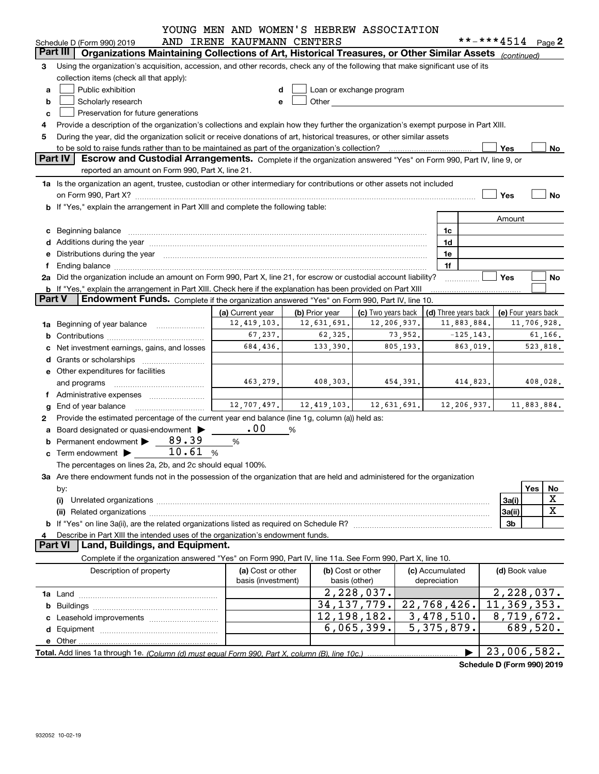|               |                                                                                                                                                                                                                                | YOUNG MEN AND WOMEN'S HEBREW ASSOCIATION |                |                                                                                                                                                                                                                               |                                 |                   |                     |  |
|---------------|--------------------------------------------------------------------------------------------------------------------------------------------------------------------------------------------------------------------------------|------------------------------------------|----------------|-------------------------------------------------------------------------------------------------------------------------------------------------------------------------------------------------------------------------------|---------------------------------|-------------------|---------------------|--|
|               | Schedule D (Form 990) 2019                                                                                                                                                                                                     | AND IRENE KAUFMANN CENTERS               |                |                                                                                                                                                                                                                               |                                 | **-***4514 Page 2 |                     |  |
|               | Part III<br>Organizations Maintaining Collections of Art, Historical Treasures, or Other Similar Assets (continued)                                                                                                            |                                          |                |                                                                                                                                                                                                                               |                                 |                   |                     |  |
| 3             | Using the organization's acquisition, accession, and other records, check any of the following that make significant use of its                                                                                                |                                          |                |                                                                                                                                                                                                                               |                                 |                   |                     |  |
|               | collection items (check all that apply):                                                                                                                                                                                       |                                          |                |                                                                                                                                                                                                                               |                                 |                   |                     |  |
| a             | Public exhibition                                                                                                                                                                                                              |                                          |                | Loan or exchange program                                                                                                                                                                                                      |                                 |                   |                     |  |
| b             | Scholarly research                                                                                                                                                                                                             |                                          |                | Other and the contract of the contract of the contract of the contract of the contract of the contract of the contract of the contract of the contract of the contract of the contract of the contract of the contract of the |                                 |                   |                     |  |
| c             | Preservation for future generations                                                                                                                                                                                            |                                          |                |                                                                                                                                                                                                                               |                                 |                   |                     |  |
|               | Provide a description of the organization's collections and explain how they further the organization's exempt purpose in Part XIII.                                                                                           |                                          |                |                                                                                                                                                                                                                               |                                 |                   |                     |  |
| 5             | During the year, did the organization solicit or receive donations of art, historical treasures, or other similar assets                                                                                                       |                                          |                |                                                                                                                                                                                                                               |                                 |                   |                     |  |
|               |                                                                                                                                                                                                                                |                                          |                |                                                                                                                                                                                                                               |                                 | Yes               | No                  |  |
|               | Part IV<br>Escrow and Custodial Arrangements. Complete if the organization answered "Yes" on Form 990, Part IV, line 9, or                                                                                                     |                                          |                |                                                                                                                                                                                                                               |                                 |                   |                     |  |
|               | reported an amount on Form 990, Part X, line 21.                                                                                                                                                                               |                                          |                |                                                                                                                                                                                                                               |                                 |                   |                     |  |
|               | 1a Is the organization an agent, trustee, custodian or other intermediary for contributions or other assets not included                                                                                                       |                                          |                |                                                                                                                                                                                                                               |                                 |                   |                     |  |
|               |                                                                                                                                                                                                                                |                                          |                |                                                                                                                                                                                                                               |                                 | Yes               | No                  |  |
|               | <b>b</b> If "Yes," explain the arrangement in Part XIII and complete the following table:                                                                                                                                      |                                          |                |                                                                                                                                                                                                                               |                                 |                   |                     |  |
|               |                                                                                                                                                                                                                                |                                          |                |                                                                                                                                                                                                                               |                                 | Amount            |                     |  |
|               | c Beginning balance entrance and contain a series of the series of the series of the series of the series of the series of the series of the series of the series of the series of the series of the series of the series of t |                                          |                |                                                                                                                                                                                                                               | 1c                              |                   |                     |  |
|               |                                                                                                                                                                                                                                |                                          |                |                                                                                                                                                                                                                               | 1d                              |                   |                     |  |
|               | e Distributions during the year manufactured and contained and contained and contained and contained and contained and contained and contained and contained and contained and contained and contained and contained and conta |                                          |                |                                                                                                                                                                                                                               | 1e                              |                   |                     |  |
| f             |                                                                                                                                                                                                                                |                                          |                |                                                                                                                                                                                                                               | 1f                              |                   |                     |  |
|               | 2a Did the organization include an amount on Form 990, Part X, line 21, for escrow or custodial account liability?                                                                                                             |                                          |                |                                                                                                                                                                                                                               |                                 | Yes               | No                  |  |
|               | b If "Yes," explain the arrangement in Part XIII. Check here if the explanation has been provided on Part XIII                                                                                                                 |                                          |                |                                                                                                                                                                                                                               |                                 |                   |                     |  |
| <b>Part V</b> | Endowment Funds. Complete if the organization answered "Yes" on Form 990, Part IV, line 10.                                                                                                                                    |                                          |                |                                                                                                                                                                                                                               |                                 |                   |                     |  |
|               |                                                                                                                                                                                                                                | (a) Current year                         | (b) Prior year | (c) Two years back                                                                                                                                                                                                            | (d) Three years back            |                   | (e) Four years back |  |
|               | 1a Beginning of year balance                                                                                                                                                                                                   | 12, 419, 103.                            | 12,631,691.    | 12,206,937.                                                                                                                                                                                                                   | 11,883,884.                     |                   | 11,706,928.         |  |
|               |                                                                                                                                                                                                                                | 67,237.                                  | 62, 325.       | 73,952.                                                                                                                                                                                                                       |                                 | $-125, 143.$      | 61,166.             |  |
|               | c Net investment earnings, gains, and losses                                                                                                                                                                                   | 684,436.                                 | 133,390.       | 805,193.                                                                                                                                                                                                                      |                                 | 863,019.          | 523,818.            |  |
|               |                                                                                                                                                                                                                                |                                          |                |                                                                                                                                                                                                                               |                                 |                   |                     |  |
|               | e Other expenditures for facilities                                                                                                                                                                                            |                                          |                |                                                                                                                                                                                                                               |                                 |                   |                     |  |
|               | and programs                                                                                                                                                                                                                   | 463,279.                                 | 408,303.       | 454,391.                                                                                                                                                                                                                      |                                 | 414,823.          | 408,028.            |  |
|               | f Administrative expenses                                                                                                                                                                                                      |                                          |                |                                                                                                                                                                                                                               |                                 |                   |                     |  |
|               | $g$ End of year balance $\ldots$                                                                                                                                                                                               | 12,707,497.                              | 12,419,103.    | 12,631,691.                                                                                                                                                                                                                   |                                 | 12, 206, 937.     | 11,883,884.         |  |
| 2             | Provide the estimated percentage of the current year end balance (line 1g, column (a)) held as:                                                                                                                                |                                          |                |                                                                                                                                                                                                                               |                                 |                   |                     |  |
|               | a Board designated or quasi-endowment >                                                                                                                                                                                        | .00                                      | %              |                                                                                                                                                                                                                               |                                 |                   |                     |  |
|               | <b>b</b> Permanent endowment $\triangleright$ 89.39                                                                                                                                                                            | %                                        |                |                                                                                                                                                                                                                               |                                 |                   |                     |  |
|               | 10.61<br>$\mathbf c$ Term endowment $\blacktriangleright$                                                                                                                                                                      | %                                        |                |                                                                                                                                                                                                                               |                                 |                   |                     |  |
|               | The percentages on lines 2a, 2b, and 2c should equal 100%.                                                                                                                                                                     |                                          |                |                                                                                                                                                                                                                               |                                 |                   |                     |  |
|               | 3a Are there endowment funds not in the possession of the organization that are held and administered for the organization                                                                                                     |                                          |                |                                                                                                                                                                                                                               |                                 |                   |                     |  |
|               |                                                                                                                                                                                                                                |                                          |                |                                                                                                                                                                                                                               |                                 |                   | Yes<br>No           |  |
|               | by:<br>(i)                                                                                                                                                                                                                     |                                          |                |                                                                                                                                                                                                                               |                                 | 3a(i)             | X                   |  |
|               |                                                                                                                                                                                                                                |                                          |                |                                                                                                                                                                                                                               |                                 | 3a(ii)            | X                   |  |
|               |                                                                                                                                                                                                                                |                                          |                |                                                                                                                                                                                                                               |                                 | 3b                |                     |  |
|               |                                                                                                                                                                                                                                |                                          |                |                                                                                                                                                                                                                               |                                 |                   |                     |  |
| 4             | Describe in Part XIII the intended uses of the organization's endowment funds.<br><b>Part VI</b><br>Land, Buildings, and Equipment.                                                                                            |                                          |                |                                                                                                                                                                                                                               |                                 |                   |                     |  |
|               | Complete if the organization answered "Yes" on Form 990, Part IV, line 11a. See Form 990, Part X, line 10.                                                                                                                     |                                          |                |                                                                                                                                                                                                                               |                                 |                   |                     |  |
|               |                                                                                                                                                                                                                                |                                          |                |                                                                                                                                                                                                                               |                                 |                   |                     |  |
|               | Description of property                                                                                                                                                                                                        | (a) Cost or other<br>basis (investment)  |                | (b) Cost or other<br>basis (other)                                                                                                                                                                                            | (c) Accumulated<br>depreciation |                   | (d) Book value      |  |
|               |                                                                                                                                                                                                                                |                                          |                |                                                                                                                                                                                                                               |                                 |                   |                     |  |
|               |                                                                                                                                                                                                                                |                                          |                | 2,228,037.                                                                                                                                                                                                                    |                                 |                   | 2,228,037.          |  |
|               |                                                                                                                                                                                                                                |                                          |                | 34, 137, 779.                                                                                                                                                                                                                 | $\overline{22,768,426}$ .       |                   | 11,369,353.         |  |
|               |                                                                                                                                                                                                                                |                                          |                | $\overline{12,198,182}$ .                                                                                                                                                                                                     | 3,478,510.                      |                   | 8,719,672.          |  |
|               |                                                                                                                                                                                                                                |                                          |                | 6,065,399.                                                                                                                                                                                                                    | $\overline{5}$ , 375, 879.      |                   | 689,520.            |  |
|               |                                                                                                                                                                                                                                |                                          |                |                                                                                                                                                                                                                               |                                 |                   |                     |  |
|               |                                                                                                                                                                                                                                |                                          |                |                                                                                                                                                                                                                               |                                 |                   | 23,006,582.         |  |

**Schedule D (Form 990) 2019**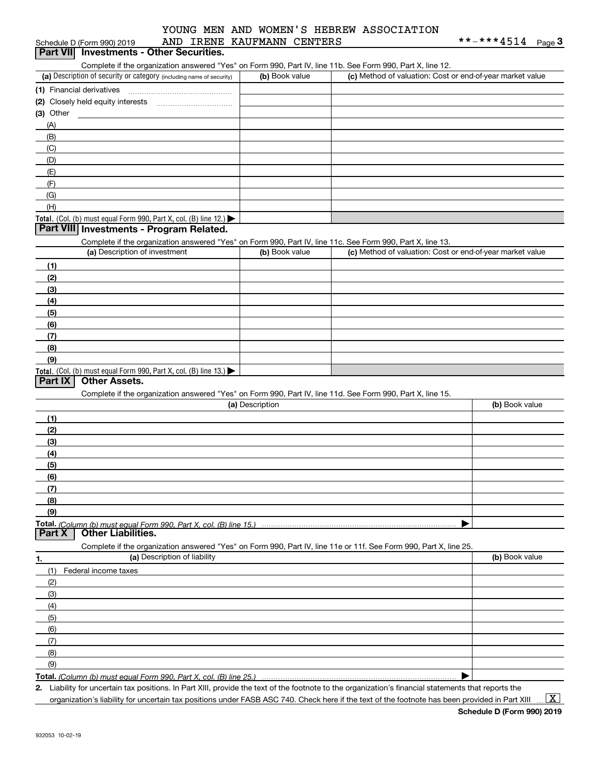| Schedule D (Form 990) 2019                                                                                        | AND IRENE KAUFMANN CENTERS |                                                           | **-***4514<br>Page $3$ |
|-------------------------------------------------------------------------------------------------------------------|----------------------------|-----------------------------------------------------------|------------------------|
| Part VII Investments - Other Securities.                                                                          |                            |                                                           |                        |
| Complete if the organization answered "Yes" on Form 990, Part IV, line 11b. See Form 990, Part X, line 12.        |                            |                                                           |                        |
| (a) Description of security or category (including name of security)                                              | (b) Book value             | (c) Method of valuation: Cost or end-of-year market value |                        |
|                                                                                                                   |                            |                                                           |                        |
|                                                                                                                   |                            |                                                           |                        |
| $(3)$ Other                                                                                                       |                            |                                                           |                        |
| (A)                                                                                                               |                            |                                                           |                        |
| (B)                                                                                                               |                            |                                                           |                        |
| (C)                                                                                                               |                            |                                                           |                        |
| (D)                                                                                                               |                            |                                                           |                        |
| (E)                                                                                                               |                            |                                                           |                        |
| (F)                                                                                                               |                            |                                                           |                        |
| (G)                                                                                                               |                            |                                                           |                        |
| (H)                                                                                                               |                            |                                                           |                        |
| Total. (Col. (b) must equal Form 990, Part X, col. (B) line 12.)                                                  |                            |                                                           |                        |
| Part VIII Investments - Program Related.                                                                          |                            |                                                           |                        |
| Complete if the organization answered "Yes" on Form 990, Part IV, line 11c. See Form 990, Part X, line 13.        |                            |                                                           |                        |
| (a) Description of investment                                                                                     | (b) Book value             | (c) Method of valuation: Cost or end-of-year market value |                        |
| (1)                                                                                                               |                            |                                                           |                        |
| (2)                                                                                                               |                            |                                                           |                        |
| (3)                                                                                                               |                            |                                                           |                        |
| (4)                                                                                                               |                            |                                                           |                        |
| (5)                                                                                                               |                            |                                                           |                        |
| (6)                                                                                                               |                            |                                                           |                        |
| (7)                                                                                                               |                            |                                                           |                        |
| (8)                                                                                                               |                            |                                                           |                        |
| (9)                                                                                                               |                            |                                                           |                        |
| Total. (Col. (b) must equal Form 990, Part X, col. (B) line 13.)                                                  |                            |                                                           |                        |
| <b>Other Assets.</b><br>Part IX                                                                                   |                            |                                                           |                        |
| Complete if the organization answered "Yes" on Form 990, Part IV, line 11d. See Form 990, Part X, line 15.        |                            |                                                           |                        |
|                                                                                                                   | (a) Description            |                                                           | (b) Book value         |
| (1)                                                                                                               |                            |                                                           |                        |
| (2)                                                                                                               |                            |                                                           |                        |
| (3)                                                                                                               |                            |                                                           |                        |
| (4)                                                                                                               |                            |                                                           |                        |
| (5)                                                                                                               |                            |                                                           |                        |
| (6)                                                                                                               |                            |                                                           |                        |
| (7)                                                                                                               |                            |                                                           |                        |
| (8)                                                                                                               |                            |                                                           |                        |
| (9)                                                                                                               |                            |                                                           |                        |
| Total. (Column (b) must equal Form 990. Part X, col. (B) line 15.)                                                |                            |                                                           |                        |
| <b>Other Liabilities.</b><br>Part X                                                                               |                            |                                                           |                        |
| Complete if the organization answered "Yes" on Form 990, Part IV, line 11e or 11f. See Form 990, Part X, line 25. |                            |                                                           |                        |
| (a) Description of liability<br>1.                                                                                |                            |                                                           | (b) Book value         |
| (1)<br>Federal income taxes                                                                                       |                            |                                                           |                        |
| (2)                                                                                                               |                            |                                                           |                        |
| (3)                                                                                                               |                            |                                                           |                        |
| (4)                                                                                                               |                            |                                                           |                        |
| (5)                                                                                                               |                            |                                                           |                        |
| (6)                                                                                                               |                            |                                                           |                        |
| (7)                                                                                                               |                            |                                                           |                        |
| (8)                                                                                                               |                            |                                                           |                        |
| (9)                                                                                                               |                            |                                                           |                        |
| Total. (Column (b) must equal Form 990, Part X, col. (B) line 25.)                                                |                            |                                                           |                        |
|                                                                                                                   |                            |                                                           |                        |

**2.** Liability for uncertain tax positions. In Part XIII, provide the text of the footnote to the organization's financial statements that reports the organization's liability for uncertain tax positions under FASB ASC 740. Check here if the text of the footnote has been provided in Part XIII.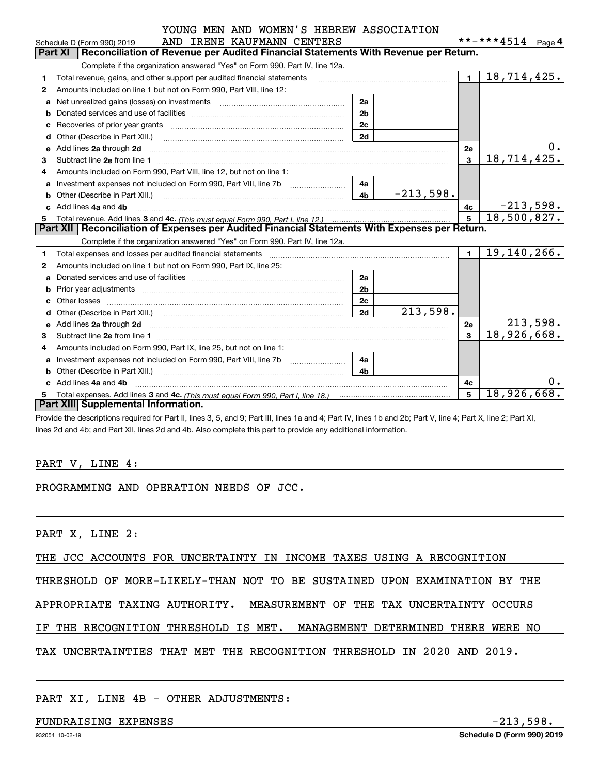|  |  |  | YOUNG MEN AND WOMEN'S HEBREW ASSOCIATION |
|--|--|--|------------------------------------------|
|  |  |  |                                          |

|    | AND IRENE KAUFMANN CENTERS<br>Schedule D (Form 990) 2019                                                                                                                                                                           |                | **-***4514<br>Page $\mathbf 4$ |
|----|------------------------------------------------------------------------------------------------------------------------------------------------------------------------------------------------------------------------------------|----------------|--------------------------------|
|    | <b>Part XI</b><br>Reconciliation of Revenue per Audited Financial Statements With Revenue per Return.                                                                                                                              |                |                                |
|    | Complete if the organization answered "Yes" on Form 990, Part IV, line 12a.                                                                                                                                                        |                |                                |
| 1. | Total revenue, gains, and other support per audited financial statements                                                                                                                                                           | $\blacksquare$ | 18,714,425.                    |
| 2  | Amounts included on line 1 but not on Form 990, Part VIII, line 12:                                                                                                                                                                |                |                                |
| a  | 2a<br>Net unrealized gains (losses) on investments [11] matter contracts and the unrealized gains (losses) on investments                                                                                                          |                |                                |
|    | 2 <sub>b</sub>                                                                                                                                                                                                                     |                |                                |
| C  | 2c                                                                                                                                                                                                                                 |                |                                |
| d  | 2d                                                                                                                                                                                                                                 |                |                                |
| e  |                                                                                                                                                                                                                                    | <b>2e</b>      |                                |
| 3  |                                                                                                                                                                                                                                    | 3              | 18,714,425.                    |
| 4  | Amounts included on Form 990, Part VIII, line 12, but not on line 1:                                                                                                                                                               |                |                                |
|    | 4a                                                                                                                                                                                                                                 |                |                                |
| b  | $-213,598.$<br>4 <sub>b</sub><br>Other (Describe in Part XIII.) <b>Construction Contract Construction</b> Chern Construction Construction Construction                                                                             |                |                                |
|    | Add lines 4a and 4b                                                                                                                                                                                                                | 4с             | $-213,598.$                    |
| 5  |                                                                                                                                                                                                                                    | 5              | 18,500,827.                    |
|    | Part XII   Reconciliation of Expenses per Audited Financial Statements With Expenses per Return.                                                                                                                                   |                |                                |
|    | Complete if the organization answered "Yes" on Form 990, Part IV, line 12a.                                                                                                                                                        |                |                                |
| 1. | Total expenses and losses per audited financial statements [11, 11] manuscription control expenses and losses per audited financial statements [11] manuscription of the statements [11] manuscription of the statements [11]      | $\blacksquare$ | 19,140,266.                    |
| 2  | Amounts included on line 1 but not on Form 990, Part IX, line 25:                                                                                                                                                                  |                |                                |
| a  | 2a                                                                                                                                                                                                                                 |                |                                |
| b  | 2 <sub>b</sub>                                                                                                                                                                                                                     |                |                                |
|    | 2c                                                                                                                                                                                                                                 |                |                                |
|    | 213,598.<br>2d                                                                                                                                                                                                                     |                |                                |
| e  | Add lines 2a through 2d <b>must be a constructed as the constant of the construction</b> and the state of the state of the state of the state of the state of the state of the state of the state of the state of the state of the | 2е             | 213,598.                       |
| 3  |                                                                                                                                                                                                                                    |                | 18,926,668.                    |
| 4  | Amounts included on Form 990, Part IX, line 25, but not on line 1:                                                                                                                                                                 |                |                                |
| a  | Investment expenses not included on Form 990, Part VIII, line 7b [1000000000000000000000000000000000<br>4a                                                                                                                         |                |                                |
| b  | 4 <sub>b</sub><br>Other (Describe in Part XIII.) <b>Construction Contract Construction</b> Chern Construction Construction Construction                                                                                            |                |                                |
|    | Add lines 4a and 4b                                                                                                                                                                                                                | 4c             | 0.                             |
| 5  |                                                                                                                                                                                                                                    | 5              | 18,926,668.                    |
|    | Part XIII Supplemental Information.                                                                                                                                                                                                |                |                                |

Provide the descriptions required for Part II, lines 3, 5, and 9; Part III, lines 1a and 4; Part IV, lines 1b and 2b; Part V, line 4; Part X, line 2; Part XI, lines 2d and 4b; and Part XII, lines 2d and 4b. Also complete this part to provide any additional information.

## PART V, LINE 4:

## PROGRAMMING AND OPERATION NEEDS OF JCC.

PART X, LINE 2:

THE JCC ACCOUNTS FOR UNCERTAINTY IN INCOME TAXES USING A RECOGNITION

THRESHOLD OF MORE-LIKELY-THAN NOT TO BE SUSTAINED UPON EXAMINATION BY THE

APPROPRIATE TAXING AUTHORITY. MEASUREMENT OF THE TAX UNCERTAINTY OCCURS

IF THE RECOGNITION THRESHOLD IS MET. MANAGEMENT DETERMINED THERE WERE NO

TAX UNCERTAINTIES THAT MET THE RECOGNITION THRESHOLD IN 2020 AND 2019.

### PART XI, LINE 4B - OTHER ADJUSTMENTS:

#### FUNDRAISING EXPENSES -213,598.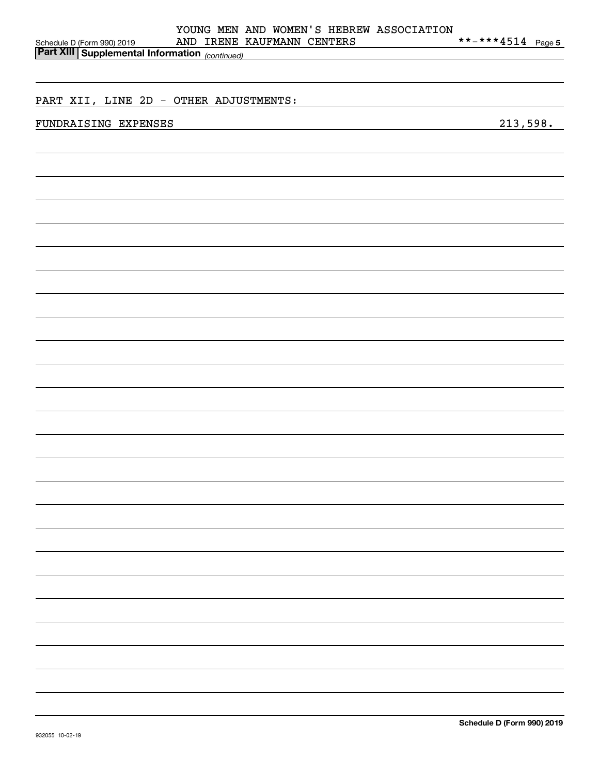| YOUNG MEN AND WOMEN'S HEBREW ASSOCIATION                                                                                                      |                   |
|-----------------------------------------------------------------------------------------------------------------------------------------------|-------------------|
| AND IRENE KAUFMANN CENTERS<br>Schedule D (Form 990) 2019 <b>AND IRENE 1</b><br>Part XIII Supplemental Information (continued)                 | **-***4514 Page 5 |
|                                                                                                                                               |                   |
|                                                                                                                                               |                   |
| PART XII, LINE 2D - OTHER ADJUSTMENTS:                                                                                                        |                   |
| FUNDRAISING EXPENSES<br><u> 1989 - Johann Stoff, deutscher Stoff, der Stoff, der Stoff, der Stoff, der Stoff, der Stoff, der Stoff, der S</u> | 213,598.          |
|                                                                                                                                               |                   |
|                                                                                                                                               |                   |
|                                                                                                                                               |                   |
|                                                                                                                                               |                   |
|                                                                                                                                               |                   |
|                                                                                                                                               |                   |
|                                                                                                                                               |                   |
|                                                                                                                                               |                   |
|                                                                                                                                               |                   |
|                                                                                                                                               |                   |
|                                                                                                                                               |                   |
|                                                                                                                                               |                   |
|                                                                                                                                               |                   |
|                                                                                                                                               |                   |
|                                                                                                                                               |                   |
|                                                                                                                                               |                   |
|                                                                                                                                               |                   |
|                                                                                                                                               |                   |
|                                                                                                                                               |                   |
|                                                                                                                                               |                   |
|                                                                                                                                               |                   |
|                                                                                                                                               |                   |
|                                                                                                                                               |                   |
|                                                                                                                                               |                   |
|                                                                                                                                               |                   |
|                                                                                                                                               |                   |
|                                                                                                                                               |                   |
|                                                                                                                                               |                   |
|                                                                                                                                               |                   |
|                                                                                                                                               |                   |
|                                                                                                                                               |                   |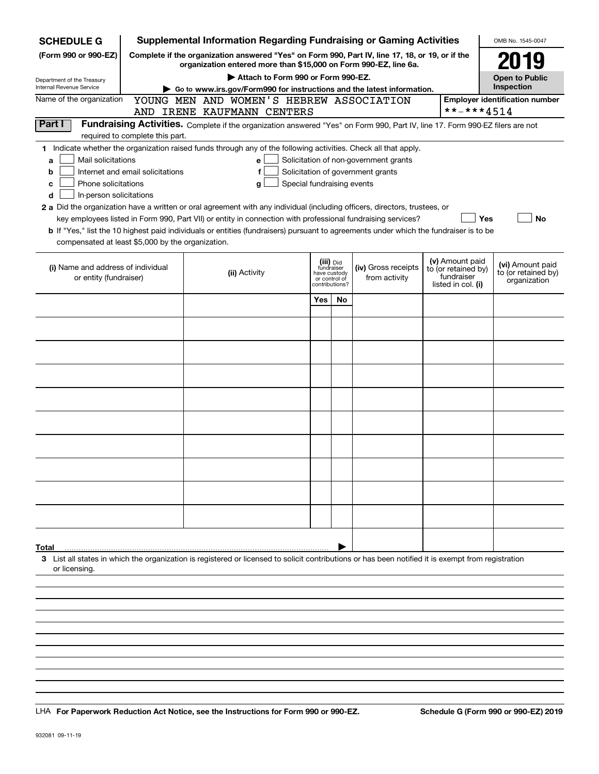| <b>SCHEDULE G</b>                                 |                                  | <b>Supplemental Information Regarding Fundraising or Gaming Activities</b>                                                                                                                                                                |                               |                         |                                       |                    | OMB No. 1545-0047                     |  |               |                                   |                     |
|---------------------------------------------------|----------------------------------|-------------------------------------------------------------------------------------------------------------------------------------------------------------------------------------------------------------------------------------------|-------------------------------|-------------------------|---------------------------------------|--------------------|---------------------------------------|--|---------------|-----------------------------------|---------------------|
| (Form 990 or 990-EZ)                              |                                  | Complete if the organization answered "Yes" on Form 990, Part IV, line 17, 18, or 19, or if the<br>organization entered more than \$15,000 on Form 990-EZ, line 6a.                                                                       |                               |                         |                                       |                    | 2019                                  |  |               |                                   |                     |
| Department of the Treasury                        |                                  | Attach to Form 990 or Form 990-EZ.                                                                                                                                                                                                        |                               |                         |                                       |                    | <b>Open to Public</b>                 |  |               |                                   |                     |
| <b>Internal Revenue Service</b>                   |                                  | Go to www.irs.gov/Form990 for instructions and the latest information.                                                                                                                                                                    |                               |                         |                                       |                    | Inspection                            |  |               |                                   |                     |
| Name of the organization                          |                                  | YOUNG MEN AND WOMEN'S HEBREW ASSOCIATION                                                                                                                                                                                                  |                               |                         |                                       |                    | <b>Employer identification number</b> |  |               |                                   |                     |
|                                                   |                                  | AND IRENE KAUFMANN CENTERS                                                                                                                                                                                                                |                               |                         |                                       | **-***4514         |                                       |  |               |                                   |                     |
| Part I                                            |                                  | Fundraising Activities. Complete if the organization answered "Yes" on Form 990, Part IV, line 17. Form 990-EZ filers are not                                                                                                             |                               |                         |                                       |                    |                                       |  |               |                                   |                     |
|                                                   | required to complete this part.  |                                                                                                                                                                                                                                           |                               |                         |                                       |                    |                                       |  |               |                                   |                     |
|                                                   |                                  | 1 Indicate whether the organization raised funds through any of the following activities. Check all that apply.                                                                                                                           |                               |                         |                                       |                    |                                       |  |               |                                   |                     |
| Mail solicitations<br>a                           |                                  | е                                                                                                                                                                                                                                         |                               |                         | Solicitation of non-government grants |                    |                                       |  |               |                                   |                     |
| b                                                 | Internet and email solicitations | f                                                                                                                                                                                                                                         |                               |                         | Solicitation of government grants     |                    |                                       |  |               |                                   |                     |
| Phone solicitations<br>c                          |                                  | Special fundraising events<br>g                                                                                                                                                                                                           |                               |                         |                                       |                    |                                       |  |               |                                   |                     |
| In-person solicitations<br>d                      |                                  |                                                                                                                                                                                                                                           |                               |                         |                                       |                    |                                       |  |               |                                   |                     |
|                                                   |                                  | 2 a Did the organization have a written or oral agreement with any individual (including officers, directors, trustees, or<br>key employees listed in Form 990, Part VII) or entity in connection with professional fundraising services? |                               |                         |                                       | Yes                | No                                    |  |               |                                   |                     |
|                                                   |                                  | b If "Yes," list the 10 highest paid individuals or entities (fundraisers) pursuant to agreements under which the fundraiser is to be                                                                                                     |                               |                         |                                       |                    |                                       |  |               |                                   |                     |
| compensated at least \$5,000 by the organization. |                                  |                                                                                                                                                                                                                                           |                               |                         |                                       |                    |                                       |  |               |                                   |                     |
|                                                   |                                  |                                                                                                                                                                                                                                           |                               |                         |                                       |                    |                                       |  |               |                                   |                     |
| (i) Name and address of individual                |                                  |                                                                                                                                                                                                                                           |                               | (iii) Did<br>fundraiser | (iv) Gross receipts                   | (v) Amount paid    | (vi) Amount paid                      |  |               |                                   |                     |
| or entity (fundraiser)                            |                                  | (ii) Activity                                                                                                                                                                                                                             | have custody<br>or control of |                         |                                       |                    |                                       |  | from activity | to (or retained by)<br>fundraiser | to (or retained by) |
|                                                   |                                  |                                                                                                                                                                                                                                           |                               | contributions?          |                                       | listed in col. (i) | organization                          |  |               |                                   |                     |
|                                                   |                                  |                                                                                                                                                                                                                                           | Yes                           | <b>No</b>               |                                       |                    |                                       |  |               |                                   |                     |
|                                                   |                                  |                                                                                                                                                                                                                                           |                               |                         |                                       |                    |                                       |  |               |                                   |                     |
|                                                   |                                  |                                                                                                                                                                                                                                           |                               |                         |                                       |                    |                                       |  |               |                                   |                     |
|                                                   |                                  |                                                                                                                                                                                                                                           |                               |                         |                                       |                    |                                       |  |               |                                   |                     |
|                                                   |                                  |                                                                                                                                                                                                                                           |                               |                         |                                       |                    |                                       |  |               |                                   |                     |
|                                                   |                                  |                                                                                                                                                                                                                                           |                               |                         |                                       |                    |                                       |  |               |                                   |                     |
|                                                   |                                  |                                                                                                                                                                                                                                           |                               |                         |                                       |                    |                                       |  |               |                                   |                     |
|                                                   |                                  |                                                                                                                                                                                                                                           |                               |                         |                                       |                    |                                       |  |               |                                   |                     |
|                                                   |                                  |                                                                                                                                                                                                                                           |                               |                         |                                       |                    |                                       |  |               |                                   |                     |
|                                                   |                                  |                                                                                                                                                                                                                                           |                               |                         |                                       |                    |                                       |  |               |                                   |                     |
|                                                   |                                  |                                                                                                                                                                                                                                           |                               |                         |                                       |                    |                                       |  |               |                                   |                     |
|                                                   |                                  |                                                                                                                                                                                                                                           |                               |                         |                                       |                    |                                       |  |               |                                   |                     |
|                                                   |                                  |                                                                                                                                                                                                                                           |                               |                         |                                       |                    |                                       |  |               |                                   |                     |
|                                                   |                                  |                                                                                                                                                                                                                                           |                               |                         |                                       |                    |                                       |  |               |                                   |                     |
|                                                   |                                  |                                                                                                                                                                                                                                           |                               |                         |                                       |                    |                                       |  |               |                                   |                     |
|                                                   |                                  |                                                                                                                                                                                                                                           |                               |                         |                                       |                    |                                       |  |               |                                   |                     |
|                                                   |                                  |                                                                                                                                                                                                                                           |                               |                         |                                       |                    |                                       |  |               |                                   |                     |
|                                                   |                                  |                                                                                                                                                                                                                                           |                               |                         |                                       |                    |                                       |  |               |                                   |                     |
|                                                   |                                  |                                                                                                                                                                                                                                           |                               |                         |                                       |                    |                                       |  |               |                                   |                     |
|                                                   |                                  |                                                                                                                                                                                                                                           |                               |                         |                                       |                    |                                       |  |               |                                   |                     |
| Total                                             |                                  |                                                                                                                                                                                                                                           |                               |                         |                                       |                    |                                       |  |               |                                   |                     |
| or licensing.                                     |                                  | 3 List all states in which the organization is registered or licensed to solicit contributions or has been notified it is exempt from registration                                                                                        |                               |                         |                                       |                    |                                       |  |               |                                   |                     |
|                                                   |                                  |                                                                                                                                                                                                                                           |                               |                         |                                       |                    |                                       |  |               |                                   |                     |
|                                                   |                                  |                                                                                                                                                                                                                                           |                               |                         |                                       |                    |                                       |  |               |                                   |                     |
|                                                   |                                  |                                                                                                                                                                                                                                           |                               |                         |                                       |                    |                                       |  |               |                                   |                     |
|                                                   |                                  |                                                                                                                                                                                                                                           |                               |                         |                                       |                    |                                       |  |               |                                   |                     |
|                                                   |                                  |                                                                                                                                                                                                                                           |                               |                         |                                       |                    |                                       |  |               |                                   |                     |

LHA For Paperwork Reduction Act Notice, see the Instructions for Form 990 or 990-EZ. Schedule G (Form 990 or 990-EZ) 2019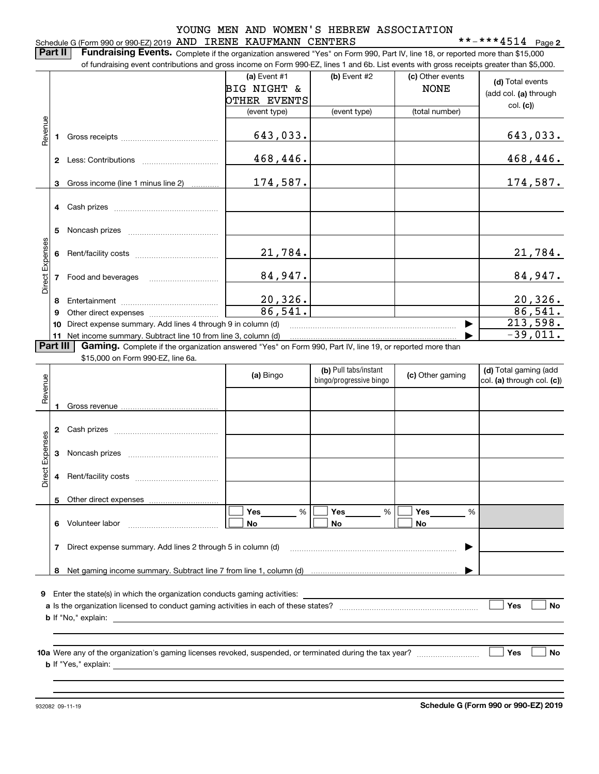## Schedule G (Form 990 or 990-EZ) 2019 Page AND IRENE KAUFMANN CENTERS \*\*-\*\*\*4514

**2**

**Part II** | Fundraising Events. Complete if the organization answered "Yes" on Form 990, Part IV, line 18, or reported more than \$15,000 of fundraising event contributions and gross income on Form 990-EZ, lines 1 and 6b. List events with gross receipts greater than \$5,000.

|                 |                |                                                                                                                 | (a) Event #1           | (b) Event #2                                     | (c) Other events | (d) Total events                                    |
|-----------------|----------------|-----------------------------------------------------------------------------------------------------------------|------------------------|--------------------------------------------------|------------------|-----------------------------------------------------|
|                 |                |                                                                                                                 | <b>BIG NIGHT &amp;</b> |                                                  | <b>NONE</b>      | (add col. (a) through                               |
|                 |                |                                                                                                                 | OTHER EVENTS           |                                                  |                  | col. (c)                                            |
|                 |                |                                                                                                                 | (event type)           | (event type)                                     | (total number)   |                                                     |
| Revenue         |                |                                                                                                                 |                        |                                                  |                  |                                                     |
|                 | 1.             |                                                                                                                 | 643,033.               |                                                  |                  | 643,033.                                            |
|                 |                |                                                                                                                 |                        |                                                  |                  |                                                     |
|                 |                |                                                                                                                 | 468,446.               |                                                  |                  | 468, 446.                                           |
|                 |                |                                                                                                                 |                        |                                                  |                  |                                                     |
|                 | 3.             | Gross income (line 1 minus line 2)                                                                              | 174,587.               |                                                  |                  | 174,587.                                            |
|                 |                |                                                                                                                 |                        |                                                  |                  |                                                     |
|                 |                |                                                                                                                 |                        |                                                  |                  |                                                     |
|                 |                |                                                                                                                 |                        |                                                  |                  |                                                     |
|                 | 5              |                                                                                                                 |                        |                                                  |                  |                                                     |
| Direct Expenses |                |                                                                                                                 |                        |                                                  |                  |                                                     |
|                 | 6              |                                                                                                                 | 21,784.                |                                                  |                  | <u>21,784.</u>                                      |
|                 |                |                                                                                                                 |                        |                                                  |                  |                                                     |
|                 | $\overline{7}$ | Food and beverages                                                                                              | 84,947.                |                                                  |                  | 84,947.                                             |
|                 |                |                                                                                                                 |                        |                                                  |                  |                                                     |
|                 | 8              |                                                                                                                 | 20,326.                |                                                  |                  | 20, 326.                                            |
|                 | 9              |                                                                                                                 | 86,541.                |                                                  |                  | 86,541.                                             |
|                 | 10             | Direct expense summary. Add lines 4 through 9 in column (d)                                                     |                        |                                                  |                  | 213,598.                                            |
| Part III        |                | 11 Net income summary. Subtract line 10 from line 3, column (d)                                                 |                        |                                                  |                  | $-39,011.$                                          |
|                 |                | <b>Gaming.</b> Complete if the organization answered "Yes" on Form 990, Part IV, line 19, or reported more than |                        |                                                  |                  |                                                     |
|                 |                | \$15,000 on Form 990-EZ, line 6a.                                                                               |                        |                                                  |                  |                                                     |
|                 |                |                                                                                                                 | (a) Bingo              | (b) Pull tabs/instant<br>bingo/progressive bingo | (c) Other gaming | (d) Total gaming (add<br>col. (a) through col. (c)) |
| Revenue         |                |                                                                                                                 |                        |                                                  |                  |                                                     |
|                 |                |                                                                                                                 |                        |                                                  |                  |                                                     |
|                 | 1.             |                                                                                                                 |                        |                                                  |                  |                                                     |
|                 |                |                                                                                                                 |                        |                                                  |                  |                                                     |
|                 | 2              |                                                                                                                 |                        |                                                  |                  |                                                     |
|                 |                |                                                                                                                 |                        |                                                  |                  |                                                     |
|                 | 3              |                                                                                                                 |                        |                                                  |                  |                                                     |
| Direct Expenses | 4              |                                                                                                                 |                        |                                                  |                  |                                                     |
|                 |                |                                                                                                                 |                        |                                                  |                  |                                                     |
|                 | 5              |                                                                                                                 |                        |                                                  |                  |                                                     |
|                 |                |                                                                                                                 | Yes<br>%               | Yes<br>%                                         | Yes<br>%         |                                                     |
|                 |                |                                                                                                                 |                        |                                                  |                  |                                                     |

|                            | Enter the state(s) in which the organization conducts gaming activities:             |     |
|----------------------------|--------------------------------------------------------------------------------------|-----|
|                            | a Is the organization licensed to conduct gaming activities in each of these states? | Yes |
| <b>b</b> If "No," explain: |                                                                                      |     |

Direct expense summary. Add lines 2 through 5 in column (d) www.communities.com/communities.

**No No**

**10 a Yes**Were any of the organization's gaming licenses revoked, suspended, or terminated during the tax year? ~~~~~~~~~ **b** If "Yes," explain:

**No**

932082 09-11-19

**6**

Volunteer labor \_\_\_\_\_\_\_\_\_\_\_\_\_\_\_\_\_\_\_\_\_\_\_\_\_\_\_\_\_

**7**

**No**

**No**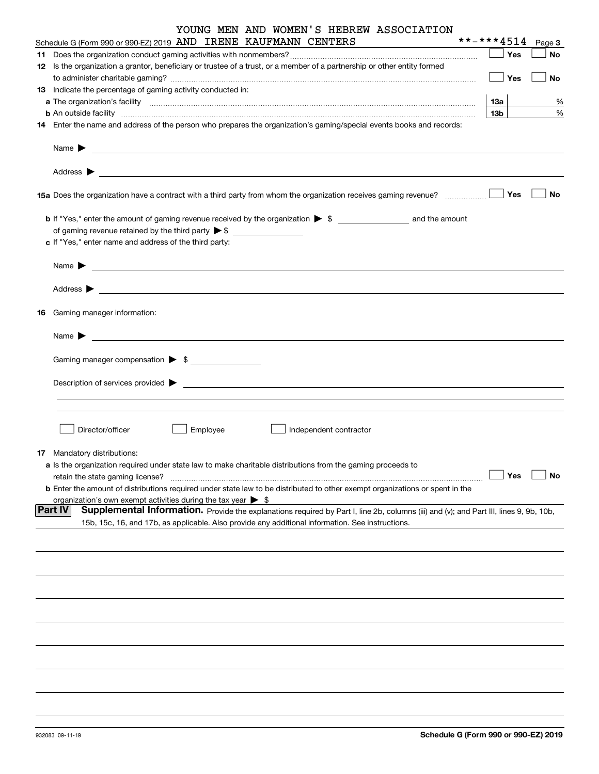| YOUNG MEN AND WOMEN'S HEBREW ASSOCIATION<br>Schedule G (Form 990 or 990-EZ) 2019 AND IRENE KAUFMANN CENTERS                                                                                                                               |                 |            | **-***4514 Page 3 |
|-------------------------------------------------------------------------------------------------------------------------------------------------------------------------------------------------------------------------------------------|-----------------|------------|-------------------|
|                                                                                                                                                                                                                                           | $\mathbf{I}$    | Yes        | No                |
|                                                                                                                                                                                                                                           |                 |            |                   |
| 12 Is the organization a grantor, beneficiary or trustee of a trust, or a member of a partnership or other entity formed                                                                                                                  |                 |            |                   |
|                                                                                                                                                                                                                                           |                 | $\Box$ Yes | No                |
| 13 Indicate the percentage of gaming activity conducted in:                                                                                                                                                                               |                 |            |                   |
|                                                                                                                                                                                                                                           | 13а             |            | %                 |
| <b>b</b> An outside facility <b>contained a contract and a contract of the contract of the contract of the contract of the contract of the contract of the contract of the contract of the contract of the contract of the contract o</b> | 13 <sub>b</sub> |            | %                 |
| 14 Enter the name and address of the person who prepares the organization's gaming/special events books and records:                                                                                                                      |                 |            |                   |
|                                                                                                                                                                                                                                           |                 |            |                   |
|                                                                                                                                                                                                                                           |                 |            |                   |
|                                                                                                                                                                                                                                           |                 | Yes        | No                |
|                                                                                                                                                                                                                                           |                 |            |                   |
|                                                                                                                                                                                                                                           |                 |            |                   |
| c If "Yes," enter name and address of the third party:                                                                                                                                                                                    |                 |            |                   |
|                                                                                                                                                                                                                                           |                 |            |                   |
| Name $\blacktriangleright$ $\lrcorner$                                                                                                                                                                                                    |                 |            |                   |
|                                                                                                                                                                                                                                           |                 |            |                   |
|                                                                                                                                                                                                                                           |                 |            |                   |
| 16 Gaming manager information:                                                                                                                                                                                                            |                 |            |                   |
|                                                                                                                                                                                                                                           |                 |            |                   |
| <u> 1989 - Johann Barbara, martin amerikan basal dan berasal dan berasal dalam basal dan berasal dan berasal dan</u><br>Name $\blacktriangleright$                                                                                        |                 |            |                   |
| Gaming manager compensation > \$                                                                                                                                                                                                          |                 |            |                   |
|                                                                                                                                                                                                                                           |                 |            |                   |
| $Description of services provided$ $\triangleright$                                                                                                                                                                                       |                 |            |                   |
|                                                                                                                                                                                                                                           |                 |            |                   |
|                                                                                                                                                                                                                                           |                 |            |                   |
| Director/officer<br>Employee<br>Independent contractor                                                                                                                                                                                    |                 |            |                   |
|                                                                                                                                                                                                                                           |                 |            |                   |
| 17 Mandatory distributions:                                                                                                                                                                                                               |                 |            |                   |
| a Is the organization required under state law to make charitable distributions from the gaming proceeds to                                                                                                                               |                 |            |                   |
| retain the state gaming license?                                                                                                                                                                                                          |                 | Yes        | No                |
| <b>b</b> Enter the amount of distributions required under state law to be distributed to other exempt organizations or spent in the                                                                                                       |                 |            |                   |
| organization's own exempt activities during the tax year $\triangleright$ \$                                                                                                                                                              |                 |            |                   |
| <b>Part IV</b><br>Supplemental Information. Provide the explanations required by Part I, line 2b, columns (iii) and (v); and Part III, lines 9, 9b, 10b,                                                                                  |                 |            |                   |
| 15b, 15c, 16, and 17b, as applicable. Also provide any additional information. See instructions.                                                                                                                                          |                 |            |                   |
|                                                                                                                                                                                                                                           |                 |            |                   |
|                                                                                                                                                                                                                                           |                 |            |                   |
|                                                                                                                                                                                                                                           |                 |            |                   |
|                                                                                                                                                                                                                                           |                 |            |                   |
|                                                                                                                                                                                                                                           |                 |            |                   |
|                                                                                                                                                                                                                                           |                 |            |                   |
|                                                                                                                                                                                                                                           |                 |            |                   |
|                                                                                                                                                                                                                                           |                 |            |                   |
|                                                                                                                                                                                                                                           |                 |            |                   |
|                                                                                                                                                                                                                                           |                 |            |                   |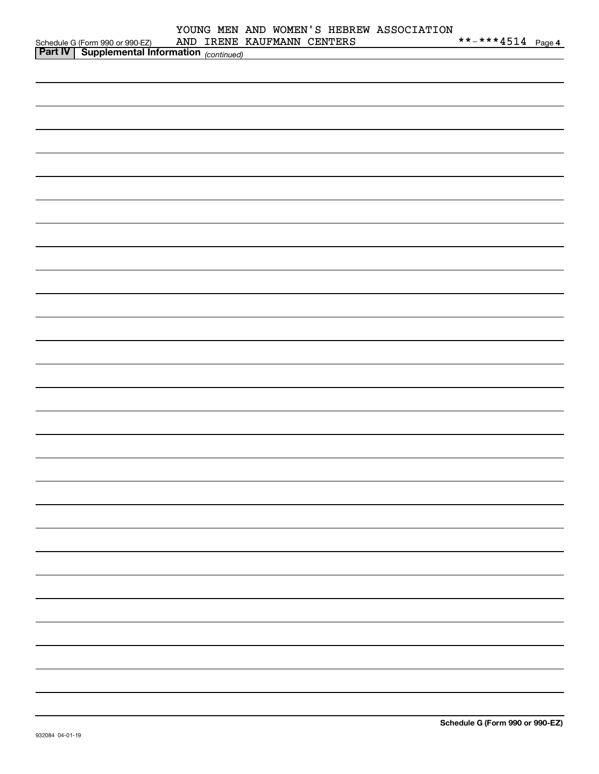|                                                                                                  | YOUNG MEN AND WOMEN'S HEBREW ASSOCIATION<br>AND IRENE KAUFMANN CENTERS | **-***4514 Page 4 |
|--------------------------------------------------------------------------------------------------|------------------------------------------------------------------------|-------------------|
| Schedule G (Form 990 or 990-EZ) AND IRENE<br><b>Part IV</b> Supplemental Information (continued) |                                                                        |                   |
|                                                                                                  |                                                                        |                   |
|                                                                                                  |                                                                        |                   |
|                                                                                                  |                                                                        |                   |
|                                                                                                  |                                                                        |                   |
|                                                                                                  |                                                                        |                   |
|                                                                                                  |                                                                        |                   |
|                                                                                                  |                                                                        |                   |
|                                                                                                  |                                                                        |                   |
|                                                                                                  |                                                                        |                   |
|                                                                                                  |                                                                        |                   |
|                                                                                                  |                                                                        |                   |
|                                                                                                  |                                                                        |                   |
|                                                                                                  |                                                                        |                   |
|                                                                                                  |                                                                        |                   |
|                                                                                                  |                                                                        |                   |
|                                                                                                  |                                                                        |                   |
|                                                                                                  |                                                                        |                   |
|                                                                                                  |                                                                        |                   |
|                                                                                                  |                                                                        |                   |
|                                                                                                  |                                                                        |                   |
|                                                                                                  |                                                                        |                   |
|                                                                                                  |                                                                        |                   |
|                                                                                                  |                                                                        |                   |
|                                                                                                  |                                                                        |                   |
|                                                                                                  |                                                                        |                   |
|                                                                                                  |                                                                        |                   |
|                                                                                                  |                                                                        |                   |
|                                                                                                  |                                                                        |                   |
|                                                                                                  |                                                                        |                   |
|                                                                                                  |                                                                        |                   |
|                                                                                                  |                                                                        |                   |
|                                                                                                  |                                                                        |                   |
|                                                                                                  |                                                                        |                   |
|                                                                                                  |                                                                        |                   |
|                                                                                                  |                                                                        |                   |
|                                                                                                  |                                                                        |                   |
|                                                                                                  |                                                                        |                   |
|                                                                                                  |                                                                        |                   |
|                                                                                                  |                                                                        |                   |
|                                                                                                  |                                                                        |                   |
|                                                                                                  |                                                                        |                   |
|                                                                                                  |                                                                        |                   |
|                                                                                                  |                                                                        |                   |
|                                                                                                  |                                                                        |                   |
|                                                                                                  |                                                                        |                   |
|                                                                                                  |                                                                        |                   |
|                                                                                                  |                                                                        |                   |
|                                                                                                  |                                                                        |                   |
|                                                                                                  |                                                                        |                   |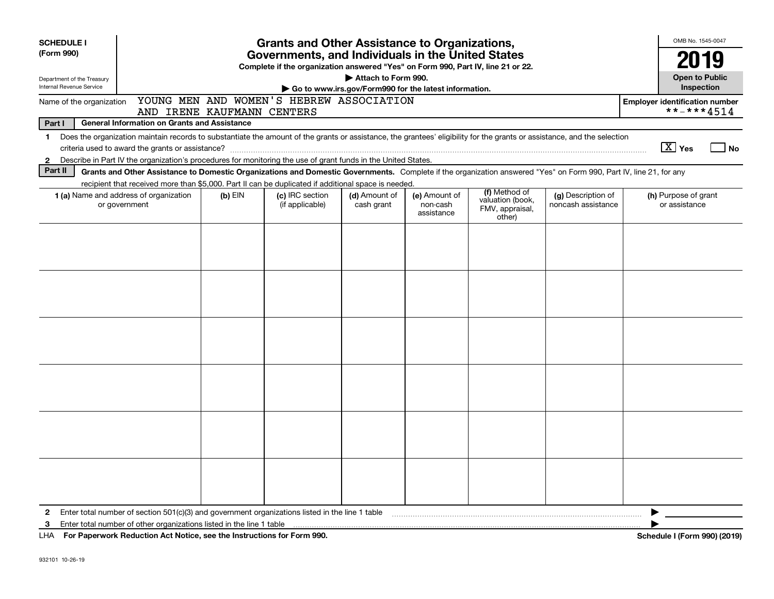| <b>SCHEDULE I</b><br>(Form 990)                                                                                                                                                                                                                                                                                           | <b>Grants and Other Assistance to Organizations,</b><br>Governments, and Individuals in the United States |                                                                                  |                                                                              |                                         |                                                                |                                          |                                                     |  |  |  |
|---------------------------------------------------------------------------------------------------------------------------------------------------------------------------------------------------------------------------------------------------------------------------------------------------------------------------|-----------------------------------------------------------------------------------------------------------|----------------------------------------------------------------------------------|------------------------------------------------------------------------------|-----------------------------------------|----------------------------------------------------------------|------------------------------------------|-----------------------------------------------------|--|--|--|
| Department of the Treasury<br>Internal Revenue Service                                                                                                                                                                                                                                                                    |                                                                                                           | Complete if the organization answered "Yes" on Form 990, Part IV, line 21 or 22. | Attach to Form 990.<br>Go to www.irs.gov/Form990 for the latest information. |                                         |                                                                |                                          | 2019<br><b>Open to Public</b><br>Inspection         |  |  |  |
| YOUNG MEN AND WOMEN'S HEBREW ASSOCIATION<br>Name of the organization<br>AND IRENE KAUFMANN CENTERS                                                                                                                                                                                                                        |                                                                                                           |                                                                                  |                                                                              |                                         |                                                                |                                          | <b>Employer identification number</b><br>**-***4514 |  |  |  |
| Part I<br><b>General Information on Grants and Assistance</b>                                                                                                                                                                                                                                                             |                                                                                                           |                                                                                  |                                                                              |                                         |                                                                |                                          |                                                     |  |  |  |
| Does the organization maintain records to substantiate the amount of the grants or assistance, the grantees' eligibility for the grants or assistance, and the selection<br>$\mathbf{1}$<br>Describe in Part IV the organization's procedures for monitoring the use of grant funds in the United States.<br>$\mathbf{2}$ |                                                                                                           |                                                                                  |                                                                              |                                         |                                                                |                                          | $\boxed{\text{X}}$ Yes<br>⊿ No                      |  |  |  |
| Part II<br>Grants and Other Assistance to Domestic Organizations and Domestic Governments. Complete if the organization answered "Yes" on Form 990, Part IV, line 21, for any                                                                                                                                             |                                                                                                           |                                                                                  |                                                                              |                                         |                                                                |                                          |                                                     |  |  |  |
| recipient that received more than \$5,000. Part II can be duplicated if additional space is needed.                                                                                                                                                                                                                       |                                                                                                           |                                                                                  |                                                                              |                                         |                                                                |                                          |                                                     |  |  |  |
| 1 (a) Name and address of organization<br>or government                                                                                                                                                                                                                                                                   | $(b)$ EIN                                                                                                 | (c) IRC section<br>(if applicable)                                               | (d) Amount of<br>cash grant                                                  | (e) Amount of<br>non-cash<br>assistance | (f) Method of<br>valuation (book,<br>FMV, appraisal,<br>other) | (g) Description of<br>noncash assistance | (h) Purpose of grant<br>or assistance               |  |  |  |
|                                                                                                                                                                                                                                                                                                                           |                                                                                                           |                                                                                  |                                                                              |                                         |                                                                |                                          |                                                     |  |  |  |
|                                                                                                                                                                                                                                                                                                                           |                                                                                                           |                                                                                  |                                                                              |                                         |                                                                |                                          |                                                     |  |  |  |
|                                                                                                                                                                                                                                                                                                                           |                                                                                                           |                                                                                  |                                                                              |                                         |                                                                |                                          |                                                     |  |  |  |
| 2<br>3<br>LITA DE LA PRANADA LA PROVINCIA A LA NICATA DE LA LA LIGACIA DEL CADIFICADO POPO                                                                                                                                                                                                                                |                                                                                                           |                                                                                  |                                                                              |                                         |                                                                |                                          | 0.00110040                                          |  |  |  |

**For Paperwork Reduction Act Notice, see the Instructions for Form 990. Schedule I (Form 990) (2019)** LHA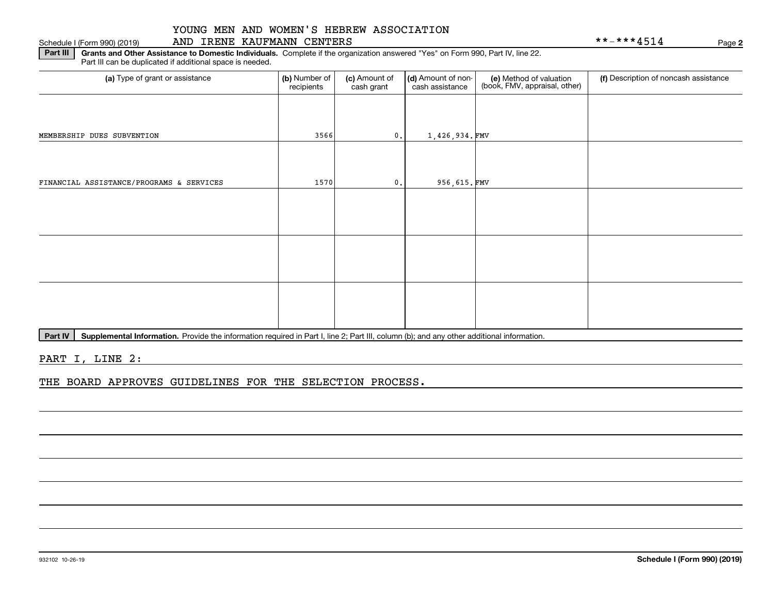## Schedule I (Form 990) (2019) AND IRENE KAUFMANN CENTER*S* Page

**2**

**Part III** | Grants and Other Assistance to Domestic Individuals. Complete if the organization answered "Yes" on Form 990, Part IV, line 22. Part III can be duplicated if additional space is needed.

| (a) Type of grant or assistance          | (b) Number of<br>recipients | (c) Amount of<br>cash grant | (d) Amount of non-<br>cash assistance | (e) Method of valuation<br>(book, FMV, appraisal, other) | (f) Description of noncash assistance |
|------------------------------------------|-----------------------------|-----------------------------|---------------------------------------|----------------------------------------------------------|---------------------------------------|
|                                          |                             |                             |                                       |                                                          |                                       |
| MEMBERSHIP DUES SUBVENTION               | 3566                        | 0.1                         | 1,426,934.FMV                         |                                                          |                                       |
|                                          |                             |                             |                                       |                                                          |                                       |
| FINANCIAL ASSISTANCE/PROGRAMS & SERVICES | 1570                        | 0.                          | 956,615.FMV                           |                                                          |                                       |
|                                          |                             |                             |                                       |                                                          |                                       |
|                                          |                             |                             |                                       |                                                          |                                       |
|                                          |                             |                             |                                       |                                                          |                                       |
|                                          |                             |                             |                                       |                                                          |                                       |
|                                          |                             |                             |                                       |                                                          |                                       |
|                                          |                             |                             |                                       |                                                          |                                       |
|                                          |                             |                             |                                       |                                                          |                                       |

Part IV | Supplemental Information. Provide the information required in Part I, line 2; Part III, column (b); and any other additional information.

PART I, LINE 2:

THE BOARD APPROVES GUIDELINES FOR THE SELECTION PROCESS.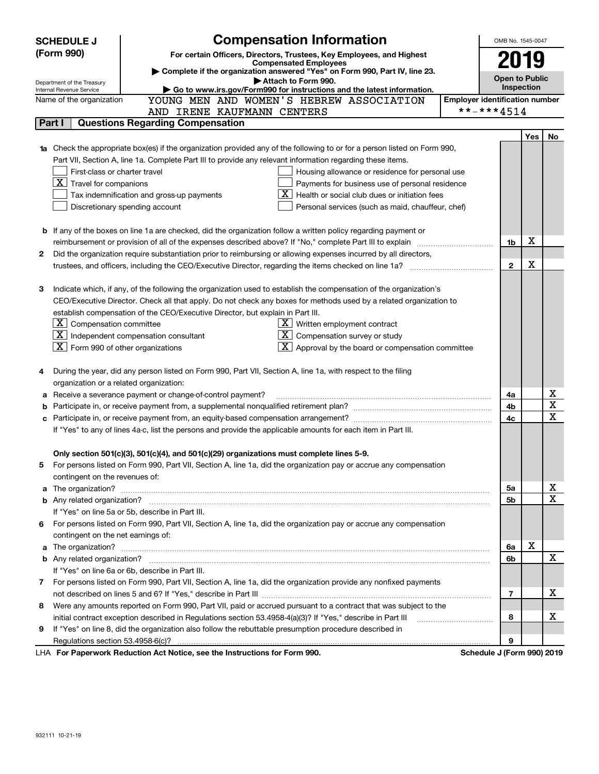|   | <b>Compensation Information</b><br><b>SCHEDULE J</b><br>OMB No. 1545-0047                          |                                                                                                                                                                                                                                          |                                       |                       |            |    |  |
|---|----------------------------------------------------------------------------------------------------|------------------------------------------------------------------------------------------------------------------------------------------------------------------------------------------------------------------------------------------|---------------------------------------|-----------------------|------------|----|--|
|   | (Form 990)<br>For certain Officers, Directors, Trustees, Key Employees, and Highest                |                                                                                                                                                                                                                                          |                                       |                       |            |    |  |
|   |                                                                                                    | <b>Compensated Employees</b><br>Complete if the organization answered "Yes" on Form 990, Part IV, line 23.                                                                                                                               |                                       | 2019                  |            |    |  |
|   | Department of the Treasury                                                                         | Attach to Form 990.                                                                                                                                                                                                                      |                                       | <b>Open to Public</b> | Inspection |    |  |
|   | Go to www.irs.gov/Form990 for instructions and the latest information.<br>Internal Revenue Service |                                                                                                                                                                                                                                          |                                       |                       |            |    |  |
|   | Name of the organization                                                                           | YOUNG MEN AND WOMEN'S HEBREW ASSOCIATION                                                                                                                                                                                                 | <b>Employer identification number</b> |                       |            |    |  |
|   | Part I                                                                                             | AND IRENE KAUFMANN CENTERS<br><b>Questions Regarding Compensation</b>                                                                                                                                                                    | **-***4514                            |                       |            |    |  |
|   |                                                                                                    |                                                                                                                                                                                                                                          |                                       |                       |            |    |  |
|   |                                                                                                    |                                                                                                                                                                                                                                          |                                       |                       | Yes        | No |  |
|   |                                                                                                    | Check the appropriate box(es) if the organization provided any of the following to or for a person listed on Form 990,                                                                                                                   |                                       |                       |            |    |  |
|   |                                                                                                    | Part VII, Section A, line 1a. Complete Part III to provide any relevant information regarding these items.                                                                                                                               |                                       |                       |            |    |  |
|   | First-class or charter travel                                                                      | Housing allowance or residence for personal use                                                                                                                                                                                          |                                       |                       |            |    |  |
|   | $\boxed{\textbf{X}}$ Travel for companions                                                         | Payments for business use of personal residence<br>X.<br>Health or social club dues or initiation fees                                                                                                                                   |                                       |                       |            |    |  |
|   |                                                                                                    | Tax indemnification and gross-up payments<br>Discretionary spending account                                                                                                                                                              |                                       |                       |            |    |  |
|   |                                                                                                    | Personal services (such as maid, chauffeur, chef)                                                                                                                                                                                        |                                       |                       |            |    |  |
|   |                                                                                                    |                                                                                                                                                                                                                                          |                                       |                       |            |    |  |
|   |                                                                                                    | <b>b</b> If any of the boxes on line 1a are checked, did the organization follow a written policy regarding payment or                                                                                                                   |                                       |                       | X          |    |  |
|   |                                                                                                    | reimbursement or provision of all of the expenses described above? If "No," complete Part III to explain                                                                                                                                 |                                       | 1b                    |            |    |  |
| 2 |                                                                                                    | Did the organization require substantiation prior to reimbursing or allowing expenses incurred by all directors,                                                                                                                         |                                       | $\mathbf{2}$          | X          |    |  |
|   |                                                                                                    |                                                                                                                                                                                                                                          |                                       |                       |            |    |  |
|   |                                                                                                    |                                                                                                                                                                                                                                          |                                       |                       |            |    |  |
| з |                                                                                                    | Indicate which, if any, of the following the organization used to establish the compensation of the organization's<br>CEO/Executive Director. Check all that apply. Do not check any boxes for methods used by a related organization to |                                       |                       |            |    |  |
|   |                                                                                                    |                                                                                                                                                                                                                                          |                                       |                       |            |    |  |
|   |                                                                                                    | establish compensation of the CEO/Executive Director, but explain in Part III.                                                                                                                                                           |                                       |                       |            |    |  |
|   | $\boxed{\textbf{X}}$ Compensation committee                                                        | $\underline{X}$ Written employment contract<br>$X \mid$                                                                                                                                                                                  |                                       |                       |            |    |  |
|   | $\mathbf{X}$                                                                                       | Compensation survey or study<br>Independent compensation consultant                                                                                                                                                                      |                                       |                       |            |    |  |
|   | $\boxed{\textbf{X}}$ Form 990 of other organizations                                               | Approval by the board or compensation committee                                                                                                                                                                                          |                                       |                       |            |    |  |
|   |                                                                                                    |                                                                                                                                                                                                                                          |                                       |                       |            |    |  |
| 4 |                                                                                                    | During the year, did any person listed on Form 990, Part VII, Section A, line 1a, with respect to the filing                                                                                                                             |                                       |                       |            |    |  |
|   | organization or a related organization:                                                            |                                                                                                                                                                                                                                          |                                       |                       |            | Χ  |  |
| а |                                                                                                    | Receive a severance payment or change-of-control payment?                                                                                                                                                                                |                                       | 4a                    |            | X  |  |
| b |                                                                                                    |                                                                                                                                                                                                                                          |                                       | 4b                    |            | X  |  |
|   |                                                                                                    |                                                                                                                                                                                                                                          |                                       | 4c                    |            |    |  |
|   |                                                                                                    | If "Yes" to any of lines 4a-c, list the persons and provide the applicable amounts for each item in Part III.                                                                                                                            |                                       |                       |            |    |  |
|   |                                                                                                    |                                                                                                                                                                                                                                          |                                       |                       |            |    |  |
|   |                                                                                                    | Only section 501(c)(3), 501(c)(4), and 501(c)(29) organizations must complete lines 5-9.<br>For persons listed on Form 990, Part VII, Section A, line 1a, did the organization pay or accrue any compensation                            |                                       |                       |            |    |  |
| 5 |                                                                                                    |                                                                                                                                                                                                                                          |                                       |                       |            |    |  |
|   | contingent on the revenues of:                                                                     |                                                                                                                                                                                                                                          |                                       |                       |            | х  |  |
| a |                                                                                                    |                                                                                                                                                                                                                                          |                                       | 5a                    |            | X  |  |
|   |                                                                                                    | If "Yes" on line 5a or 5b, describe in Part III.                                                                                                                                                                                         |                                       | 5b                    |            |    |  |
|   |                                                                                                    |                                                                                                                                                                                                                                          |                                       |                       |            |    |  |
|   | contingent on the net earnings of:                                                                 | 6 For persons listed on Form 990, Part VII, Section A, line 1a, did the organization pay or accrue any compensation                                                                                                                      |                                       |                       |            |    |  |
|   |                                                                                                    |                                                                                                                                                                                                                                          |                                       | 6a                    | X          |    |  |
| a |                                                                                                    |                                                                                                                                                                                                                                          |                                       | 6b                    |            | X  |  |
|   |                                                                                                    |                                                                                                                                                                                                                                          |                                       |                       |            |    |  |
|   |                                                                                                    | If "Yes" on line 6a or 6b, describe in Part III.                                                                                                                                                                                         |                                       |                       |            |    |  |
|   |                                                                                                    | 7 For persons listed on Form 990, Part VII, Section A, line 1a, did the organization provide any nonfixed payments                                                                                                                       |                                       |                       |            | х  |  |
|   |                                                                                                    |                                                                                                                                                                                                                                          |                                       | 7                     |            |    |  |
| 8 |                                                                                                    | Were any amounts reported on Form 990, Part VII, paid or accrued pursuant to a contract that was subject to the                                                                                                                          |                                       |                       |            | х  |  |
|   |                                                                                                    | initial contract exception described in Regulations section 53.4958-4(a)(3)? If "Yes," describe in Part III                                                                                                                              |                                       | 8                     |            |    |  |
| 9 |                                                                                                    | If "Yes" on line 8, did the organization also follow the rebuttable presumption procedure described in                                                                                                                                   |                                       |                       |            |    |  |
|   | Regulations section 53.4958-6(c)?                                                                  | Departments Reduction Act Notice, and the Instructions for Form 000                                                                                                                                                                      | Schodule, L/Earm 000) 2010            | 9                     |            |    |  |

LHA For Paperwork Reduction Act Notice, see the Instructions for Form 990. Schedule J (Form 990) 2019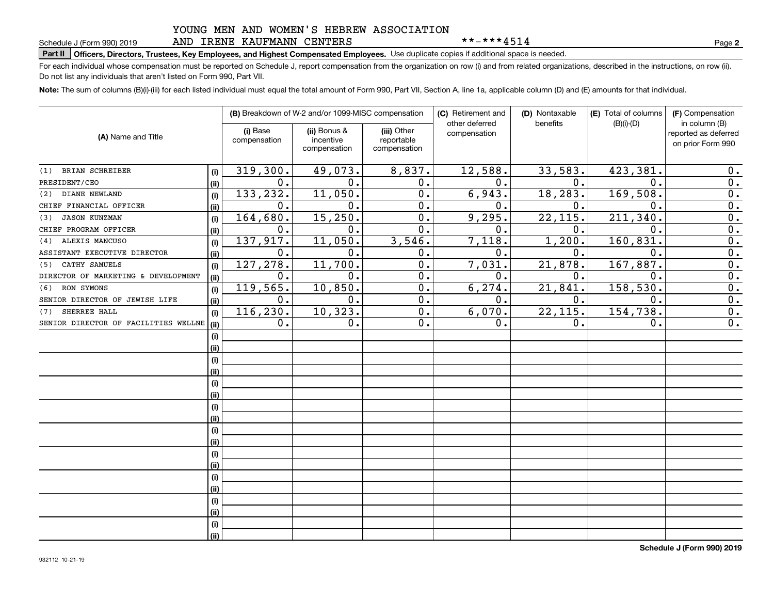## YOUNG MEN AND WOMEN'S HEBREW ASSOCIATION AND IRENE KAUFMANN CENTERS

\*\*-\*\*\*4514

**2**

# **Part II Officers, Directors, Trustees, Key Employees, and Highest Compensated Employees.**  Schedule J (Form 990) 2019 Page Use duplicate copies if additional space is needed.

For each individual whose compensation must be reported on Schedule J, report compensation from the organization on row (i) and from related organizations, described in the instructions, on row (ii). Do not list any individuals that aren't listed on Form 990, Part VII.

**Note:**  The sum of columns (B)(i)-(iii) for each listed individual must equal the total amount of Form 990, Part VII, Section A, line 1a, applicable column (D) and (E) amounts for that individual.

| (A) Name and Title                   |      | (B) Breakdown of W-2 and/or 1099-MISC compensation |                                           |                                           | (C) Retirement and<br>other deferred | (D) Nontaxable<br>benefits | (E) Total of columns<br>$(B)(i)-(D)$ | (F) Compensation<br>in column (B)         |
|--------------------------------------|------|----------------------------------------------------|-------------------------------------------|-------------------------------------------|--------------------------------------|----------------------------|--------------------------------------|-------------------------------------------|
|                                      |      | (i) Base<br>compensation                           | (ii) Bonus &<br>incentive<br>compensation | (iii) Other<br>reportable<br>compensation | compensation                         |                            |                                      | reported as deferred<br>on prior Form 990 |
| BRIAN SCHREIBER<br>(1)               | (i)  | 319,300.                                           | 49,073.                                   | 8,837.                                    | 12,588.                              | 33,583.                    | 423, 381                             | 0.                                        |
| PRESIDENT/CEO                        | (ii) | $\mathbf 0$ .                                      | 0.                                        | 0.                                        | $\mathbf 0$ .                        | 0.                         | $\mathbf 0$ .                        | $\overline{0}$ .                          |
| DIANE NEWLAND<br>(2)                 | (i)  | 133,232.                                           | 11,050.                                   | 0.                                        | 6,943.                               | 18,283.                    | 169,508.                             | $\overline{0}$ .                          |
| CHIEF FINANCIAL OFFICER              | (ii) | $\mathbf 0$ .                                      | 0.                                        | 0.                                        | $\mathbf 0$ .                        | 0.                         | 0.                                   | $\overline{0}$ .                          |
| <b>JASON KUNZMAN</b><br>(3)          | (i)  | 164,680.                                           | 15,250.                                   | 0.                                        | 9,295.                               | 22,115.                    | 211,340.                             | $\overline{0}$ .                          |
| CHIEF PROGRAM OFFICER                | (ii) | 0.                                                 | 0.                                        | 0.                                        | $\mathbf 0$ .                        | 0.                         | 0.                                   | $\overline{0}$ .                          |
| ALEXIS MANCUSO<br>(4)                | (i)  | 137,917.                                           | 11,050.                                   | 3,546.                                    | 7,118.                               | 1,200.                     | 160, 831.                            | 0.                                        |
| ASSISTANT EXECUTIVE DIRECTOR         | (i)  | $\mathbf 0$ .                                      | 0.                                        | 0.                                        | $\mathbf 0$ .                        | $\mathbf{0}$ .             | $\mathbf 0$ .                        | 0.                                        |
| CATHY SAMUELS<br>(5)                 | (i)  | 127, 278.                                          | 11, 700.                                  | $\overline{0}$ .                          | 7,031.                               | 21,878.                    | 167, 887.                            | $\overline{0}$ .                          |
| DIRECTOR OF MARKETING & DEVELOPMENT  | (ii) | 0.                                                 | 0.                                        | $\overline{0}$ .                          | 0.                                   | 0.                         | 0.                                   | $\overline{0}$ .                          |
| RON SYMONS<br>(6)                    | (i)  | 119,565.                                           | 10,850.                                   | 0.                                        | 6, 274.                              | 21,841.                    | 158,530.                             | $\overline{0}$ .                          |
| SENIOR DIRECTOR OF JEWISH LIFE       | (ii) | 0.                                                 | 0.                                        | $\overline{0}$ .                          | $\mathbf 0$ .                        | 0.                         | 0.                                   | $\overline{0}$ .                          |
| SHERREE HALL<br>(7)                  | (i)  | 116,230.                                           | 10, 323.                                  | 0.                                        | 6,070.                               | 22, 115.                   | 154,738.                             | $\overline{0}$ .                          |
| SENIOR DIRECTOR OF FACILITIES WELLNE | (ii) | 0.                                                 | $\mathbf 0$ .                             | 0.                                        | 0.                                   | 0.                         | $\mathbf 0$ .                        | $\overline{0}$ .                          |
|                                      | (i)  |                                                    |                                           |                                           |                                      |                            |                                      |                                           |
|                                      | (ii) |                                                    |                                           |                                           |                                      |                            |                                      |                                           |
|                                      | (i)  |                                                    |                                           |                                           |                                      |                            |                                      |                                           |
|                                      | (ii) |                                                    |                                           |                                           |                                      |                            |                                      |                                           |
|                                      | (i)  |                                                    |                                           |                                           |                                      |                            |                                      |                                           |
|                                      | (ii) |                                                    |                                           |                                           |                                      |                            |                                      |                                           |
|                                      | (i)  |                                                    |                                           |                                           |                                      |                            |                                      |                                           |
|                                      | (ii) |                                                    |                                           |                                           |                                      |                            |                                      |                                           |
|                                      | (i)  |                                                    |                                           |                                           |                                      |                            |                                      |                                           |
|                                      | (ii) |                                                    |                                           |                                           |                                      |                            |                                      |                                           |
|                                      | (i)  |                                                    |                                           |                                           |                                      |                            |                                      |                                           |
|                                      | (ii) |                                                    |                                           |                                           |                                      |                            |                                      |                                           |
|                                      | (i)  |                                                    |                                           |                                           |                                      |                            |                                      |                                           |
|                                      | (ii) |                                                    |                                           |                                           |                                      |                            |                                      |                                           |
|                                      | (i)  |                                                    |                                           |                                           |                                      |                            |                                      |                                           |
|                                      | (ii) |                                                    |                                           |                                           |                                      |                            |                                      |                                           |
|                                      | (i)  |                                                    |                                           |                                           |                                      |                            |                                      |                                           |
|                                      | (ii) |                                                    |                                           |                                           |                                      |                            |                                      |                                           |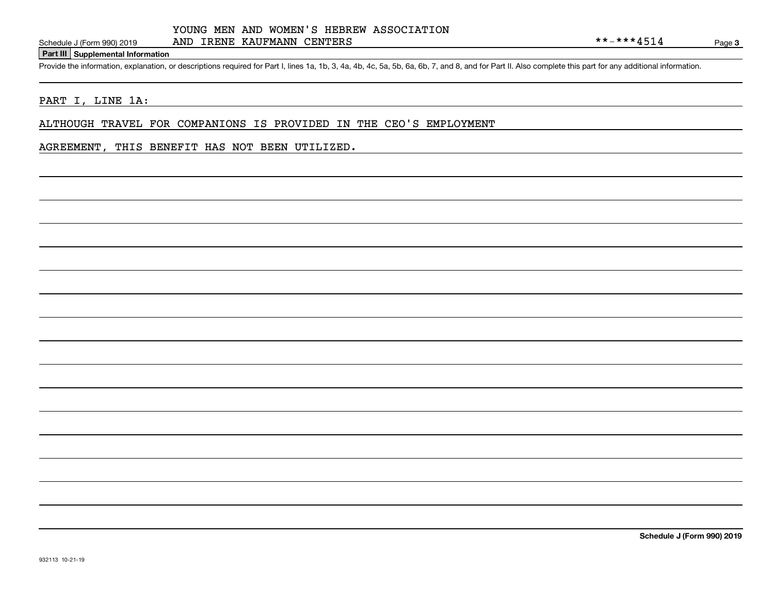## **Part III Supplemental Information**

Schedule J (Form 990) 2019 AND IRENE KAUFMANN CENTERS<br>Part III Supplemental Information<br>Provide the information, explanation, or descriptions required for Part I, lines 1a, 1b, 3, 4a, 4b, 4c, 5a, 5b, 6a, 6b, 7, and 8, and

## PART I, LINE 1A:

ALTHOUGH TRAVEL FOR COMPANIONS IS PROVIDED IN THE CEO'S EMPLOYMENT

## AGREEMENT, THIS BENEFIT HAS NOT BEEN UTILIZED.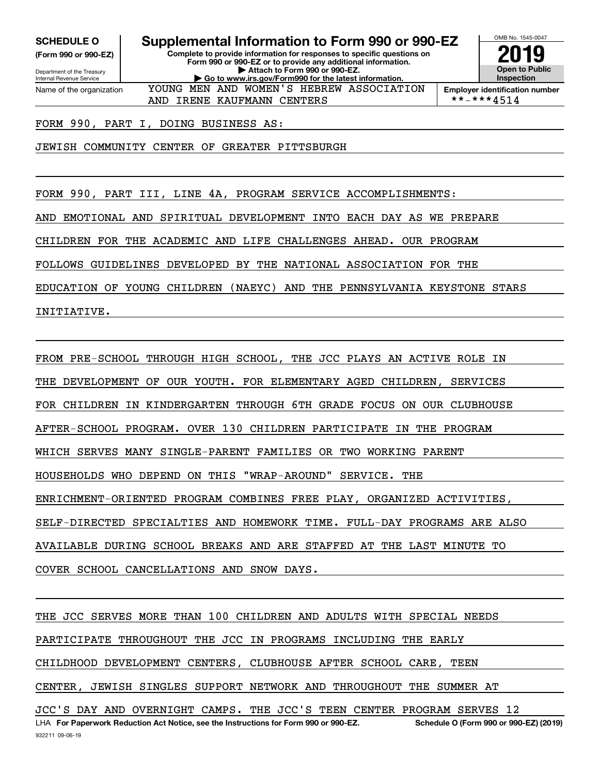**(Form 990 or 990-EZ)**

Department of the Treasury Internal Revenue Service Name of the organization

**SCHEDULE O Supplemental Information to Form 990 or 990-EZ**

**Complete to provide information for responses to specific questions on Form 990 or 990-EZ or to provide any additional information. | Attach to Form 990 or 990-EZ. | Go to www.irs.gov/Form990 for the latest information.** YOUNG MEN AND WOMEN'S HEBREW ASSOCIATION



**Employer identification number**<br>\* \* - \* \* \*  $4\,5\,1\,4$ 

FORM 990, PART I, DOING BUSINESS AS:

JEWISH COMMUNITY CENTER OF GREATER PITTSBURGH

FORM 990, PART III, LINE 4A, PROGRAM SERVICE ACCOMPLISHMENTS:

AND IRENE KAUFMANN CENTERS

AND EMOTIONAL AND SPIRITUAL DEVELOPMENT INTO EACH DAY AS WE PREPARE

CHILDREN FOR THE ACADEMIC AND LIFE CHALLENGES AHEAD. OUR PROGRAM

FOLLOWS GUIDELINES DEVELOPED BY THE NATIONAL ASSOCIATION FOR THE

EDUCATION OF YOUNG CHILDREN (NAEYC) AND THE PENNSYLVANIA KEYSTONE STARS INITIATIVE.

FROM PRE-SCHOOL THROUGH HIGH SCHOOL, THE JCC PLAYS AN ACTIVE ROLE IN THE DEVELOPMENT OF OUR YOUTH. FOR ELEMENTARY AGED CHILDREN, SERVICES FOR CHILDREN IN KINDERGARTEN THROUGH 6TH GRADE FOCUS ON OUR CLUBHOUSE AFTER-SCHOOL PROGRAM. OVER 130 CHILDREN PARTICIPATE IN THE PROGRAM WHICH SERVES MANY SINGLE-PARENT FAMILIES OR TWO WORKING PARENT HOUSEHOLDS WHO DEPEND ON THIS "WRAP-AROUND" SERVICE. THE ENRICHMENT-ORIENTED PROGRAM COMBINES FREE PLAY, ORGANIZED ACTIVITIES, SELF-DIRECTED SPECIALTIES AND HOMEWORK TIME. FULL-DAY PROGRAMS ARE ALSO AVAILABLE DURING SCHOOL BREAKS AND ARE STAFFED AT THE LAST MINUTE TO

COVER SCHOOL CANCELLATIONS AND SNOW DAYS.

932211 09-06-19 LHA For Paperwork Reduction Act Notice, see the Instructions for Form 990 or 990-EZ. Schedule O (Form 990 or 990-EZ) (2019) THE JCC SERVES MORE THAN 100 CHILDREN AND ADULTS WITH SPECIAL NEEDS PARTICIPATE THROUGHOUT THE JCC IN PROGRAMS INCLUDING THE EARLY CHILDHOOD DEVELOPMENT CENTERS, CLUBHOUSE AFTER SCHOOL CARE, TEEN CENTER, JEWISH SINGLES SUPPORT NETWORK AND THROUGHOUT THE SUMMER AT JCC'S DAY AND OVERNIGHT CAMPS. THE JCC'S TEEN CENTER PROGRAM SERVES 12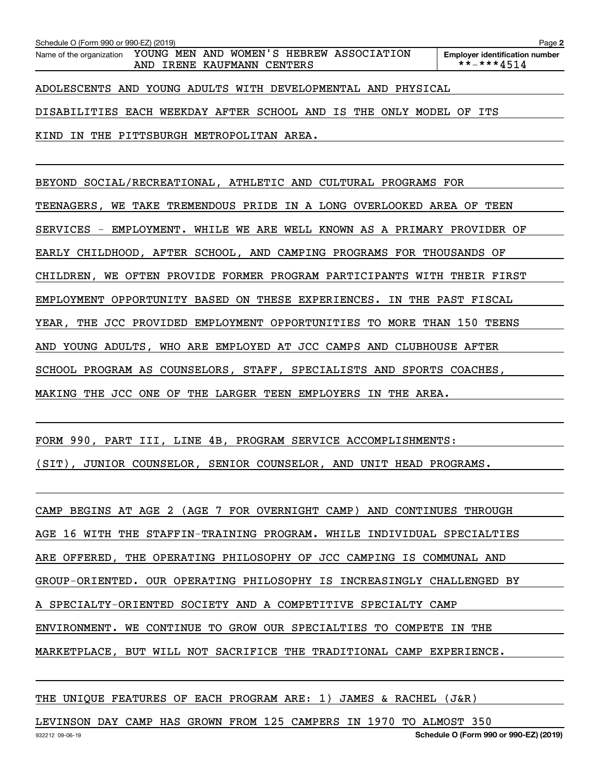| Schedule O (Form 990 or 990-EZ) (2019)                              |                                                                        |  | Page                                                |
|---------------------------------------------------------------------|------------------------------------------------------------------------|--|-----------------------------------------------------|
| Name of the organization                                            | YOUNG MEN AND WOMEN'S HEBREW ASSOCIATION<br>AND IRENE KAUFMANN CENTERS |  | <b>Employer identification number</b><br>**-***4514 |
| ADOLESCENTS AND YOUNG ADULTS WITH DEVELOPMENTAL AND PHYSICAL        |                                                                        |  |                                                     |
| DISABILITIES EACH WEEKDAY AFTER SCHOOL AND IS THE ONLY MODEL OF ITS |                                                                        |  |                                                     |
| KIND IN THE PITTSBURGH METROPOLITAN AREA.                           |                                                                        |  |                                                     |

BEYOND SOCIAL/RECREATIONAL, ATHLETIC AND CULTURAL PROGRAMS FOR

TEENAGERS, WE TAKE TREMENDOUS PRIDE IN A LONG OVERLOOKED AREA OF TEEN

SERVICES - EMPLOYMENT. WHILE WE ARE WELL KNOWN AS A PRIMARY PROVIDER OF

EARLY CHILDHOOD, AFTER SCHOOL, AND CAMPING PROGRAMS FOR THOUSANDS OF

CHILDREN, WE OFTEN PROVIDE FORMER PROGRAM PARTICIPANTS WITH THEIR FIRST

EMPLOYMENT OPPORTUNITY BASED ON THESE EXPERIENCES. IN THE PAST FISCAL

YEAR, THE JCC PROVIDED EMPLOYMENT OPPORTUNITIES TO MORE THAN 150 TEENS

AND YOUNG ADULTS, WHO ARE EMPLOYED AT JCC CAMPS AND CLUBHOUSE AFTER

SCHOOL PROGRAM AS COUNSELORS, STAFF, SPECIALISTS AND SPORTS COACHES,

MAKING THE JCC ONE OF THE LARGER TEEN EMPLOYERS IN THE AREA.

FORM 990, PART III, LINE 4B, PROGRAM SERVICE ACCOMPLISHMENTS:

(SIT), JUNIOR COUNSELOR, SENIOR COUNSELOR, AND UNIT HEAD PROGRAMS.

CAMP BEGINS AT AGE 2 (AGE 7 FOR OVERNIGHT CAMP) AND CONTINUES THROUGH AGE 16 WITH THE STAFFIN-TRAINING PROGRAM. WHILE INDIVIDUAL SPECIALTIES ARE OFFERED, THE OPERATING PHILOSOPHY OF JCC CAMPING IS COMMUNAL AND GROUP-ORIENTED. OUR OPERATING PHILOSOPHY IS INCREASINGLY CHALLENGED BY A SPECIALTY-ORIENTED SOCIETY AND A COMPETITIVE SPECIALTY CAMP ENVIRONMENT. WE CONTINUE TO GROW OUR SPECIALTIES TO COMPETE IN THE MARKETPLACE, BUT WILL NOT SACRIFICE THE TRADITIONAL CAMP EXPERIENCE.

THE UNIQUE FEATURES OF EACH PROGRAM ARE: 1) JAMES & RACHEL (J&R)

LEVINSON DAY CAMP HAS GROWN FROM 125 CAMPERS IN 1970 TO ALMOST 350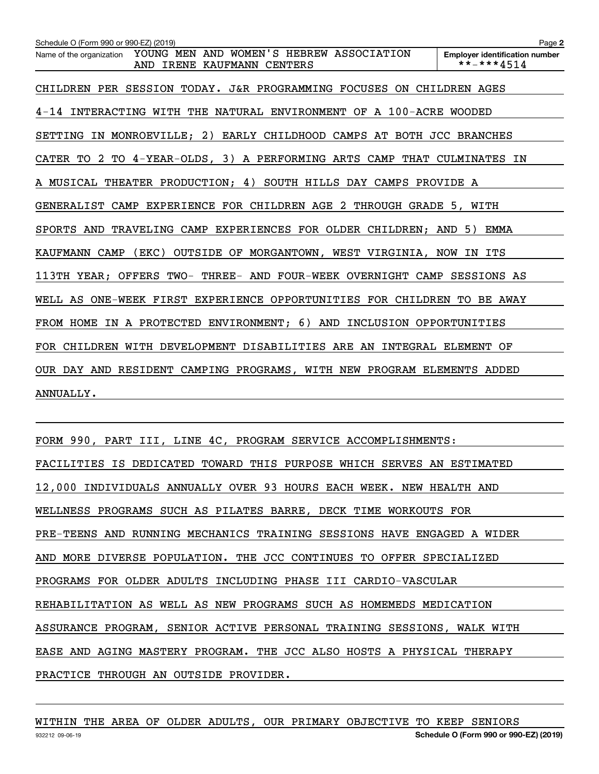| Schedule O (Form 990 or 990-EZ) (2019)                                                             | Page 2                                              |
|----------------------------------------------------------------------------------------------------|-----------------------------------------------------|
| YOUNG MEN AND WOMEN'S HEBREW ASSOCIATION<br>Name of the organization<br>AND IRENE KAUFMANN CENTERS | <b>Employer identification number</b><br>**-***4514 |
| CHILDREN PER SESSION TODAY. J&R PROGRAMMING FOCUSES ON CHILDREN AGES                               |                                                     |
| 4-14 INTERACTING WITH THE NATURAL ENVIRONMENT OF A 100-ACRE WOODED                                 |                                                     |
| SETTING IN MONROEVILLE; 2) EARLY CHILDHOOD CAMPS AT BOTH JCC BRANCHES                              |                                                     |
| CATER TO 2 TO 4-YEAR-OLDS, 3) A PERFORMING ARTS CAMP THAT CULMINATES IN                            |                                                     |
| A MUSICAL THEATER PRODUCTION; 4) SOUTH HILLS DAY CAMPS PROVIDE A                                   |                                                     |
| GENERALIST CAMP EXPERIENCE FOR CHILDREN AGE 2 THROUGH GRADE 5, WITH                                |                                                     |
| SPORTS AND TRAVELING CAMP EXPERIENCES FOR OLDER CHILDREN; AND                                      | 5)<br>EMMA                                          |
| $($ EKC $)$<br>OUTSIDE OF MORGANTOWN, WEST VIRGINIA, NOW IN ITS<br>KAUFMANN CAMP                   |                                                     |
| 113TH YEAR; OFFERS TWO- THREE- AND FOUR-WEEK OVERNIGHT CAMP SESSIONS AS                            |                                                     |
| WELL AS ONE-WEEK FIRST EXPERIENCE OPPORTUNITIES FOR CHILDREN TO BE AWAY                            |                                                     |
| FROM HOME IN A PROTECTED ENVIRONMENT; 6) AND INCLUSION OPPORTUNITIES                               |                                                     |
| FOR CHILDREN WITH DEVELOPMENT DISABILITIES ARE AN INTEGRAL ELEMENT OF                              |                                                     |
| OUR DAY AND RESIDENT CAMPING PROGRAMS, WITH NEW PROGRAM ELEMENTS ADDED                             |                                                     |
| ANNUALLY.                                                                                          |                                                     |

FORM 990, PART III, LINE 4C, PROGRAM SERVICE ACCOMPLISHMENTS: FACILITIES IS DEDICATED TOWARD THIS PURPOSE WHICH SERVES AN ESTIMATED 12,000 INDIVIDUALS ANNUALLY OVER 93 HOURS EACH WEEK. NEW HEALTH AND WELLNESS PROGRAMS SUCH AS PILATES BARRE, DECK TIME WORKOUTS FOR PRE-TEENS AND RUNNING MECHANICS TRAINING SESSIONS HAVE ENGAGED A WIDER AND MORE DIVERSE POPULATION. THE JCC CONTINUES TO OFFER SPECIALIZED PROGRAMS FOR OLDER ADULTS INCLUDING PHASE III CARDIO-VASCULAR REHABILITATION AS WELL AS NEW PROGRAMS SUCH AS HOMEMEDS MEDICATION ASSURANCE PROGRAM, SENIOR ACTIVE PERSONAL TRAINING SESSIONS, WALK WITH EASE AND AGING MASTERY PROGRAM. THE JCC ALSO HOSTS A PHYSICAL THERAPY PRACTICE THROUGH AN OUTSIDE PROVIDER.

WITHIN THE AREA OF OLDER ADULTS, OUR PRIMARY OBJECTIVE TO KEEP SENIORS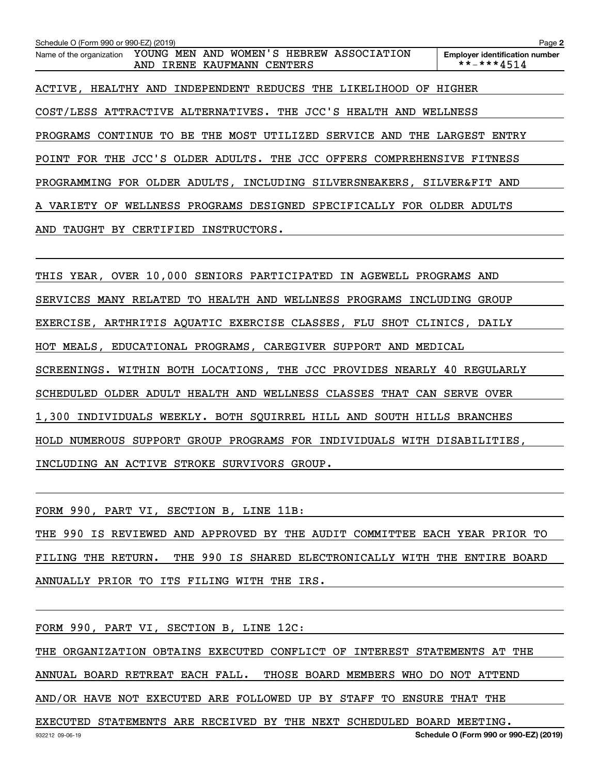**2Employer identification number** Schedule O (Form 990 or 990-EZ) (2019)<br>Name of the organization YOUNG MEN AND WOMEN'S HEBREW ASSOCIATION Employer identification number ACTIVE, HEALTHY AND INDEPENDENT REDUCES THE LIKELIHOOD OF HIGHER COST/LESS ATTRACTIVE ALTERNATIVES. THE JCC'S HEALTH AND WELLNESS PROGRAMS CONTINUE TO BE THE MOST UTILIZED SERVICE AND THE LARGEST ENTRY POINT FOR THE JCC'S OLDER ADULTS. THE JCC OFFERS COMPREHENSIVE FITNESS PROGRAMMING FOR OLDER ADULTS, INCLUDING SILVERSNEAKERS, SILVER&FIT AND A VARIETY OF WELLNESS PROGRAMS DESIGNED SPECIFICALLY FOR OLDER ADULTS AND TAUGHT BY CERTIFIED INSTRUCTORS. AND IRENE KAUFMANN CENTERS  $\qquad \qquad \qquad$  \*\*-\*\*\*4514

THIS YEAR, OVER 10,000 SENIORS PARTICIPATED IN AGEWELL PROGRAMS AND SERVICES MANY RELATED TO HEALTH AND WELLNESS PROGRAMS INCLUDING GROUP EXERCISE, ARTHRITIS AQUATIC EXERCISE CLASSES, FLU SHOT CLINICS, DAILY HOT MEALS, EDUCATIONAL PROGRAMS, CAREGIVER SUPPORT AND MEDICAL SCREENINGS. WITHIN BOTH LOCATIONS, THE JCC PROVIDES NEARLY 40 REGULARLY SCHEDULED OLDER ADULT HEALTH AND WELLNESS CLASSES THAT CAN SERVE OVER 1,300 INDIVIDUALS WEEKLY. BOTH SQUIRREL HILL AND SOUTH HILLS BRANCHES HOLD NUMEROUS SUPPORT GROUP PROGRAMS FOR INDIVIDUALS WITH DISABILITIES, INCLUDING AN ACTIVE STROKE SURVIVORS GROUP.

FORM 990, PART VI, SECTION B, LINE 11B:

THE 990 IS REVIEWED AND APPROVED BY THE AUDIT COMMITTEE EACH YEAR PRIOR TO FILING THE RETURN. THE 990 IS SHARED ELECTRONICALLY WITH THE ENTIRE BOARD ANNUALLY PRIOR TO ITS FILING WITH THE IRS.

FORM 990, PART VI, SECTION B, LINE 12C:

THE ORGANIZATION OBTAINS EXECUTED CONFLICT OF INTEREST STATEMENTS AT THE ANNUAL BOARD RETREAT EACH FALL. THOSE BOARD MEMBERS WHO DO NOT ATTEND AND/OR HAVE NOT EXECUTED ARE FOLLOWED UP BY STAFF TO ENSURE THAT THE

EXECUTED STATEMENTS ARE RECEIVED BY THE NEXT SCHEDULED BOARD MEETING.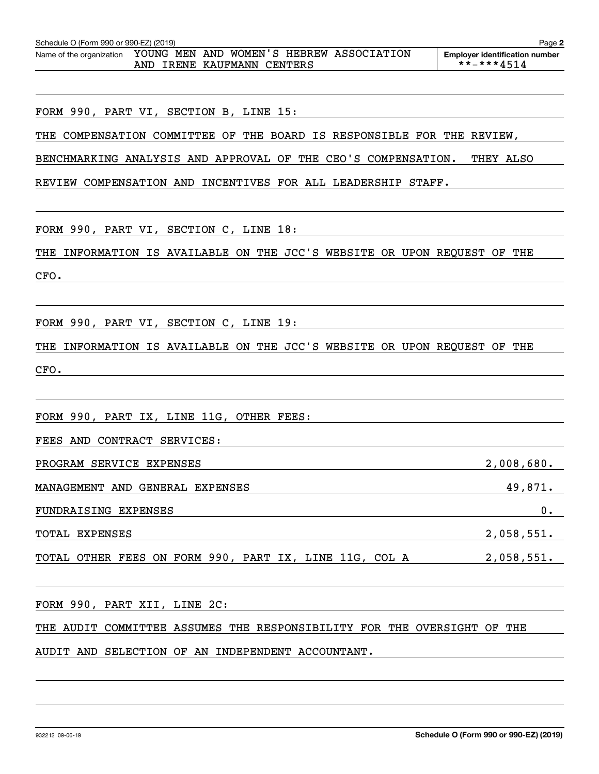| Schedule O (Form 990 or 990-EZ) (2019)                                                                                                                                                                                                                | Page 2                                              |
|-------------------------------------------------------------------------------------------------------------------------------------------------------------------------------------------------------------------------------------------------------|-----------------------------------------------------|
| Name of the organization YOUNG MEN AND WOMEN'S HEBREW ASSOCIATION<br>AND IRENE KAUFMANN CENTERS                                                                                                                                                       | <b>Employer identification number</b><br>**-***4514 |
|                                                                                                                                                                                                                                                       |                                                     |
| FORM 990, PART VI, SECTION B, LINE 15:                                                                                                                                                                                                                |                                                     |
| THE COMPENSATION COMMITTEE OF THE BOARD IS RESPONSIBLE FOR THE REVIEW,                                                                                                                                                                                |                                                     |
| BENCHMARKING ANALYSIS AND APPROVAL OF THE CEO'S COMPENSATION.                                                                                                                                                                                         | THEY ALSO                                           |
| REVIEW COMPENSATION AND INCENTIVES FOR ALL LEADERSHIP STAFF.                                                                                                                                                                                          |                                                     |
|                                                                                                                                                                                                                                                       |                                                     |
| FORM 990, PART VI, SECTION C, LINE 18:                                                                                                                                                                                                                |                                                     |
| THE INFORMATION IS AVAILABLE ON THE JCC'S WEBSITE OR UPON REQUEST OF THE                                                                                                                                                                              |                                                     |
| CFO.                                                                                                                                                                                                                                                  |                                                     |
|                                                                                                                                                                                                                                                       |                                                     |
| FORM 990, PART VI, SECTION C, LINE 19:                                                                                                                                                                                                                |                                                     |
| THE INFORMATION IS AVAILABLE ON THE JCC'S WEBSITE OR UPON REQUEST OF THE                                                                                                                                                                              |                                                     |
| CFO.                                                                                                                                                                                                                                                  |                                                     |
|                                                                                                                                                                                                                                                       |                                                     |
| FORM 990, PART IX, LINE 11G, OTHER FEES:                                                                                                                                                                                                              |                                                     |
| FEES AND CONTRACT SERVICES:                                                                                                                                                                                                                           |                                                     |
| PROGRAM SERVICE EXPENSES                                                                                                                                                                                                                              | 2,008,680.                                          |
| MANAGEMENT AND GENERAL EXPENSES                                                                                                                                                                                                                       | 49,871.                                             |
| FUNDRAISING EXPENSES<br>the control of the control of the control of the control of the control of the control of the control of the control of the control of the control of the control of the control of the control of the control of the control | 0.                                                  |
| TOTAL EXPENSES                                                                                                                                                                                                                                        | 2,058,551.                                          |
| TOTAL OTHER FEES ON FORM 990, PART IX, LINE 11G, COL A 2,058,551.                                                                                                                                                                                     |                                                     |
|                                                                                                                                                                                                                                                       |                                                     |
| FORM 990, PART XII, LINE 2C:                                                                                                                                                                                                                          |                                                     |
| THE AUDIT COMMITTEE ASSUMES THE RESPONSIBILITY FOR THE OVERSIGHT OF THE                                                                                                                                                                               |                                                     |
| AUDIT AND SELECTION OF AN INDEPENDENT ACCOUNTANT.                                                                                                                                                                                                     |                                                     |
|                                                                                                                                                                                                                                                       |                                                     |
|                                                                                                                                                                                                                                                       |                                                     |
|                                                                                                                                                                                                                                                       |                                                     |
|                                                                                                                                                                                                                                                       |                                                     |

**2**